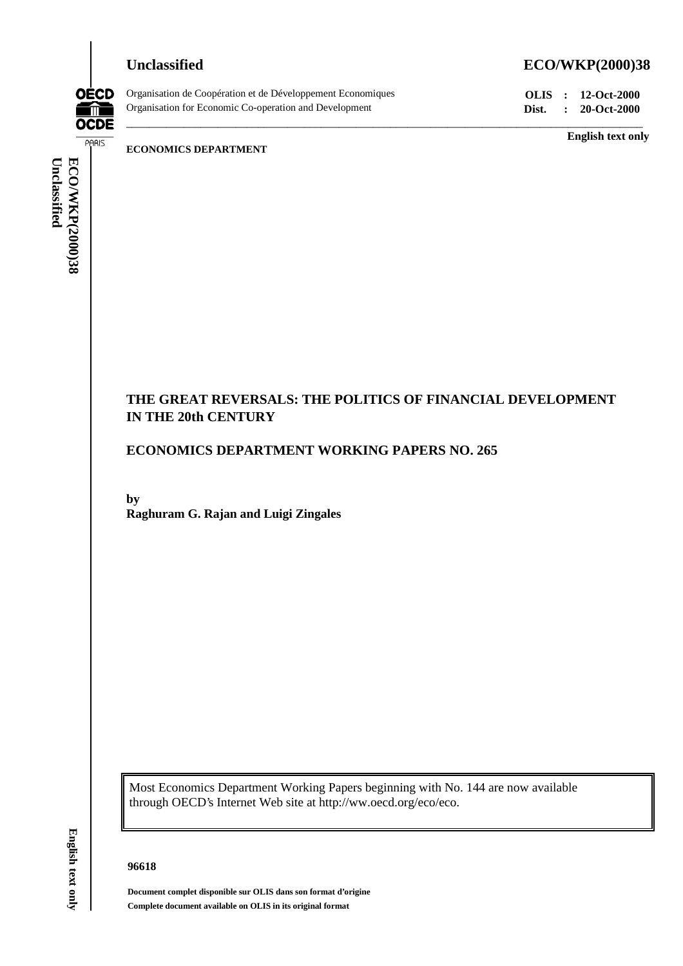

# **Unclassified ECO/WKP(2000)38**

**OECD OCDE** PARIS

Organisation de Coopération et de Développement Economiques **OLIS : 12-Oct-2000** Organisation for Economic Co-operation and Development **Dist. : 20-Oct-2000**

### **English text only**

**ECONOMICS DEPARTMENT**

Unclassified ECO/WKP(2000)38 **Unclassified ECO/WKP(2000)38**

# **THE GREAT REVERSALS: THE POLITICS OF FINANCIAL DEVELOPMENT IN THE 20th CENTURY**

\_\_\_\_\_\_\_\_\_\_\_\_\_\_\_\_\_\_\_\_\_\_\_\_\_\_\_\_\_\_\_\_\_\_\_\_\_\_\_\_\_\_\_\_\_\_\_\_\_\_\_\_\_\_\_\_\_\_\_\_\_\_\_\_\_\_\_\_\_\_\_\_\_\_\_\_\_\_\_\_\_\_\_\_\_\_\_\_\_\_

# **ECONOMICS DEPARTMENT WORKING PAPERS NO. 265**

**by Raghuram G. Rajan and Luigi Zingales**

Most Economics Department Working Papers beginning with No. 144 are now available through OECD's Internet Web site at http://ww.oecd.org/eco/eco.

# **96618**

**Document complet disponible sur OLIS dans son format d'origine Complete document available on OLIS in its original format**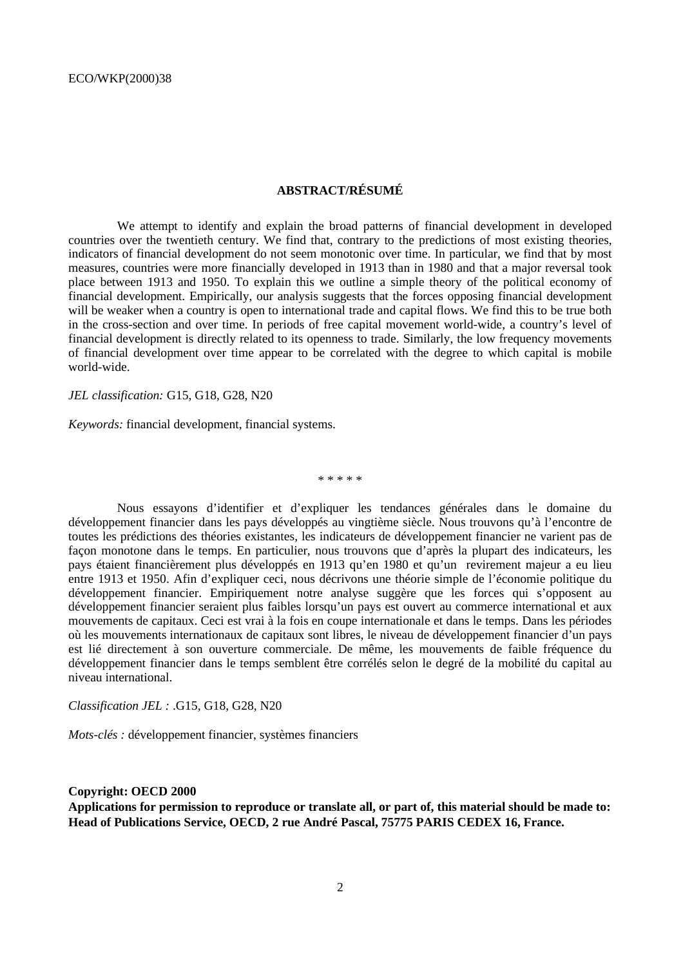### **ABSTRACT/RÉSUMÉ**

We attempt to identify and explain the broad patterns of financial development in developed countries over the twentieth century. We find that, contrary to the predictions of most existing theories, indicators of financial development do not seem monotonic over time. In particular, we find that by most measures, countries were more financially developed in 1913 than in 1980 and that a major reversal took place between 1913 and 1950. To explain this we outline a simple theory of the political economy of financial development. Empirically, our analysis suggests that the forces opposing financial development will be weaker when a country is open to international trade and capital flows. We find this to be true both in the cross-section and over time. In periods of free capital movement world-wide, a country's level of financial development is directly related to its openness to trade. Similarly, the low frequency movements of financial development over time appear to be correlated with the degree to which capital is mobile world-wide.

#### *JEL classification:* G15, G18, G28, N20

*Keywords:* financial development, financial systems.

\* \* \* \* \*

Nous essayons d'identifier et d'expliquer les tendances générales dans le domaine du développement financier dans les pays développés au vingtième siècle. Nous trouvons qu'à l'encontre de toutes les prédictions des théories existantes, les indicateurs de développement financier ne varient pas de façon monotone dans le temps. En particulier, nous trouvons que d'après la plupart des indicateurs, les pays étaient financièrement plus développés en 1913 qu'en 1980 et qu'un revirement majeur a eu lieu entre 1913 et 1950. Afin d'expliquer ceci, nous décrivons une théorie simple de l'économie politique du développement financier. Empiriquement notre analyse suggère que les forces qui s'opposent au développement financier seraient plus faibles lorsqu'un pays est ouvert au commerce international et aux mouvements de capitaux. Ceci est vrai à la fois en coupe internationale et dans le temps. Dans les périodes où les mouvements internationaux de capitaux sont libres, le niveau de développement financier d'un pays est lié directement à son ouverture commerciale. De même, les mouvements de faible fréquence du développement financier dans le temps semblent être corrélés selon le degré de la mobilité du capital au niveau international.

*Classification JEL :* .G15, G18, G28, N20

*Mots-clés :* développement financier, systèmes financiers

**Copyright: OECD 2000 Applications for permission to reproduce or translate all, or part of, this material should be made to: Head of Publications Service, OECD, 2 rue André Pascal, 75775 PARIS CEDEX 16, France.**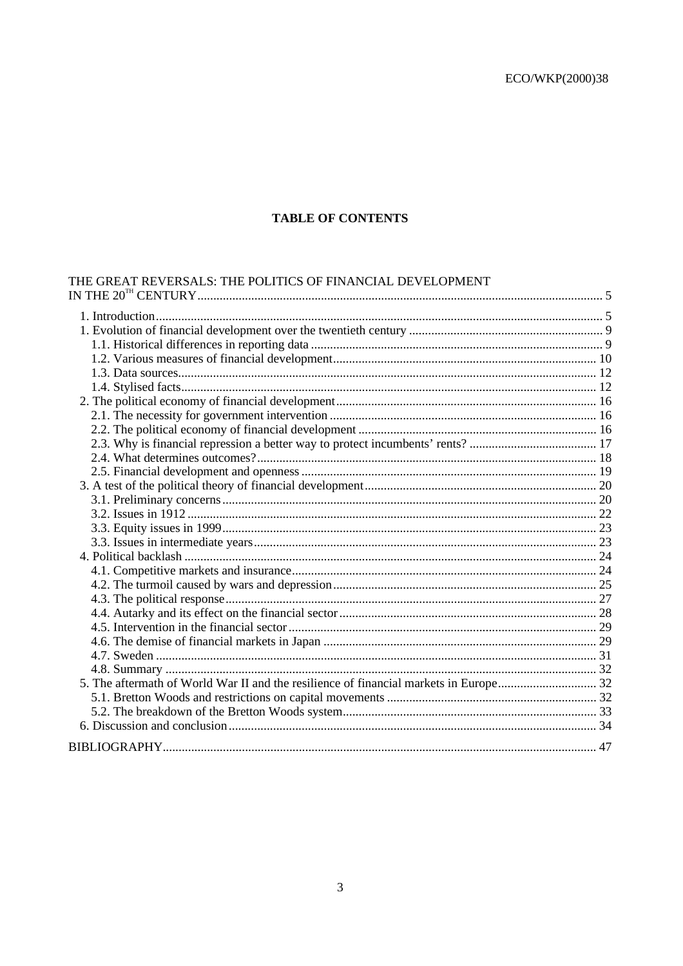## **TABLE OF CONTENTS**

| THE GREAT REVERSALS: THE POLITICS OF FINANCIAL DEVELOPMENT |  |
|------------------------------------------------------------|--|
|                                                            |  |
|                                                            |  |
|                                                            |  |
|                                                            |  |
|                                                            |  |
|                                                            |  |
|                                                            |  |
|                                                            |  |
|                                                            |  |
|                                                            |  |
|                                                            |  |
|                                                            |  |
|                                                            |  |
|                                                            |  |
|                                                            |  |
|                                                            |  |
|                                                            |  |
|                                                            |  |
|                                                            |  |
|                                                            |  |
|                                                            |  |
|                                                            |  |
|                                                            |  |
|                                                            |  |
|                                                            |  |
|                                                            |  |
|                                                            |  |
|                                                            |  |
|                                                            |  |
|                                                            |  |
|                                                            |  |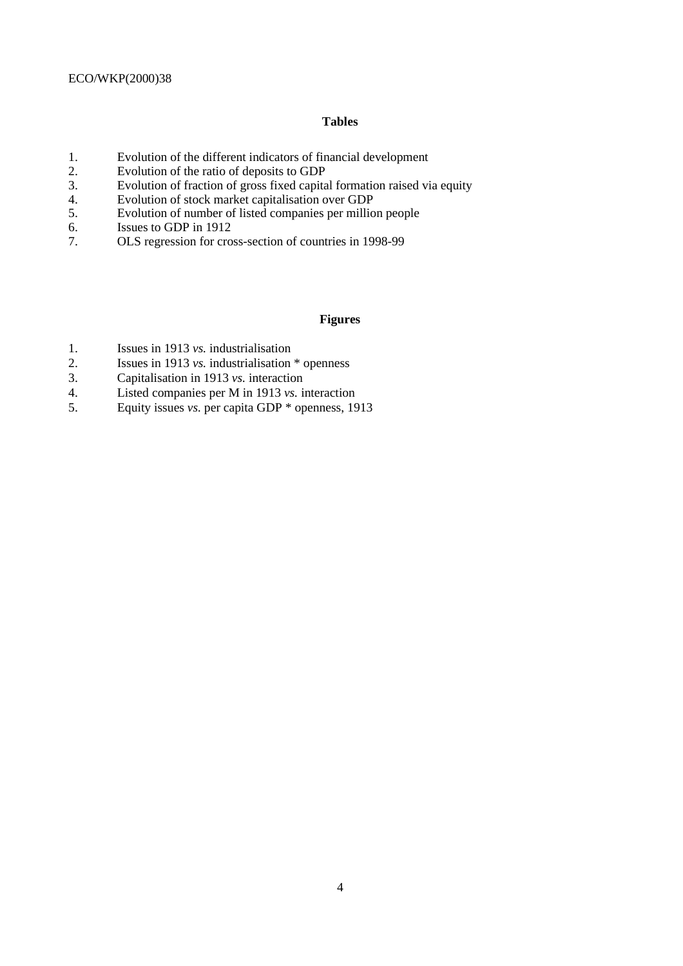### **Tables**

- 1. Evolution of the different indicators of financial development
- 2. Evolution of the ratio of deposits to GDP<br>3. Evolution of fraction of gross fixed capital
- 3. Evolution of fraction of gross fixed capital formation raised via equity<br>4. Evolution of stock market capitalisation over GDP
- Evolution of stock market capitalisation over GDP
- 5. Evolution of number of listed companies per million people<br>6. Issues to GDP in 1912
- 6. Issues to GDP in 1912
- 7. OLS regression for cross-section of countries in 1998-99

### **Figures**

- 1. Issues in 1913 *vs.* industrialisation<br>2. Issues in 1913 *vs.* industrialisation
- 2. Issues in 1913 *vs.* industrialisation \* openness
- 3. Capitalisation in 1913 *vs.* interaction
- 4. Listed companies per M in 1913 *vs.* interaction<br>5. Equity issues *vs.* per capita GDP \* openness, 19
- 5. Equity issues *vs.* per capita GDP \* openness, 1913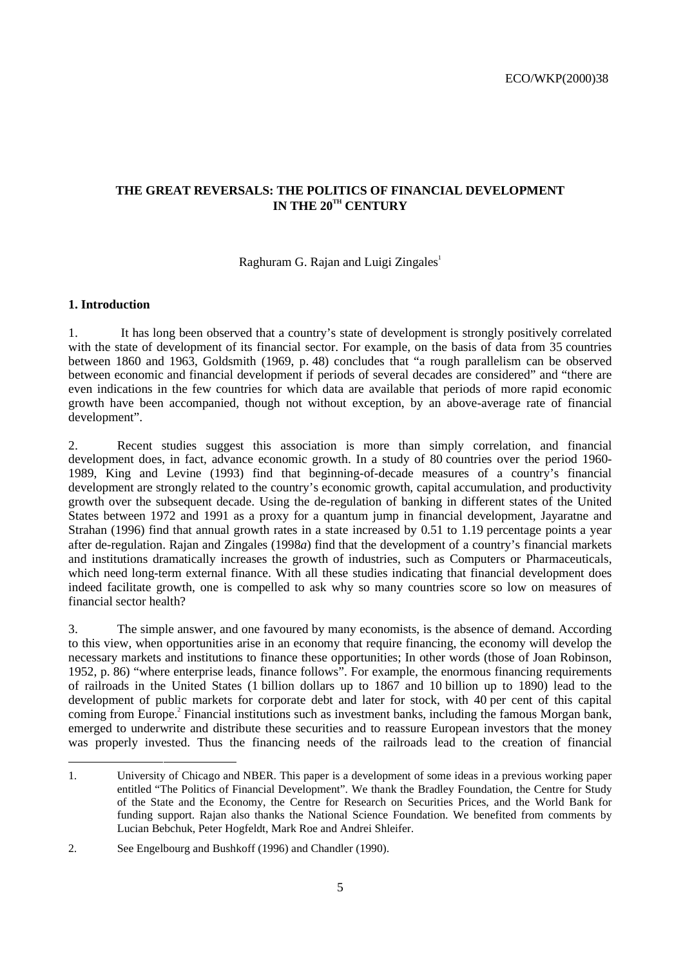### **THE GREAT REVERSALS: THE POLITICS OF FINANCIAL DEVELOPMENT IN THE 20TH CENTURY**

Raghuram G. Rajan and Luigi Zingales<sup>1</sup>

#### **1. Introduction**

-

1. It has long been observed that a country's state of development is strongly positively correlated with the state of development of its financial sector. For example, on the basis of data from 35 countries between 1860 and 1963, Goldsmith (1969, p. 48) concludes that "a rough parallelism can be observed between economic and financial development if periods of several decades are considered" and "there are even indications in the few countries for which data are available that periods of more rapid economic growth have been accompanied, though not without exception, by an above-average rate of financial development".

2. Recent studies suggest this association is more than simply correlation, and financial development does, in fact, advance economic growth. In a study of 80 countries over the period 1960- 1989, King and Levine (1993) find that beginning-of-decade measures of a country's financial development are strongly related to the country's economic growth, capital accumulation, and productivity growth over the subsequent decade. Using the de-regulation of banking in different states of the United States between 1972 and 1991 as a proxy for a quantum jump in financial development, Jayaratne and Strahan (1996) find that annual growth rates in a state increased by 0.51 to 1.19 percentage points a year after de-regulation. Rajan and Zingales (1998*a*) find that the development of a country's financial markets and institutions dramatically increases the growth of industries, such as Computers or Pharmaceuticals, which need long-term external finance. With all these studies indicating that financial development does indeed facilitate growth, one is compelled to ask why so many countries score so low on measures of financial sector health?

3. The simple answer, and one favoured by many economists, is the absence of demand. According to this view, when opportunities arise in an economy that require financing, the economy will develop the necessary markets and institutions to finance these opportunities; In other words (those of Joan Robinson, 1952, p. 86) "where enterprise leads, finance follows". For example, the enormous financing requirements of railroads in the United States (1 billion dollars up to 1867 and 10 billion up to 1890) lead to the development of public markets for corporate debt and later for stock, with 40 per cent of this capital coming from Europe.<sup>2</sup> Financial institutions such as investment banks, including the famous Morgan bank, emerged to underwrite and distribute these securities and to reassure European investors that the money was properly invested. Thus the financing needs of the railroads lead to the creation of financial

<sup>1.</sup> University of Chicago and NBER. This paper is a development of some ideas in a previous working paper entitled "The Politics of Financial Development". We thank the Bradley Foundation, the Centre for Study of the State and the Economy, the Centre for Research on Securities Prices, and the World Bank for funding support. Rajan also thanks the National Science Foundation. We benefited from comments by Lucian Bebchuk, Peter Hogfeldt, Mark Roe and Andrei Shleifer.

<sup>2.</sup> See Engelbourg and Bushkoff (1996) and Chandler (1990).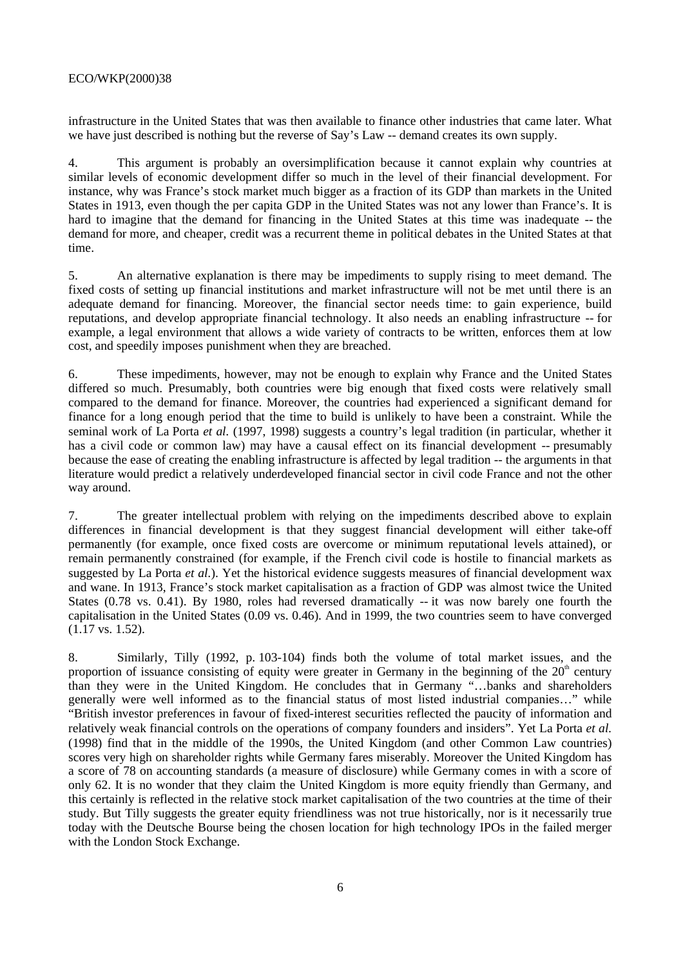infrastructure in the United States that was then available to finance other industries that came later. What we have just described is nothing but the reverse of Say's Law -- demand creates its own supply.

4. This argument is probably an oversimplification because it cannot explain why countries at similar levels of economic development differ so much in the level of their financial development. For instance, why was France's stock market much bigger as a fraction of its GDP than markets in the United States in 1913, even though the per capita GDP in the United States was not any lower than France's. It is hard to imagine that the demand for financing in the United States at this time was inadequate -- the demand for more, and cheaper, credit was a recurrent theme in political debates in the United States at that time.

5. An alternative explanation is there may be impediments to supply rising to meet demand. The fixed costs of setting up financial institutions and market infrastructure will not be met until there is an adequate demand for financing. Moreover, the financial sector needs time: to gain experience, build reputations, and develop appropriate financial technology. It also needs an enabling infrastructure -- for example, a legal environment that allows a wide variety of contracts to be written, enforces them at low cost, and speedily imposes punishment when they are breached.

6. These impediments, however, may not be enough to explain why France and the United States differed so much. Presumably, both countries were big enough that fixed costs were relatively small compared to the demand for finance. Moreover, the countries had experienced a significant demand for finance for a long enough period that the time to build is unlikely to have been a constraint. While the seminal work of La Porta *et al.* (1997, 1998) suggests a country's legal tradition (in particular, whether it has a civil code or common law) may have a causal effect on its financial development -- presumably because the ease of creating the enabling infrastructure is affected by legal tradition -- the arguments in that literature would predict a relatively underdeveloped financial sector in civil code France and not the other way around.

7. The greater intellectual problem with relying on the impediments described above to explain differences in financial development is that they suggest financial development will either take-off permanently (for example, once fixed costs are overcome or minimum reputational levels attained), or remain permanently constrained (for example, if the French civil code is hostile to financial markets as suggested by La Porta *et al.*). Yet the historical evidence suggests measures of financial development wax and wane. In 1913, France's stock market capitalisation as a fraction of GDP was almost twice the United States (0.78 vs. 0.41). By 1980, roles had reversed dramatically -- it was now barely one fourth the capitalisation in the United States (0.09 vs. 0.46). And in 1999, the two countries seem to have converged  $(1.17 \text{ vs. } 1.52).$ 

8. Similarly, Tilly (1992, p. 103-104) finds both the volume of total market issues, and the proportion of issuance consisting of equity were greater in Germany in the beginning of the  $20<sup>th</sup>$  century than they were in the United Kingdom. He concludes that in Germany "…banks and shareholders generally were well informed as to the financial status of most listed industrial companies…" while "British investor preferences in favour of fixed-interest securities reflected the paucity of information and relatively weak financial controls on the operations of company founders and insiders". Yet La Porta *et al.* (1998) find that in the middle of the 1990s, the United Kingdom (and other Common Law countries) scores very high on shareholder rights while Germany fares miserably. Moreover the United Kingdom has a score of 78 on accounting standards (a measure of disclosure) while Germany comes in with a score of only 62. It is no wonder that they claim the United Kingdom is more equity friendly than Germany, and this certainly is reflected in the relative stock market capitalisation of the two countries at the time of their study. But Tilly suggests the greater equity friendliness was not true historically, nor is it necessarily true today with the Deutsche Bourse being the chosen location for high technology IPOs in the failed merger with the London Stock Exchange.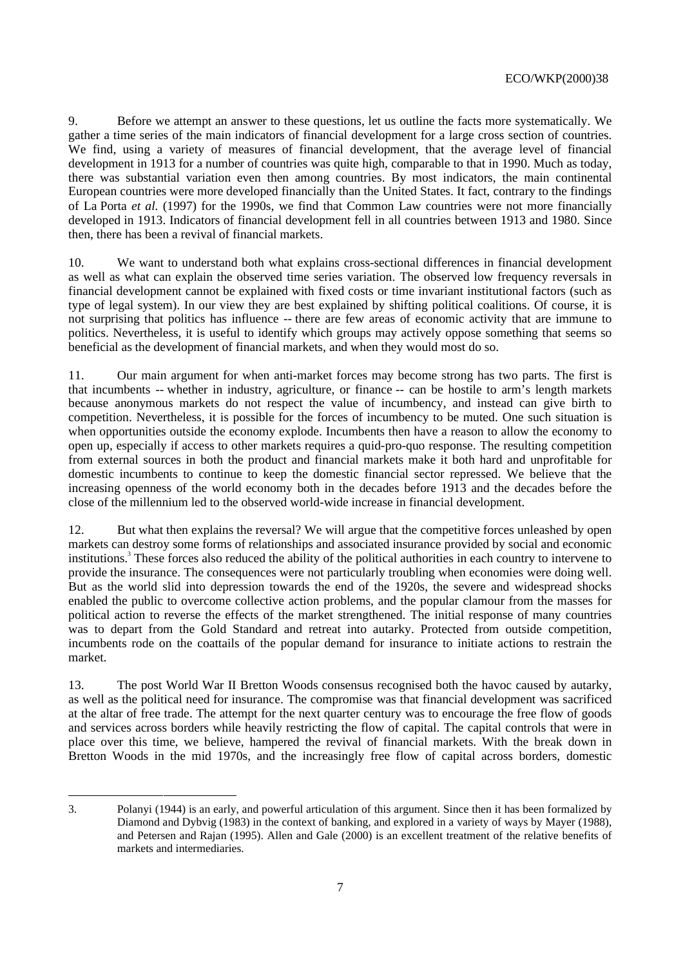9. Before we attempt an answer to these questions, let us outline the facts more systematically. We gather a time series of the main indicators of financial development for a large cross section of countries. We find, using a variety of measures of financial development, that the average level of financial development in 1913 for a number of countries was quite high, comparable to that in 1990. Much as today, there was substantial variation even then among countries. By most indicators, the main continental European countries were more developed financially than the United States. It fact, contrary to the findings of La Porta *et al.* (1997) for the 1990s, we find that Common Law countries were not more financially developed in 1913. Indicators of financial development fell in all countries between 1913 and 1980. Since then, there has been a revival of financial markets.

10. We want to understand both what explains cross-sectional differences in financial development as well as what can explain the observed time series variation. The observed low frequency reversals in financial development cannot be explained with fixed costs or time invariant institutional factors (such as type of legal system). In our view they are best explained by shifting political coalitions. Of course, it is not surprising that politics has influence -- there are few areas of economic activity that are immune to politics. Nevertheless, it is useful to identify which groups may actively oppose something that seems so beneficial as the development of financial markets, and when they would most do so.

11. Our main argument for when anti-market forces may become strong has two parts. The first is that incumbents -- whether in industry, agriculture, or finance -- can be hostile to arm's length markets because anonymous markets do not respect the value of incumbency, and instead can give birth to competition. Nevertheless, it is possible for the forces of incumbency to be muted. One such situation is when opportunities outside the economy explode. Incumbents then have a reason to allow the economy to open up, especially if access to other markets requires a quid-pro-quo response. The resulting competition from external sources in both the product and financial markets make it both hard and unprofitable for domestic incumbents to continue to keep the domestic financial sector repressed. We believe that the increasing openness of the world economy both in the decades before 1913 and the decades before the close of the millennium led to the observed world-wide increase in financial development.

12. But what then explains the reversal? We will argue that the competitive forces unleashed by open markets can destroy some forms of relationships and associated insurance provided by social and economic institutions.<sup>3</sup> These forces also reduced the ability of the political authorities in each country to intervene to provide the insurance. The consequences were not particularly troubling when economies were doing well. But as the world slid into depression towards the end of the 1920s, the severe and widespread shocks enabled the public to overcome collective action problems, and the popular clamour from the masses for political action to reverse the effects of the market strengthened. The initial response of many countries was to depart from the Gold Standard and retreat into autarky. Protected from outside competition, incumbents rode on the coattails of the popular demand for insurance to initiate actions to restrain the market.

13. The post World War II Bretton Woods consensus recognised both the havoc caused by autarky, as well as the political need for insurance. The compromise was that financial development was sacrificed at the altar of free trade. The attempt for the next quarter century was to encourage the free flow of goods and services across borders while heavily restricting the flow of capital. The capital controls that were in place over this time, we believe, hampered the revival of financial markets. With the break down in Bretton Woods in the mid 1970s, and the increasingly free flow of capital across borders, domestic

<sup>-</sup>3. Polanyi (1944) is an early, and powerful articulation of this argument. Since then it has been formalized by Diamond and Dybvig (1983) in the context of banking, and explored in a variety of ways by Mayer (1988), and Petersen and Rajan (1995). Allen and Gale (2000) is an excellent treatment of the relative benefits of markets and intermediaries.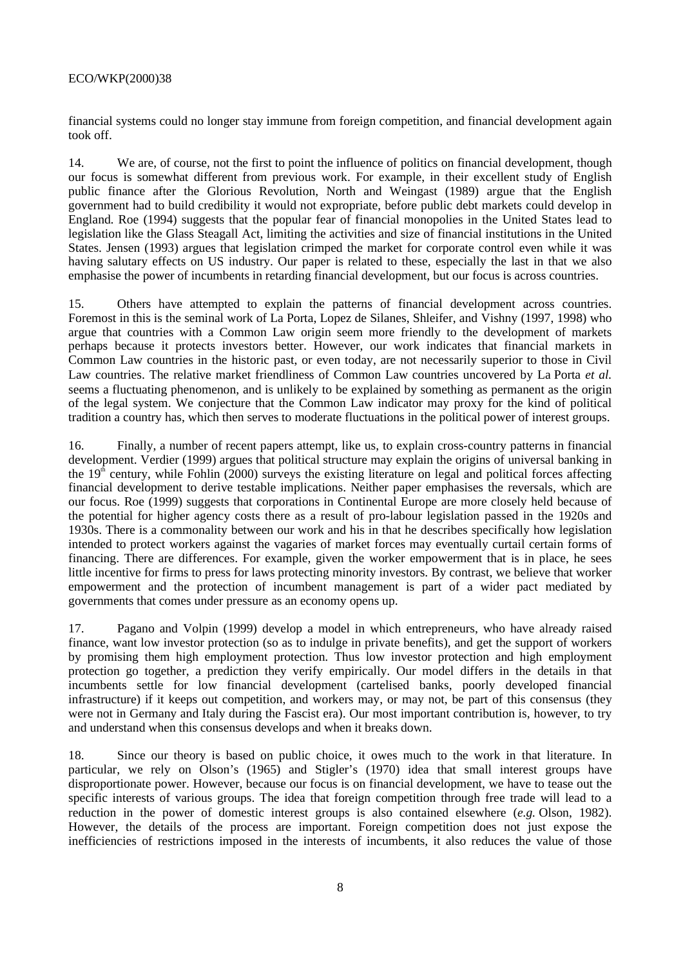financial systems could no longer stay immune from foreign competition, and financial development again took off.

14. We are, of course, not the first to point the influence of politics on financial development, though our focus is somewhat different from previous work. For example, in their excellent study of English public finance after the Glorious Revolution, North and Weingast (1989) argue that the English government had to build credibility it would not expropriate, before public debt markets could develop in England. Roe (1994) suggests that the popular fear of financial monopolies in the United States lead to legislation like the Glass Steagall Act, limiting the activities and size of financial institutions in the United States. Jensen (1993) argues that legislation crimped the market for corporate control even while it was having salutary effects on US industry. Our paper is related to these, especially the last in that we also emphasise the power of incumbents in retarding financial development, but our focus is across countries.

15. Others have attempted to explain the patterns of financial development across countries. Foremost in this is the seminal work of La Porta, Lopez de Silanes, Shleifer, and Vishny (1997, 1998) who argue that countries with a Common Law origin seem more friendly to the development of markets perhaps because it protects investors better. However, our work indicates that financial markets in Common Law countries in the historic past, or even today, are not necessarily superior to those in Civil Law countries. The relative market friendliness of Common Law countries uncovered by La Porta *et al.* seems a fluctuating phenomenon, and is unlikely to be explained by something as permanent as the origin of the legal system. We conjecture that the Common Law indicator may proxy for the kind of political tradition a country has, which then serves to moderate fluctuations in the political power of interest groups.

16. Finally, a number of recent papers attempt, like us, to explain cross-country patterns in financial development. Verdier (1999) argues that political structure may explain the origins of universal banking in the  $19<sup>th</sup>$  century, while Fohlin (2000) surveys the existing literature on legal and political forces affecting financial development to derive testable implications. Neither paper emphasises the reversals, which are our focus. Roe (1999) suggests that corporations in Continental Europe are more closely held because of the potential for higher agency costs there as a result of pro-labour legislation passed in the 1920s and 1930s. There is a commonality between our work and his in that he describes specifically how legislation intended to protect workers against the vagaries of market forces may eventually curtail certain forms of financing. There are differences. For example, given the worker empowerment that is in place, he sees little incentive for firms to press for laws protecting minority investors. By contrast, we believe that worker empowerment and the protection of incumbent management is part of a wider pact mediated by governments that comes under pressure as an economy opens up.

17. Pagano and Volpin (1999) develop a model in which entrepreneurs, who have already raised finance, want low investor protection (so as to indulge in private benefits), and get the support of workers by promising them high employment protection. Thus low investor protection and high employment protection go together, a prediction they verify empirically. Our model differs in the details in that incumbents settle for low financial development (cartelised banks, poorly developed financial infrastructure) if it keeps out competition, and workers may, or may not, be part of this consensus (they were not in Germany and Italy during the Fascist era). Our most important contribution is, however, to try and understand when this consensus develops and when it breaks down.

18. Since our theory is based on public choice, it owes much to the work in that literature. In particular, we rely on Olson's (1965) and Stigler's (1970) idea that small interest groups have disproportionate power. However, because our focus is on financial development, we have to tease out the specific interests of various groups. The idea that foreign competition through free trade will lead to a reduction in the power of domestic interest groups is also contained elsewhere (*e.g.* Olson, 1982). However, the details of the process are important. Foreign competition does not just expose the inefficiencies of restrictions imposed in the interests of incumbents, it also reduces the value of those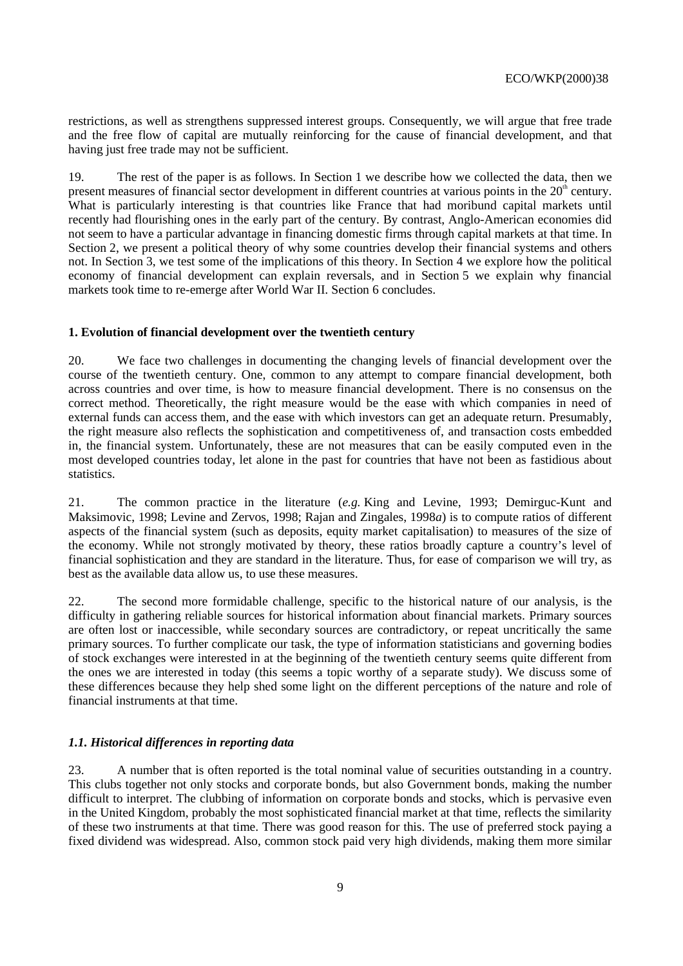restrictions, as well as strengthens suppressed interest groups. Consequently, we will argue that free trade and the free flow of capital are mutually reinforcing for the cause of financial development, and that having just free trade may not be sufficient.

19. The rest of the paper is as follows. In Section 1 we describe how we collected the data, then we present measures of financial sector development in different countries at various points in the  $20<sup>th</sup>$  century. What is particularly interesting is that countries like France that had moribund capital markets until recently had flourishing ones in the early part of the century. By contrast, Anglo-American economies did not seem to have a particular advantage in financing domestic firms through capital markets at that time. In Section 2, we present a political theory of why some countries develop their financial systems and others not. In Section 3, we test some of the implications of this theory. In Section 4 we explore how the political economy of financial development can explain reversals, and in Section 5 we explain why financial markets took time to re-emerge after World War II. Section 6 concludes.

#### **1. Evolution of financial development over the twentieth century**

20. We face two challenges in documenting the changing levels of financial development over the course of the twentieth century. One, common to any attempt to compare financial development, both across countries and over time, is how to measure financial development. There is no consensus on the correct method. Theoretically, the right measure would be the ease with which companies in need of external funds can access them, and the ease with which investors can get an adequate return. Presumably, the right measure also reflects the sophistication and competitiveness of, and transaction costs embedded in, the financial system. Unfortunately, these are not measures that can be easily computed even in the most developed countries today, let alone in the past for countries that have not been as fastidious about statistics.

21. The common practice in the literature (*e.g.* King and Levine, 1993; Demirguc-Kunt and Maksimovic, 1998; Levine and Zervos, 1998; Rajan and Zingales, 1998*a*) is to compute ratios of different aspects of the financial system (such as deposits, equity market capitalisation) to measures of the size of the economy. While not strongly motivated by theory, these ratios broadly capture a country's level of financial sophistication and they are standard in the literature. Thus, for ease of comparison we will try, as best as the available data allow us, to use these measures.

22. The second more formidable challenge, specific to the historical nature of our analysis, is the difficulty in gathering reliable sources for historical information about financial markets. Primary sources are often lost or inaccessible, while secondary sources are contradictory, or repeat uncritically the same primary sources. To further complicate our task, the type of information statisticians and governing bodies of stock exchanges were interested in at the beginning of the twentieth century seems quite different from the ones we are interested in today (this seems a topic worthy of a separate study). We discuss some of these differences because they help shed some light on the different perceptions of the nature and role of financial instruments at that time.

### *1.1. Historical differences in reporting data*

23. A number that is often reported is the total nominal value of securities outstanding in a country. This clubs together not only stocks and corporate bonds, but also Government bonds, making the number difficult to interpret. The clubbing of information on corporate bonds and stocks, which is pervasive even in the United Kingdom, probably the most sophisticated financial market at that time, reflects the similarity of these two instruments at that time. There was good reason for this. The use of preferred stock paying a fixed dividend was widespread. Also, common stock paid very high dividends, making them more similar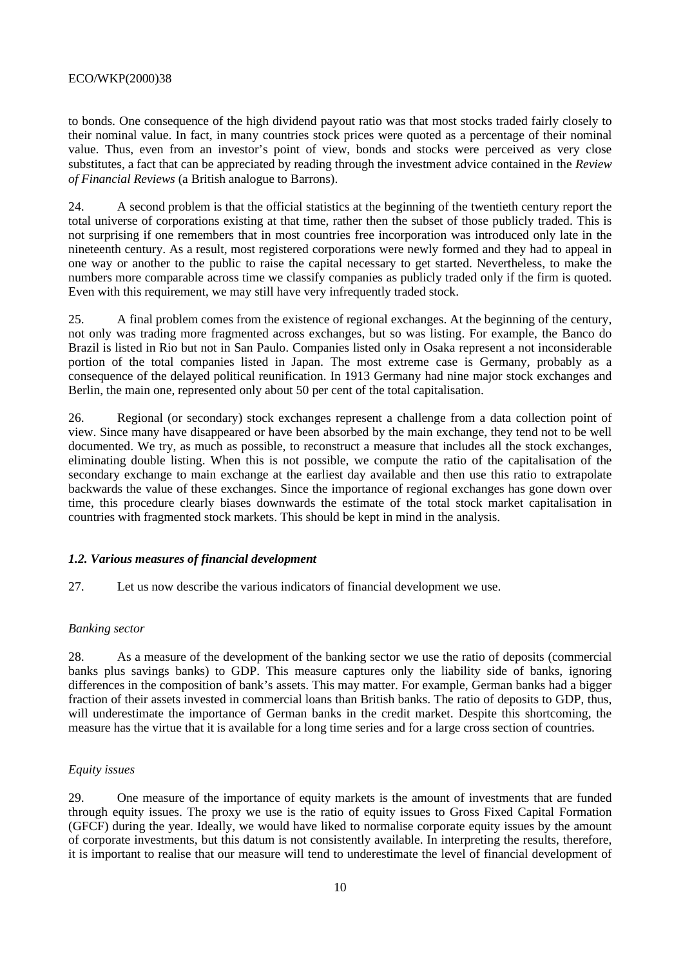to bonds. One consequence of the high dividend payout ratio was that most stocks traded fairly closely to their nominal value. In fact, in many countries stock prices were quoted as a percentage of their nominal value. Thus, even from an investor's point of view, bonds and stocks were perceived as very close substitutes, a fact that can be appreciated by reading through the investment advice contained in the *Review of Financial Reviews* (a British analogue to Barrons).

24. A second problem is that the official statistics at the beginning of the twentieth century report the total universe of corporations existing at that time, rather then the subset of those publicly traded. This is not surprising if one remembers that in most countries free incorporation was introduced only late in the nineteenth century. As a result, most registered corporations were newly formed and they had to appeal in one way or another to the public to raise the capital necessary to get started. Nevertheless, to make the numbers more comparable across time we classify companies as publicly traded only if the firm is quoted. Even with this requirement, we may still have very infrequently traded stock.

25. A final problem comes from the existence of regional exchanges. At the beginning of the century, not only was trading more fragmented across exchanges, but so was listing. For example, the Banco do Brazil is listed in Rio but not in San Paulo. Companies listed only in Osaka represent a not inconsiderable portion of the total companies listed in Japan. The most extreme case is Germany, probably as a consequence of the delayed political reunification. In 1913 Germany had nine major stock exchanges and Berlin, the main one, represented only about 50 per cent of the total capitalisation.

26. Regional (or secondary) stock exchanges represent a challenge from a data collection point of view. Since many have disappeared or have been absorbed by the main exchange, they tend not to be well documented. We try, as much as possible, to reconstruct a measure that includes all the stock exchanges, eliminating double listing. When this is not possible, we compute the ratio of the capitalisation of the secondary exchange to main exchange at the earliest day available and then use this ratio to extrapolate backwards the value of these exchanges. Since the importance of regional exchanges has gone down over time, this procedure clearly biases downwards the estimate of the total stock market capitalisation in countries with fragmented stock markets. This should be kept in mind in the analysis.

### *1.2. Various measures of financial development*

27. Let us now describe the various indicators of financial development we use.

#### *Banking sector*

28. As a measure of the development of the banking sector we use the ratio of deposits (commercial banks plus savings banks) to GDP. This measure captures only the liability side of banks, ignoring differences in the composition of bank's assets. This may matter. For example, German banks had a bigger fraction of their assets invested in commercial loans than British banks. The ratio of deposits to GDP, thus, will underestimate the importance of German banks in the credit market. Despite this shortcoming, the measure has the virtue that it is available for a long time series and for a large cross section of countries.

#### *Equity issues*

29. One measure of the importance of equity markets is the amount of investments that are funded through equity issues. The proxy we use is the ratio of equity issues to Gross Fixed Capital Formation (GFCF) during the year. Ideally, we would have liked to normalise corporate equity issues by the amount of corporate investments, but this datum is not consistently available. In interpreting the results, therefore, it is important to realise that our measure will tend to underestimate the level of financial development of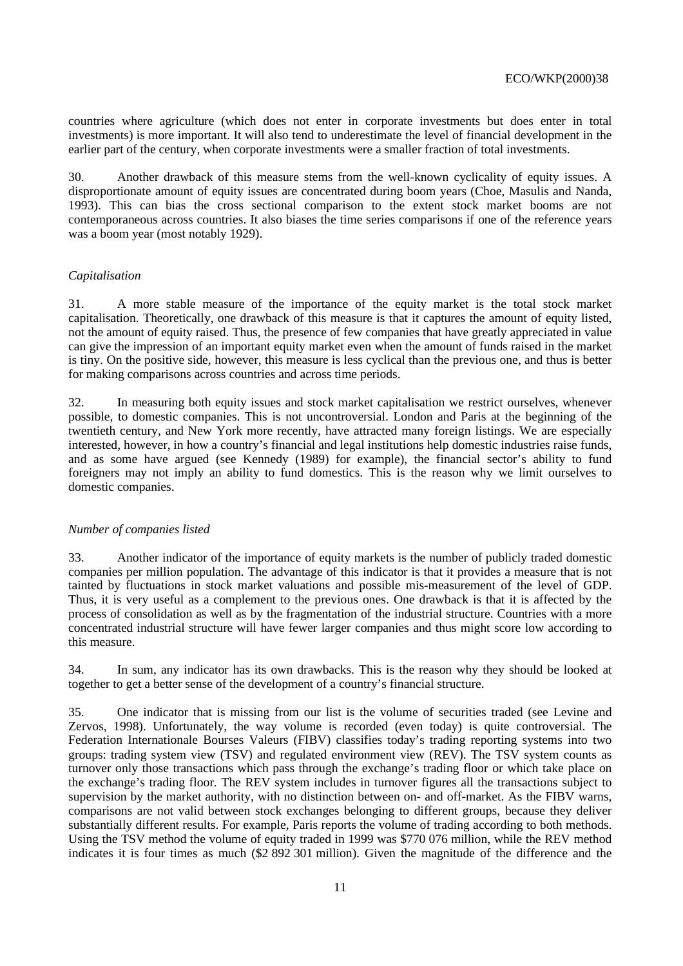countries where agriculture (which does not enter in corporate investments but does enter in total investments) is more important. It will also tend to underestimate the level of financial development in the earlier part of the century, when corporate investments were a smaller fraction of total investments.

Another drawback of this measure stems from the well-known cyclicality of equity issues. A disproportionate amount of equity issues are concentrated during boom years (Choe, Masulis and Nanda, 1993). This can bias the cross sectional comparison to the extent stock market booms are not contemporaneous across countries. It also biases the time series comparisons if one of the reference years was a boom year (most notably 1929).

#### *Capitalisation*

31. A more stable measure of the importance of the equity market is the total stock market capitalisation. Theoretically, one drawback of this measure is that it captures the amount of equity listed, not the amount of equity raised. Thus, the presence of few companies that have greatly appreciated in value can give the impression of an important equity market even when the amount of funds raised in the market is tiny. On the positive side, however, this measure is less cyclical than the previous one, and thus is better for making comparisons across countries and across time periods.

32. In measuring both equity issues and stock market capitalisation we restrict ourselves, whenever possible, to domestic companies. This is not uncontroversial. London and Paris at the beginning of the twentieth century, and New York more recently, have attracted many foreign listings. We are especially interested, however, in how a country's financial and legal institutions help domestic industries raise funds, and as some have argued (see Kennedy (1989) for example), the financial sector's ability to fund foreigners may not imply an ability to fund domestics. This is the reason why we limit ourselves to domestic companies.

#### *Number of companies listed*

33. Another indicator of the importance of equity markets is the number of publicly traded domestic companies per million population. The advantage of this indicator is that it provides a measure that is not tainted by fluctuations in stock market valuations and possible mis-measurement of the level of GDP. Thus, it is very useful as a complement to the previous ones. One drawback is that it is affected by the process of consolidation as well as by the fragmentation of the industrial structure. Countries with a more concentrated industrial structure will have fewer larger companies and thus might score low according to this measure.

34. In sum, any indicator has its own drawbacks. This is the reason why they should be looked at together to get a better sense of the development of a country's financial structure.

35. One indicator that is missing from our list is the volume of securities traded (see Levine and Zervos, 1998). Unfortunately, the way volume is recorded (even today) is quite controversial. The Federation Internationale Bourses Valeurs (FIBV) classifies today's trading reporting systems into two groups: trading system view (TSV) and regulated environment view (REV). The TSV system counts as turnover only those transactions which pass through the exchange's trading floor or which take place on the exchange's trading floor. The REV system includes in turnover figures all the transactions subject to supervision by the market authority, with no distinction between on- and off-market. As the FIBV warns, comparisons are not valid between stock exchanges belonging to different groups, because they deliver substantially different results. For example, Paris reports the volume of trading according to both methods. Using the TSV method the volume of equity traded in 1999 was \$770 076 million, while the REV method indicates it is four times as much (\$2 892 301 million). Given the magnitude of the difference and the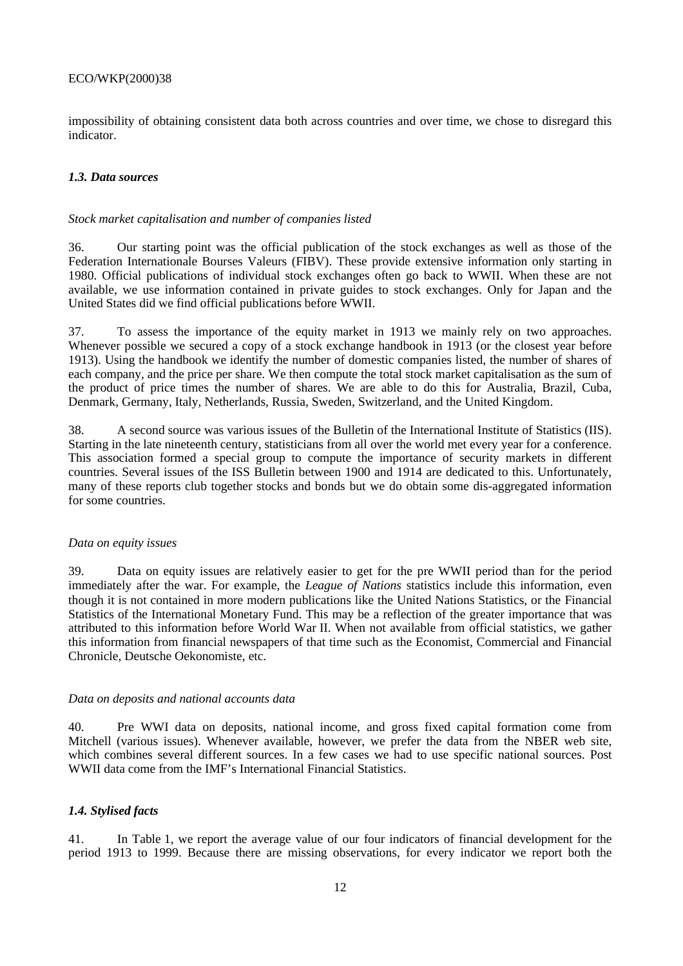impossibility of obtaining consistent data both across countries and over time, we chose to disregard this indicator.

### *1.3. Data sources*

#### *Stock market capitalisation and number of companies listed*

36. Our starting point was the official publication of the stock exchanges as well as those of the Federation Internationale Bourses Valeurs (FIBV). These provide extensive information only starting in 1980. Official publications of individual stock exchanges often go back to WWII. When these are not available, we use information contained in private guides to stock exchanges. Only for Japan and the United States did we find official publications before WWII.

37. To assess the importance of the equity market in 1913 we mainly rely on two approaches. Whenever possible we secured a copy of a stock exchange handbook in 1913 (or the closest year before 1913). Using the handbook we identify the number of domestic companies listed, the number of shares of each company, and the price per share. We then compute the total stock market capitalisation as the sum of the product of price times the number of shares. We are able to do this for Australia, Brazil, Cuba, Denmark, Germany, Italy, Netherlands, Russia, Sweden, Switzerland, and the United Kingdom.

38. A second source was various issues of the Bulletin of the International Institute of Statistics (IIS). Starting in the late nineteenth century, statisticians from all over the world met every year for a conference. This association formed a special group to compute the importance of security markets in different countries. Several issues of the ISS Bulletin between 1900 and 1914 are dedicated to this. Unfortunately, many of these reports club together stocks and bonds but we do obtain some dis-aggregated information for some countries.

#### *Data on equity issues*

39. Data on equity issues are relatively easier to get for the pre WWII period than for the period immediately after the war. For example, the *League of Nations* statistics include this information, even though it is not contained in more modern publications like the United Nations Statistics, or the Financial Statistics of the International Monetary Fund. This may be a reflection of the greater importance that was attributed to this information before World War II. When not available from official statistics, we gather this information from financial newspapers of that time such as the Economist, Commercial and Financial Chronicle, Deutsche Oekonomiste, etc.

#### *Data on deposits and national accounts data*

40. Pre WWI data on deposits, national income, and gross fixed capital formation come from Mitchell (various issues). Whenever available, however, we prefer the data from the NBER web site, which combines several different sources. In a few cases we had to use specific national sources. Post WWII data come from the IMF's International Financial Statistics.

### *1.4. Stylised facts*

41. In Table 1, we report the average value of our four indicators of financial development for the period 1913 to 1999. Because there are missing observations, for every indicator we report both the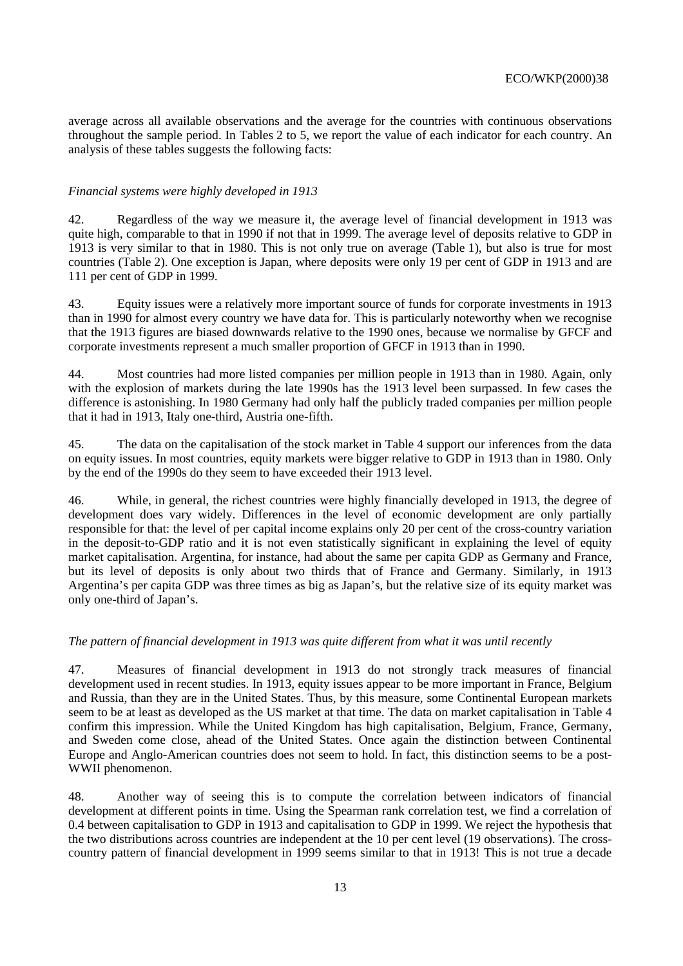average across all available observations and the average for the countries with continuous observations throughout the sample period. In Tables 2 to 5, we report the value of each indicator for each country. An analysis of these tables suggests the following facts:

### *Financial systems were highly developed in 1913*

42. Regardless of the way we measure it, the average level of financial development in 1913 was quite high, comparable to that in 1990 if not that in 1999. The average level of deposits relative to GDP in 1913 is very similar to that in 1980. This is not only true on average (Table 1), but also is true for most countries (Table 2). One exception is Japan, where deposits were only 19 per cent of GDP in 1913 and are 111 per cent of GDP in 1999.

43. Equity issues were a relatively more important source of funds for corporate investments in 1913 than in 1990 for almost every country we have data for. This is particularly noteworthy when we recognise that the 1913 figures are biased downwards relative to the 1990 ones, because we normalise by GFCF and corporate investments represent a much smaller proportion of GFCF in 1913 than in 1990.

44. Most countries had more listed companies per million people in 1913 than in 1980. Again, only with the explosion of markets during the late 1990s has the 1913 level been surpassed. In few cases the difference is astonishing. In 1980 Germany had only half the publicly traded companies per million people that it had in 1913, Italy one-third, Austria one-fifth.

45. The data on the capitalisation of the stock market in Table 4 support our inferences from the data on equity issues. In most countries, equity markets were bigger relative to GDP in 1913 than in 1980. Only by the end of the 1990s do they seem to have exceeded their 1913 level.

46. While, in general, the richest countries were highly financially developed in 1913, the degree of development does vary widely. Differences in the level of economic development are only partially responsible for that: the level of per capital income explains only 20 per cent of the cross-country variation in the deposit-to-GDP ratio and it is not even statistically significant in explaining the level of equity market capitalisation. Argentina, for instance, had about the same per capita GDP as Germany and France, but its level of deposits is only about two thirds that of France and Germany. Similarly, in 1913 Argentina's per capita GDP was three times as big as Japan's, but the relative size of its equity market was only one-third of Japan's.

#### *The pattern of financial development in 1913 was quite different from what it was until recently*

47. Measures of financial development in 1913 do not strongly track measures of financial development used in recent studies. In 1913, equity issues appear to be more important in France, Belgium and Russia, than they are in the United States. Thus, by this measure, some Continental European markets seem to be at least as developed as the US market at that time. The data on market capitalisation in Table 4 confirm this impression. While the United Kingdom has high capitalisation, Belgium, France, Germany, and Sweden come close, ahead of the United States. Once again the distinction between Continental Europe and Anglo-American countries does not seem to hold. In fact, this distinction seems to be a post-WWII phenomenon.

48. Another way of seeing this is to compute the correlation between indicators of financial development at different points in time. Using the Spearman rank correlation test, we find a correlation of 0.4 between capitalisation to GDP in 1913 and capitalisation to GDP in 1999. We reject the hypothesis that the two distributions across countries are independent at the 10 per cent level (19 observations). The crosscountry pattern of financial development in 1999 seems similar to that in 1913! This is not true a decade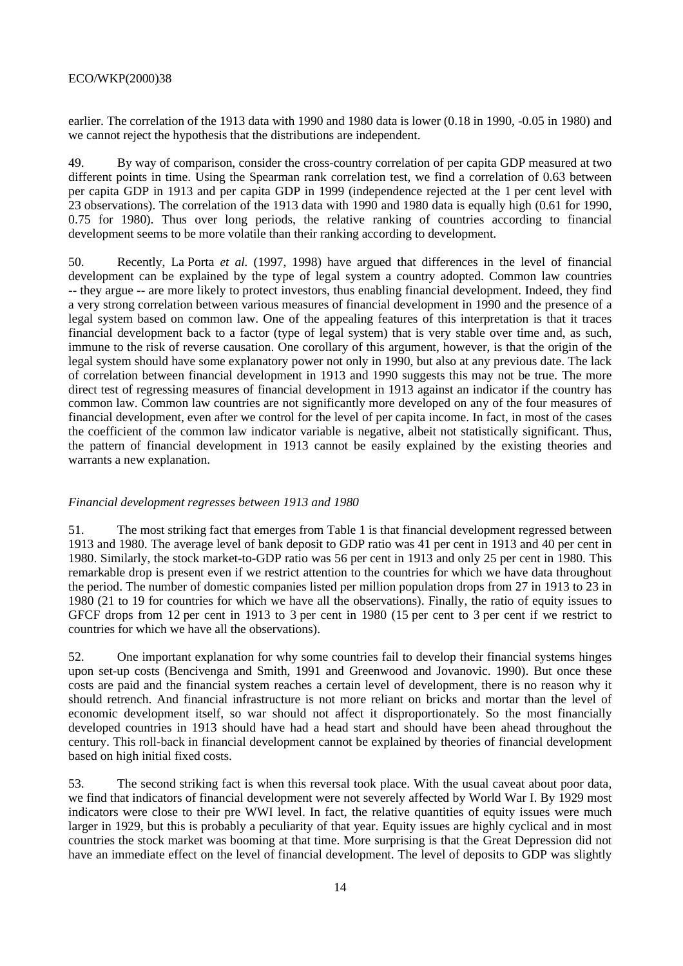earlier. The correlation of the 1913 data with 1990 and 1980 data is lower (0.18 in 1990, -0.05 in 1980) and we cannot reject the hypothesis that the distributions are independent.

49. By way of comparison, consider the cross-country correlation of per capita GDP measured at two different points in time. Using the Spearman rank correlation test, we find a correlation of 0.63 between per capita GDP in 1913 and per capita GDP in 1999 (independence rejected at the 1 per cent level with 23 observations). The correlation of the 1913 data with 1990 and 1980 data is equally high (0.61 for 1990, 0.75 for 1980). Thus over long periods, the relative ranking of countries according to financial development seems to be more volatile than their ranking according to development.

50. Recently, La Porta *et al.* (1997, 1998) have argued that differences in the level of financial development can be explained by the type of legal system a country adopted. Common law countries -- they argue -- are more likely to protect investors, thus enabling financial development. Indeed, they find a very strong correlation between various measures of financial development in 1990 and the presence of a legal system based on common law. One of the appealing features of this interpretation is that it traces financial development back to a factor (type of legal system) that is very stable over time and, as such, immune to the risk of reverse causation. One corollary of this argument, however, is that the origin of the legal system should have some explanatory power not only in 1990, but also at any previous date. The lack of correlation between financial development in 1913 and 1990 suggests this may not be true. The more direct test of regressing measures of financial development in 1913 against an indicator if the country has common law. Common law countries are not significantly more developed on any of the four measures of financial development, even after we control for the level of per capita income. In fact, in most of the cases the coefficient of the common law indicator variable is negative, albeit not statistically significant. Thus, the pattern of financial development in 1913 cannot be easily explained by the existing theories and warrants a new explanation.

### *Financial development regresses between 1913 and 1980*

51. The most striking fact that emerges from Table 1 is that financial development regressed between 1913 and 1980. The average level of bank deposit to GDP ratio was 41 per cent in 1913 and 40 per cent in 1980. Similarly, the stock market-to-GDP ratio was 56 per cent in 1913 and only 25 per cent in 1980. This remarkable drop is present even if we restrict attention to the countries for which we have data throughout the period. The number of domestic companies listed per million population drops from 27 in 1913 to 23 in 1980 (21 to 19 for countries for which we have all the observations). Finally, the ratio of equity issues to GFCF drops from 12 per cent in 1913 to 3 per cent in 1980 (15 per cent to 3 per cent if we restrict to countries for which we have all the observations).

52. One important explanation for why some countries fail to develop their financial systems hinges upon set-up costs (Bencivenga and Smith, 1991 and Greenwood and Jovanovic. 1990). But once these costs are paid and the financial system reaches a certain level of development, there is no reason why it should retrench. And financial infrastructure is not more reliant on bricks and mortar than the level of economic development itself, so war should not affect it disproportionately. So the most financially developed countries in 1913 should have had a head start and should have been ahead throughout the century. This roll-back in financial development cannot be explained by theories of financial development based on high initial fixed costs.

53. The second striking fact is when this reversal took place. With the usual caveat about poor data, we find that indicators of financial development were not severely affected by World War I. By 1929 most indicators were close to their pre WWI level. In fact, the relative quantities of equity issues were much larger in 1929, but this is probably a peculiarity of that year. Equity issues are highly cyclical and in most countries the stock market was booming at that time. More surprising is that the Great Depression did not have an immediate effect on the level of financial development. The level of deposits to GDP was slightly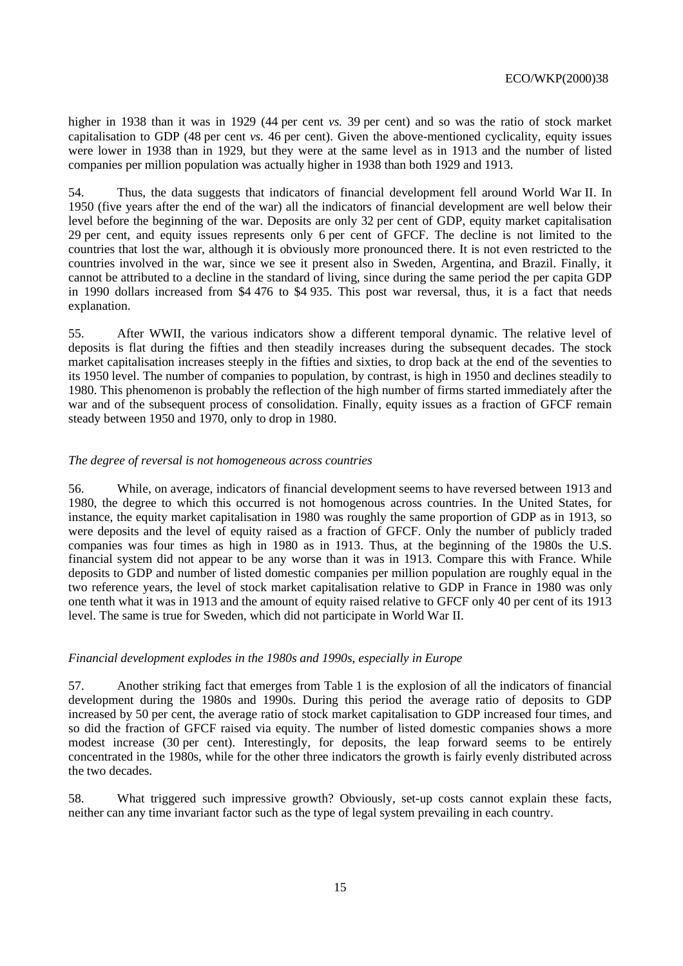higher in 1938 than it was in 1929 (44 per cent *vs.* 39 per cent) and so was the ratio of stock market capitalisation to GDP (48 per cent *vs.* 46 per cent). Given the above-mentioned cyclicality, equity issues were lower in 1938 than in 1929, but they were at the same level as in 1913 and the number of listed companies per million population was actually higher in 1938 than both 1929 and 1913.

54. Thus, the data suggests that indicators of financial development fell around World War II. In 1950 (five years after the end of the war) all the indicators of financial development are well below their level before the beginning of the war. Deposits are only 32 per cent of GDP, equity market capitalisation 29 per cent, and equity issues represents only 6 per cent of GFCF. The decline is not limited to the countries that lost the war, although it is obviously more pronounced there. It is not even restricted to the countries involved in the war, since we see it present also in Sweden, Argentina, and Brazil. Finally, it cannot be attributed to a decline in the standard of living, since during the same period the per capita GDP in 1990 dollars increased from \$4 476 to \$4 935. This post war reversal, thus, it is a fact that needs explanation.

55. After WWII, the various indicators show a different temporal dynamic. The relative level of deposits is flat during the fifties and then steadily increases during the subsequent decades. The stock market capitalisation increases steeply in the fifties and sixties, to drop back at the end of the seventies to its 1950 level. The number of companies to population, by contrast, is high in 1950 and declines steadily to 1980. This phenomenon is probably the reflection of the high number of firms started immediately after the war and of the subsequent process of consolidation. Finally, equity issues as a fraction of GFCF remain steady between 1950 and 1970, only to drop in 1980.

#### *The degree of reversal is not homogeneous across countries*

56. While, on average, indicators of financial development seems to have reversed between 1913 and 1980, the degree to which this occurred is not homogenous across countries. In the United States, for instance, the equity market capitalisation in 1980 was roughly the same proportion of GDP as in 1913, so were deposits and the level of equity raised as a fraction of GFCF. Only the number of publicly traded companies was four times as high in 1980 as in 1913. Thus, at the beginning of the 1980s the U.S. financial system did not appear to be any worse than it was in 1913. Compare this with France. While deposits to GDP and number of listed domestic companies per million population are roughly equal in the two reference years, the level of stock market capitalisation relative to GDP in France in 1980 was only one tenth what it was in 1913 and the amount of equity raised relative to GFCF only 40 per cent of its 1913 level. The same is true for Sweden, which did not participate in World War II.

### *Financial development explodes in the 1980s and 1990s, especially in Europe*

57. Another striking fact that emerges from Table 1 is the explosion of all the indicators of financial development during the 1980s and 1990s. During this period the average ratio of deposits to GDP increased by 50 per cent, the average ratio of stock market capitalisation to GDP increased four times, and so did the fraction of GFCF raised via equity. The number of listed domestic companies shows a more modest increase (30 per cent). Interestingly, for deposits, the leap forward seems to be entirely concentrated in the 1980s, while for the other three indicators the growth is fairly evenly distributed across the two decades.

58. What triggered such impressive growth? Obviously, set-up costs cannot explain these facts, neither can any time invariant factor such as the type of legal system prevailing in each country.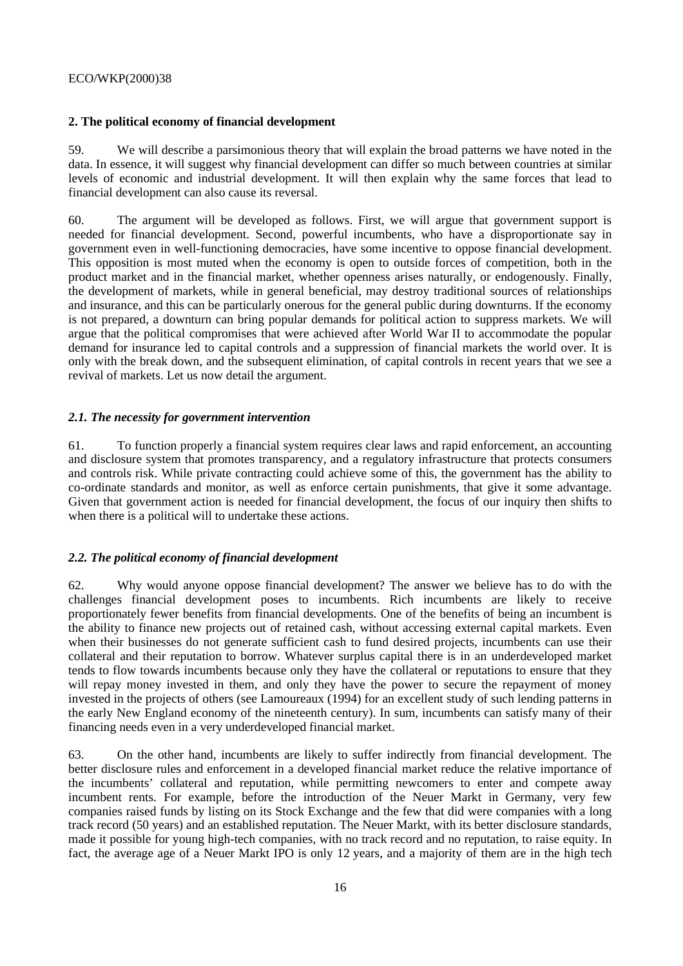### **2. The political economy of financial development**

59. We will describe a parsimonious theory that will explain the broad patterns we have noted in the data. In essence, it will suggest why financial development can differ so much between countries at similar levels of economic and industrial development. It will then explain why the same forces that lead to financial development can also cause its reversal.

60. The argument will be developed as follows. First, we will argue that government support is needed for financial development. Second, powerful incumbents, who have a disproportionate say in government even in well-functioning democracies, have some incentive to oppose financial development. This opposition is most muted when the economy is open to outside forces of competition, both in the product market and in the financial market, whether openness arises naturally, or endogenously. Finally, the development of markets, while in general beneficial, may destroy traditional sources of relationships and insurance, and this can be particularly onerous for the general public during downturns. If the economy is not prepared, a downturn can bring popular demands for political action to suppress markets. We will argue that the political compromises that were achieved after World War II to accommodate the popular demand for insurance led to capital controls and a suppression of financial markets the world over. It is only with the break down, and the subsequent elimination, of capital controls in recent years that we see a revival of markets. Let us now detail the argument.

### *2.1. The necessity for government intervention*

61. To function properly a financial system requires clear laws and rapid enforcement, an accounting and disclosure system that promotes transparency, and a regulatory infrastructure that protects consumers and controls risk. While private contracting could achieve some of this, the government has the ability to co-ordinate standards and monitor, as well as enforce certain punishments, that give it some advantage. Given that government action is needed for financial development, the focus of our inquiry then shifts to when there is a political will to undertake these actions.

### *2.2. The political economy of financial development*

62. Why would anyone oppose financial development? The answer we believe has to do with the challenges financial development poses to incumbents. Rich incumbents are likely to receive proportionately fewer benefits from financial developments. One of the benefits of being an incumbent is the ability to finance new projects out of retained cash, without accessing external capital markets. Even when their businesses do not generate sufficient cash to fund desired projects, incumbents can use their collateral and their reputation to borrow. Whatever surplus capital there is in an underdeveloped market tends to flow towards incumbents because only they have the collateral or reputations to ensure that they will repay money invested in them, and only they have the power to secure the repayment of money invested in the projects of others (see Lamoureaux (1994) for an excellent study of such lending patterns in the early New England economy of the nineteenth century). In sum, incumbents can satisfy many of their financing needs even in a very underdeveloped financial market.

63. On the other hand, incumbents are likely to suffer indirectly from financial development. The better disclosure rules and enforcement in a developed financial market reduce the relative importance of the incumbents' collateral and reputation, while permitting newcomers to enter and compete away incumbent rents. For example, before the introduction of the Neuer Markt in Germany, very few companies raised funds by listing on its Stock Exchange and the few that did were companies with a long track record (50 years) and an established reputation. The Neuer Markt, with its better disclosure standards, made it possible for young high-tech companies, with no track record and no reputation, to raise equity. In fact, the average age of a Neuer Markt IPO is only 12 years, and a majority of them are in the high tech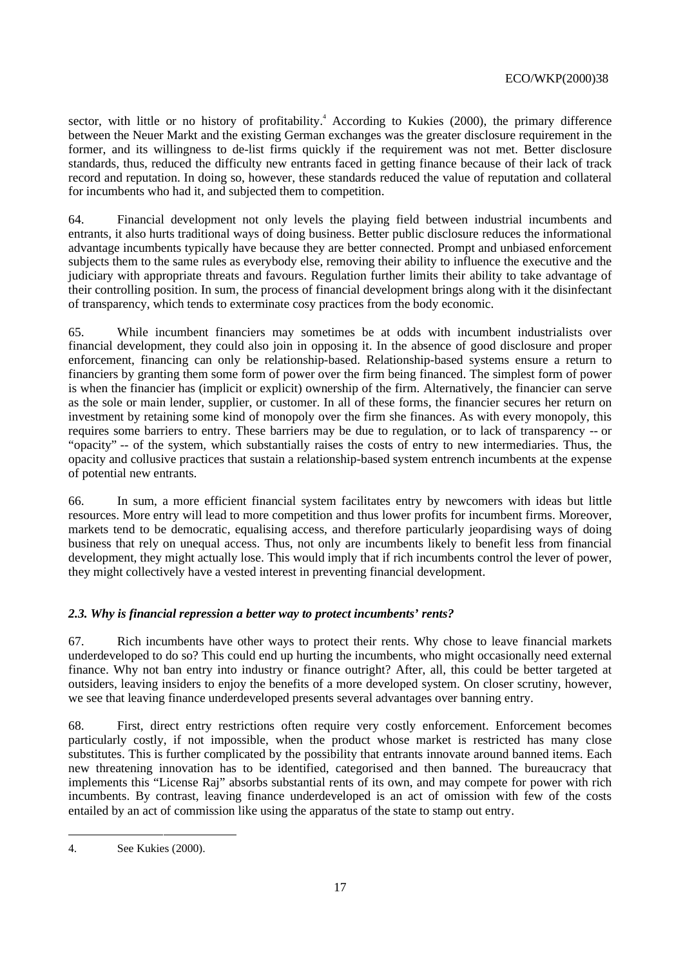sector, with little or no history of profitability.<sup>4</sup> According to Kukies (2000), the primary difference between the Neuer Markt and the existing German exchanges was the greater disclosure requirement in the former, and its willingness to de-list firms quickly if the requirement was not met. Better disclosure standards, thus, reduced the difficulty new entrants faced in getting finance because of their lack of track record and reputation. In doing so, however, these standards reduced the value of reputation and collateral for incumbents who had it, and subjected them to competition.

64. Financial development not only levels the playing field between industrial incumbents and entrants, it also hurts traditional ways of doing business. Better public disclosure reduces the informational advantage incumbents typically have because they are better connected. Prompt and unbiased enforcement subjects them to the same rules as everybody else, removing their ability to influence the executive and the judiciary with appropriate threats and favours. Regulation further limits their ability to take advantage of their controlling position. In sum, the process of financial development brings along with it the disinfectant of transparency, which tends to exterminate cosy practices from the body economic.

65. While incumbent financiers may sometimes be at odds with incumbent industrialists over financial development, they could also join in opposing it. In the absence of good disclosure and proper enforcement, financing can only be relationship-based. Relationship-based systems ensure a return to financiers by granting them some form of power over the firm being financed. The simplest form of power is when the financier has (implicit or explicit) ownership of the firm. Alternatively, the financier can serve as the sole or main lender, supplier, or customer. In all of these forms, the financier secures her return on investment by retaining some kind of monopoly over the firm she finances. As with every monopoly, this requires some barriers to entry. These barriers may be due to regulation, or to lack of transparency -- or "opacity" -- of the system, which substantially raises the costs of entry to new intermediaries. Thus, the opacity and collusive practices that sustain a relationship-based system entrench incumbents at the expense of potential new entrants.

66. In sum, a more efficient financial system facilitates entry by newcomers with ideas but little resources. More entry will lead to more competition and thus lower profits for incumbent firms. Moreover, markets tend to be democratic, equalising access, and therefore particularly jeopardising ways of doing business that rely on unequal access. Thus, not only are incumbents likely to benefit less from financial development, they might actually lose. This would imply that if rich incumbents control the lever of power, they might collectively have a vested interest in preventing financial development.

### *2.3. Why is financial repression a better way to protect incumbents' rents?*

67. Rich incumbents have other ways to protect their rents. Why chose to leave financial markets underdeveloped to do so? This could end up hurting the incumbents, who might occasionally need external finance. Why not ban entry into industry or finance outright? After, all, this could be better targeted at outsiders, leaving insiders to enjoy the benefits of a more developed system. On closer scrutiny, however, we see that leaving finance underdeveloped presents several advantages over banning entry.

68. First, direct entry restrictions often require very costly enforcement. Enforcement becomes particularly costly, if not impossible, when the product whose market is restricted has many close substitutes. This is further complicated by the possibility that entrants innovate around banned items. Each new threatening innovation has to be identified, categorised and then banned. The bureaucracy that implements this "License Raj" absorbs substantial rents of its own, and may compete for power with rich incumbents. By contrast, leaving finance underdeveloped is an act of omission with few of the costs entailed by an act of commission like using the apparatus of the state to stamp out entry.

1

<sup>4.</sup> See Kukies (2000).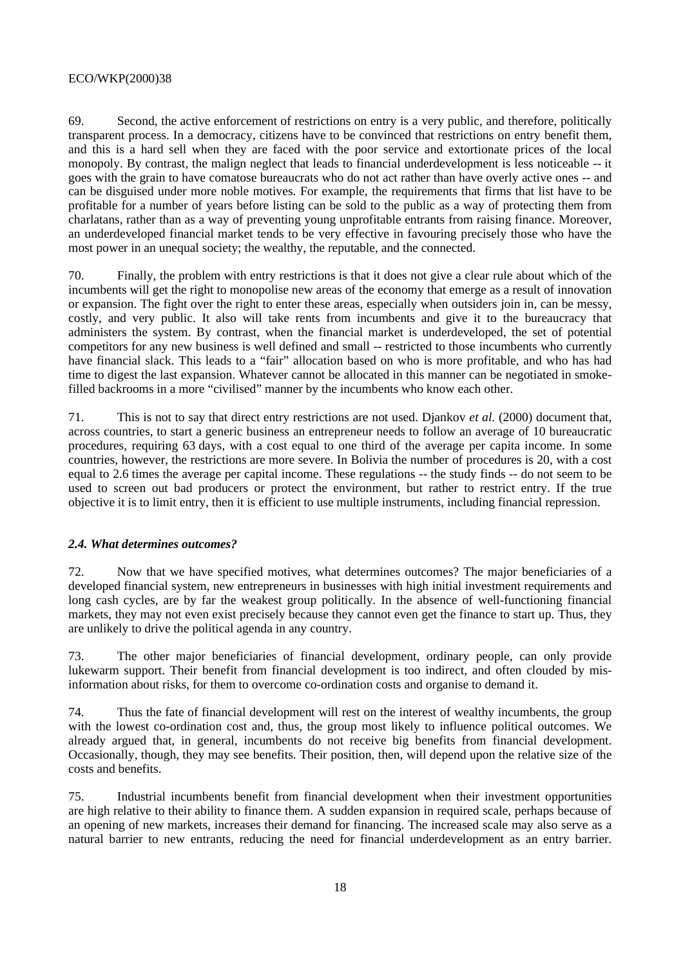69. Second, the active enforcement of restrictions on entry is a very public, and therefore, politically transparent process. In a democracy, citizens have to be convinced that restrictions on entry benefit them, and this is a hard sell when they are faced with the poor service and extortionate prices of the local monopoly. By contrast, the malign neglect that leads to financial underdevelopment is less noticeable -- it goes with the grain to have comatose bureaucrats who do not act rather than have overly active ones -- and can be disguised under more noble motives. For example, the requirements that firms that list have to be profitable for a number of years before listing can be sold to the public as a way of protecting them from charlatans, rather than as a way of preventing young unprofitable entrants from raising finance. Moreover, an underdeveloped financial market tends to be very effective in favouring precisely those who have the most power in an unequal society; the wealthy, the reputable, and the connected.

70. Finally, the problem with entry restrictions is that it does not give a clear rule about which of the incumbents will get the right to monopolise new areas of the economy that emerge as a result of innovation or expansion. The fight over the right to enter these areas, especially when outsiders join in, can be messy, costly, and very public. It also will take rents from incumbents and give it to the bureaucracy that administers the system. By contrast, when the financial market is underdeveloped, the set of potential competitors for any new business is well defined and small -- restricted to those incumbents who currently have financial slack. This leads to a "fair" allocation based on who is more profitable, and who has had time to digest the last expansion. Whatever cannot be allocated in this manner can be negotiated in smokefilled backrooms in a more "civilised" manner by the incumbents who know each other.

71. This is not to say that direct entry restrictions are not used. Djankov *et al.* (2000) document that, across countries, to start a generic business an entrepreneur needs to follow an average of 10 bureaucratic procedures, requiring 63 days, with a cost equal to one third of the average per capita income. In some countries, however, the restrictions are more severe. In Bolivia the number of procedures is 20, with a cost equal to 2.6 times the average per capital income. These regulations -- the study finds -- do not seem to be used to screen out bad producers or protect the environment, but rather to restrict entry. If the true objective it is to limit entry, then it is efficient to use multiple instruments, including financial repression.

### *2.4. What determines outcomes?*

72. Now that we have specified motives, what determines outcomes? The major beneficiaries of a developed financial system, new entrepreneurs in businesses with high initial investment requirements and long cash cycles, are by far the weakest group politically. In the absence of well-functioning financial markets, they may not even exist precisely because they cannot even get the finance to start up. Thus, they are unlikely to drive the political agenda in any country.

73. The other major beneficiaries of financial development, ordinary people, can only provide lukewarm support. Their benefit from financial development is too indirect, and often clouded by misinformation about risks, for them to overcome co-ordination costs and organise to demand it.

74. Thus the fate of financial development will rest on the interest of wealthy incumbents, the group with the lowest co-ordination cost and, thus, the group most likely to influence political outcomes. We already argued that, in general, incumbents do not receive big benefits from financial development. Occasionally, though, they may see benefits. Their position, then, will depend upon the relative size of the costs and benefits.

75. Industrial incumbents benefit from financial development when their investment opportunities are high relative to their ability to finance them. A sudden expansion in required scale, perhaps because of an opening of new markets, increases their demand for financing. The increased scale may also serve as a natural barrier to new entrants, reducing the need for financial underdevelopment as an entry barrier.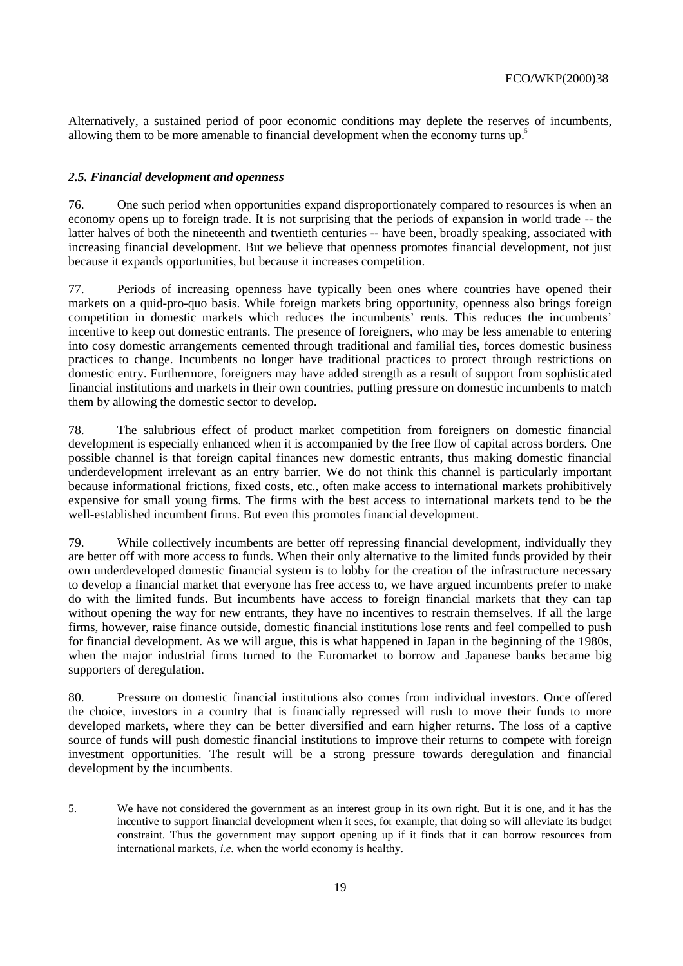Alternatively, a sustained period of poor economic conditions may deplete the reserves of incumbents, allowing them to be more amenable to financial development when the economy turns up.<sup>5</sup>

### *2.5. Financial development and openness*

-

76. One such period when opportunities expand disproportionately compared to resources is when an economy opens up to foreign trade. It is not surprising that the periods of expansion in world trade -- the latter halves of both the nineteenth and twentieth centuries -- have been, broadly speaking, associated with increasing financial development. But we believe that openness promotes financial development, not just because it expands opportunities, but because it increases competition.

77. Periods of increasing openness have typically been ones where countries have opened their markets on a quid-pro-quo basis. While foreign markets bring opportunity, openness also brings foreign competition in domestic markets which reduces the incumbents' rents. This reduces the incumbents' incentive to keep out domestic entrants. The presence of foreigners, who may be less amenable to entering into cosy domestic arrangements cemented through traditional and familial ties, forces domestic business practices to change. Incumbents no longer have traditional practices to protect through restrictions on domestic entry. Furthermore, foreigners may have added strength as a result of support from sophisticated financial institutions and markets in their own countries, putting pressure on domestic incumbents to match them by allowing the domestic sector to develop.

78. The salubrious effect of product market competition from foreigners on domestic financial development is especially enhanced when it is accompanied by the free flow of capital across borders. One possible channel is that foreign capital finances new domestic entrants, thus making domestic financial underdevelopment irrelevant as an entry barrier. We do not think this channel is particularly important because informational frictions, fixed costs, etc., often make access to international markets prohibitively expensive for small young firms. The firms with the best access to international markets tend to be the well-established incumbent firms. But even this promotes financial development.

79. While collectively incumbents are better off repressing financial development, individually they are better off with more access to funds. When their only alternative to the limited funds provided by their own underdeveloped domestic financial system is to lobby for the creation of the infrastructure necessary to develop a financial market that everyone has free access to, we have argued incumbents prefer to make do with the limited funds. But incumbents have access to foreign financial markets that they can tap without opening the way for new entrants, they have no incentives to restrain themselves. If all the large firms, however, raise finance outside, domestic financial institutions lose rents and feel compelled to push for financial development. As we will argue, this is what happened in Japan in the beginning of the 1980s, when the major industrial firms turned to the Euromarket to borrow and Japanese banks became big supporters of deregulation.

80. Pressure on domestic financial institutions also comes from individual investors. Once offered the choice, investors in a country that is financially repressed will rush to move their funds to more developed markets, where they can be better diversified and earn higher returns. The loss of a captive source of funds will push domestic financial institutions to improve their returns to compete with foreign investment opportunities. The result will be a strong pressure towards deregulation and financial development by the incumbents.

<sup>5.</sup> We have not considered the government as an interest group in its own right. But it is one, and it has the incentive to support financial development when it sees, for example, that doing so will alleviate its budget constraint. Thus the government may support opening up if it finds that it can borrow resources from international markets, *i.e.* when the world economy is healthy.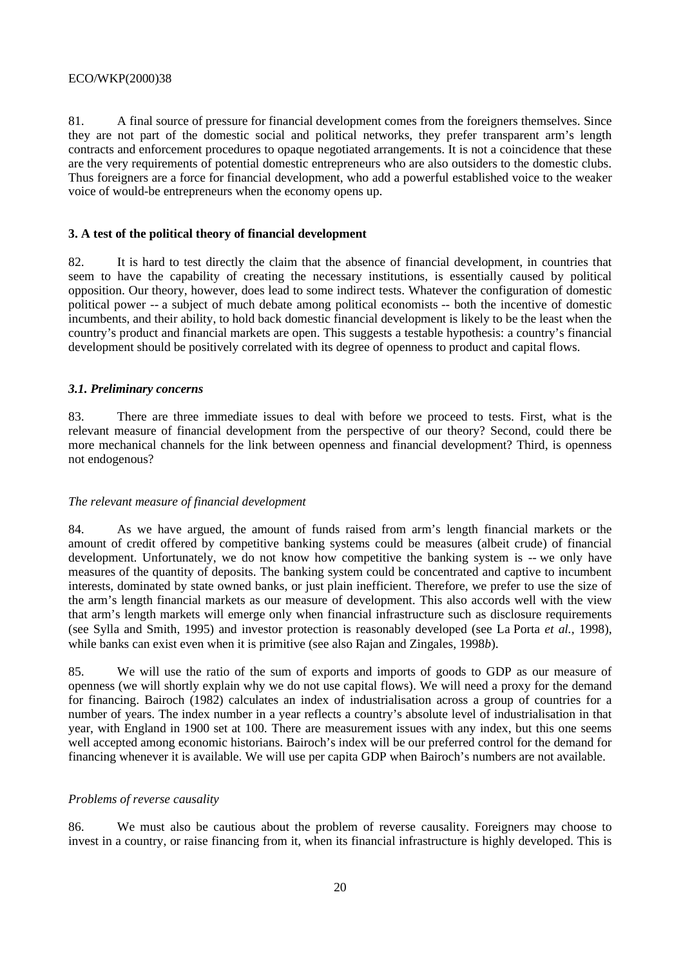81. A final source of pressure for financial development comes from the foreigners themselves. Since they are not part of the domestic social and political networks, they prefer transparent arm's length contracts and enforcement procedures to opaque negotiated arrangements. It is not a coincidence that these are the very requirements of potential domestic entrepreneurs who are also outsiders to the domestic clubs. Thus foreigners are a force for financial development, who add a powerful established voice to the weaker voice of would-be entrepreneurs when the economy opens up.

### **3. A test of the political theory of financial development**

82. It is hard to test directly the claim that the absence of financial development, in countries that seem to have the capability of creating the necessary institutions, is essentially caused by political opposition. Our theory, however, does lead to some indirect tests. Whatever the configuration of domestic political power -- a subject of much debate among political economists -- both the incentive of domestic incumbents, and their ability, to hold back domestic financial development is likely to be the least when the country's product and financial markets are open. This suggests a testable hypothesis: a country's financial development should be positively correlated with its degree of openness to product and capital flows.

### *3.1. Preliminary concerns*

83. There are three immediate issues to deal with before we proceed to tests. First, what is the relevant measure of financial development from the perspective of our theory? Second, could there be more mechanical channels for the link between openness and financial development? Third, is openness not endogenous?

### *The relevant measure of financial development*

84. As we have argued, the amount of funds raised from arm's length financial markets or the amount of credit offered by competitive banking systems could be measures (albeit crude) of financial development. Unfortunately, we do not know how competitive the banking system is -- we only have measures of the quantity of deposits. The banking system could be concentrated and captive to incumbent interests, dominated by state owned banks, or just plain inefficient. Therefore, we prefer to use the size of the arm's length financial markets as our measure of development. This also accords well with the view that arm's length markets will emerge only when financial infrastructure such as disclosure requirements (see Sylla and Smith, 1995) and investor protection is reasonably developed (see La Porta *et al.,* 1998), while banks can exist even when it is primitive (see also Rajan and Zingales, 1998*b*).

85. We will use the ratio of the sum of exports and imports of goods to GDP as our measure of openness (we will shortly explain why we do not use capital flows). We will need a proxy for the demand for financing. Bairoch (1982) calculates an index of industrialisation across a group of countries for a number of years. The index number in a year reflects a country's absolute level of industrialisation in that year, with England in 1900 set at 100. There are measurement issues with any index, but this one seems well accepted among economic historians. Bairoch's index will be our preferred control for the demand for financing whenever it is available. We will use per capita GDP when Bairoch's numbers are not available.

### *Problems of reverse causality*

86. We must also be cautious about the problem of reverse causality. Foreigners may choose to invest in a country, or raise financing from it, when its financial infrastructure is highly developed. This is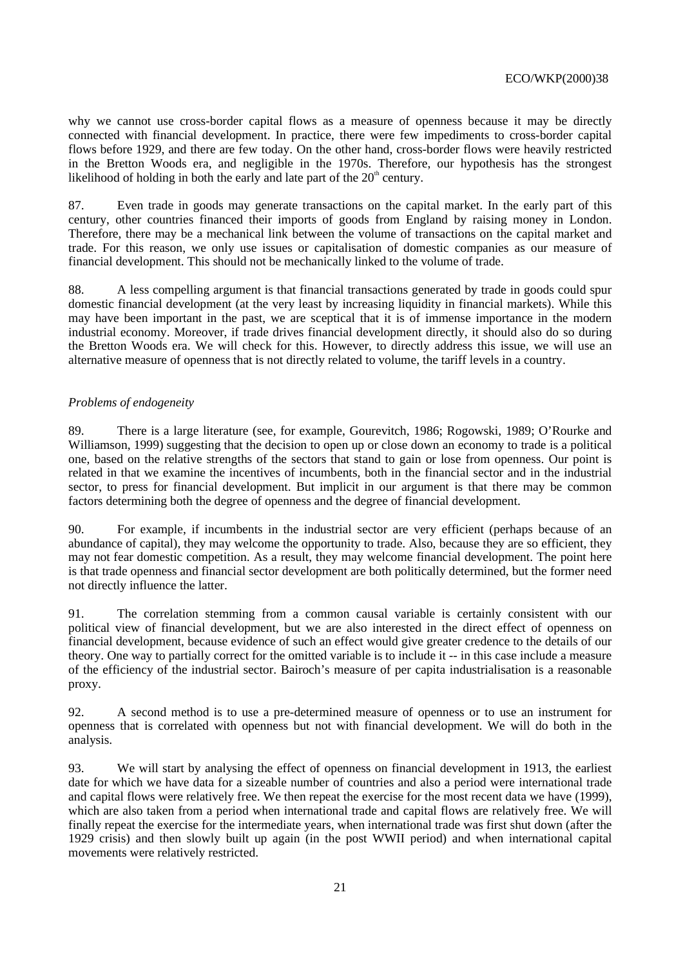why we cannot use cross-border capital flows as a measure of openness because it may be directly connected with financial development. In practice, there were few impediments to cross-border capital flows before 1929, and there are few today. On the other hand, cross-border flows were heavily restricted in the Bretton Woods era, and negligible in the 1970s. Therefore, our hypothesis has the strongest likelihood of holding in both the early and late part of the  $20<sup>th</sup>$  century.

87. Even trade in goods may generate transactions on the capital market. In the early part of this century, other countries financed their imports of goods from England by raising money in London. Therefore, there may be a mechanical link between the volume of transactions on the capital market and trade. For this reason, we only use issues or capitalisation of domestic companies as our measure of financial development. This should not be mechanically linked to the volume of trade.

88. A less compelling argument is that financial transactions generated by trade in goods could spur domestic financial development (at the very least by increasing liquidity in financial markets). While this may have been important in the past, we are sceptical that it is of immense importance in the modern industrial economy. Moreover, if trade drives financial development directly, it should also do so during the Bretton Woods era. We will check for this. However, to directly address this issue, we will use an alternative measure of openness that is not directly related to volume, the tariff levels in a country.

### *Problems of endogeneity*

89. There is a large literature (see, for example, Gourevitch, 1986; Rogowski, 1989; O'Rourke and Williamson, 1999) suggesting that the decision to open up or close down an economy to trade is a political one, based on the relative strengths of the sectors that stand to gain or lose from openness. Our point is related in that we examine the incentives of incumbents, both in the financial sector and in the industrial sector, to press for financial development. But implicit in our argument is that there may be common factors determining both the degree of openness and the degree of financial development.

90. For example, if incumbents in the industrial sector are very efficient (perhaps because of an abundance of capital), they may welcome the opportunity to trade. Also, because they are so efficient, they may not fear domestic competition. As a result, they may welcome financial development. The point here is that trade openness and financial sector development are both politically determined, but the former need not directly influence the latter.

91. The correlation stemming from a common causal variable is certainly consistent with our political view of financial development, but we are also interested in the direct effect of openness on financial development, because evidence of such an effect would give greater credence to the details of our theory. One way to partially correct for the omitted variable is to include it -- in this case include a measure of the efficiency of the industrial sector. Bairoch's measure of per capita industrialisation is a reasonable proxy.

92. A second method is to use a pre-determined measure of openness or to use an instrument for openness that is correlated with openness but not with financial development. We will do both in the analysis.

93. We will start by analysing the effect of openness on financial development in 1913, the earliest date for which we have data for a sizeable number of countries and also a period were international trade and capital flows were relatively free. We then repeat the exercise for the most recent data we have (1999), which are also taken from a period when international trade and capital flows are relatively free. We will finally repeat the exercise for the intermediate years, when international trade was first shut down (after the 1929 crisis) and then slowly built up again (in the post WWII period) and when international capital movements were relatively restricted.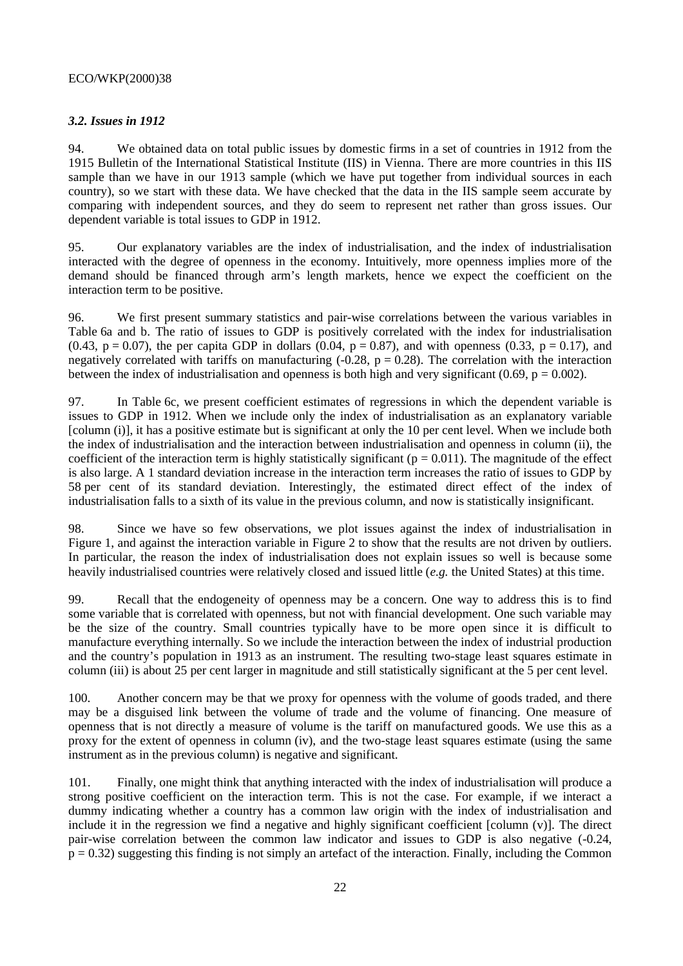### *3.2. Issues in 1912*

94. We obtained data on total public issues by domestic firms in a set of countries in 1912 from the 1915 Bulletin of the International Statistical Institute (IIS) in Vienna. There are more countries in this IIS sample than we have in our 1913 sample (which we have put together from individual sources in each country), so we start with these data. We have checked that the data in the IIS sample seem accurate by comparing with independent sources, and they do seem to represent net rather than gross issues. Our dependent variable is total issues to GDP in 1912.

95. Our explanatory variables are the index of industrialisation, and the index of industrialisation interacted with the degree of openness in the economy. Intuitively, more openness implies more of the demand should be financed through arm's length markets, hence we expect the coefficient on the interaction term to be positive.

96. We first present summary statistics and pair-wise correlations between the various variables in Table 6a and b. The ratio of issues to GDP is positively correlated with the index for industrialisation (0.43, p = 0.07), the per capita GDP in dollars (0.04, p = 0.87), and with openness (0.33, p = 0.17), and negatively correlated with tariffs on manufacturing  $(-0.28, p = 0.28)$ . The correlation with the interaction between the index of industrialisation and openness is both high and very significant (0.69,  $p = 0.002$ ).

97. In Table 6c, we present coefficient estimates of regressions in which the dependent variable is issues to GDP in 1912. When we include only the index of industrialisation as an explanatory variable [column (i)], it has a positive estimate but is significant at only the 10 per cent level. When we include both the index of industrialisation and the interaction between industrialisation and openness in column (ii), the coefficient of the interaction term is highly statistically significant ( $p = 0.011$ ). The magnitude of the effect is also large. A 1 standard deviation increase in the interaction term increases the ratio of issues to GDP by 58 per cent of its standard deviation. Interestingly, the estimated direct effect of the index of industrialisation falls to a sixth of its value in the previous column, and now is statistically insignificant.

98. Since we have so few observations, we plot issues against the index of industrialisation in Figure 1, and against the interaction variable in Figure 2 to show that the results are not driven by outliers. In particular, the reason the index of industrialisation does not explain issues so well is because some heavily industrialised countries were relatively closed and issued little (*e.g.* the United States) at this time.

99. Recall that the endogeneity of openness may be a concern. One way to address this is to find some variable that is correlated with openness, but not with financial development. One such variable may be the size of the country. Small countries typically have to be more open since it is difficult to manufacture everything internally. So we include the interaction between the index of industrial production and the country's population in 1913 as an instrument. The resulting two-stage least squares estimate in column (iii) is about 25 per cent larger in magnitude and still statistically significant at the 5 per cent level.

100. Another concern may be that we proxy for openness with the volume of goods traded, and there may be a disguised link between the volume of trade and the volume of financing. One measure of openness that is not directly a measure of volume is the tariff on manufactured goods. We use this as a proxy for the extent of openness in column (iv), and the two-stage least squares estimate (using the same instrument as in the previous column) is negative and significant.

101. Finally, one might think that anything interacted with the index of industrialisation will produce a strong positive coefficient on the interaction term. This is not the case. For example, if we interact a dummy indicating whether a country has a common law origin with the index of industrialisation and include it in the regression we find a negative and highly significant coefficient [column (v)]. The direct pair-wise correlation between the common law indicator and issues to GDP is also negative (-0.24,  $p = 0.32$ ) suggesting this finding is not simply an artefact of the interaction. Finally, including the Common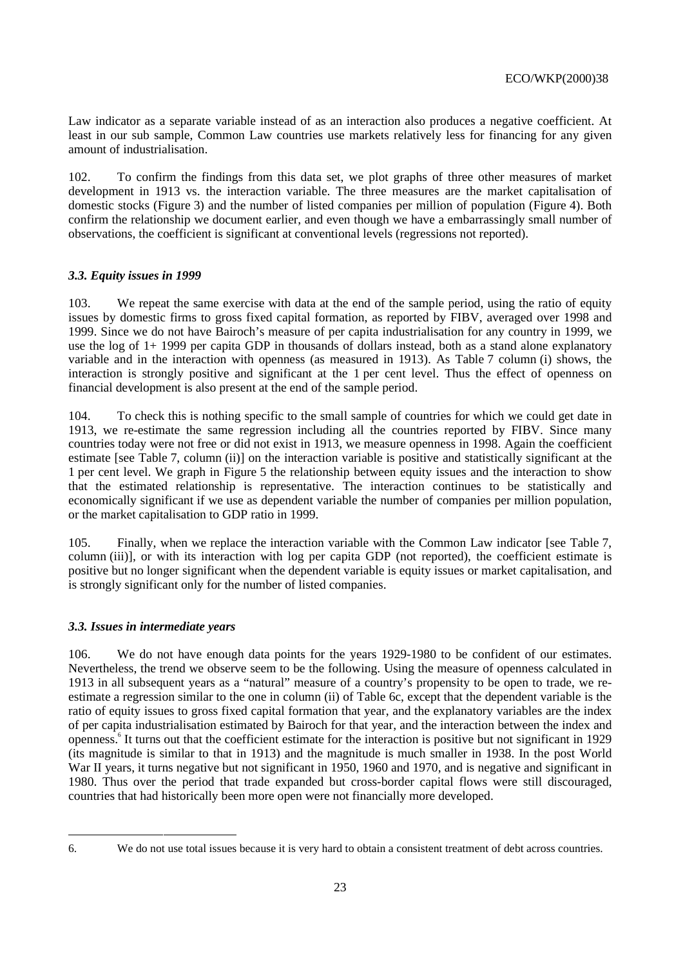Law indicator as a separate variable instead of as an interaction also produces a negative coefficient. At least in our sub sample, Common Law countries use markets relatively less for financing for any given amount of industrialisation.

102. To confirm the findings from this data set, we plot graphs of three other measures of market development in 1913 vs. the interaction variable. The three measures are the market capitalisation of domestic stocks (Figure 3) and the number of listed companies per million of population (Figure 4). Both confirm the relationship we document earlier, and even though we have a embarrassingly small number of observations, the coefficient is significant at conventional levels (regressions not reported).

### *3.3. Equity issues in 1999*

103. We repeat the same exercise with data at the end of the sample period, using the ratio of equity issues by domestic firms to gross fixed capital formation, as reported by FIBV, averaged over 1998 and 1999. Since we do not have Bairoch's measure of per capita industrialisation for any country in 1999, we use the log of 1+ 1999 per capita GDP in thousands of dollars instead, both as a stand alone explanatory variable and in the interaction with openness (as measured in 1913). As Table 7 column (i) shows, the interaction is strongly positive and significant at the 1 per cent level. Thus the effect of openness on financial development is also present at the end of the sample period.

104. To check this is nothing specific to the small sample of countries for which we could get date in 1913, we re-estimate the same regression including all the countries reported by FIBV. Since many countries today were not free or did not exist in 1913, we measure openness in 1998. Again the coefficient estimate [see Table 7, column (ii)] on the interaction variable is positive and statistically significant at the 1 per cent level. We graph in Figure 5 the relationship between equity issues and the interaction to show that the estimated relationship is representative. The interaction continues to be statistically and economically significant if we use as dependent variable the number of companies per million population, or the market capitalisation to GDP ratio in 1999.

105. Finally, when we replace the interaction variable with the Common Law indicator [see Table 7, column (iii)], or with its interaction with log per capita GDP (not reported), the coefficient estimate is positive but no longer significant when the dependent variable is equity issues or market capitalisation, and is strongly significant only for the number of listed companies.

### *3.3. Issues in intermediate years*

106. We do not have enough data points for the years 1929-1980 to be confident of our estimates. Nevertheless, the trend we observe seem to be the following. Using the measure of openness calculated in 1913 in all subsequent years as a "natural" measure of a country's propensity to be open to trade, we reestimate a regression similar to the one in column (ii) of Table 6c, except that the dependent variable is the ratio of equity issues to gross fixed capital formation that year, and the explanatory variables are the index of per capita industrialisation estimated by Bairoch for that year, and the interaction between the index and openness.<sup>6</sup> It turns out that the coefficient estimate for the interaction is positive but not significant in 1929 (its magnitude is similar to that in 1913) and the magnitude is much smaller in 1938. In the post World War II years, it turns negative but not significant in 1950, 1960 and 1970, and is negative and significant in 1980. Thus over the period that trade expanded but cross-border capital flows were still discouraged, countries that had historically been more open were not financially more developed.

<sup>1</sup> 

<sup>6.</sup> We do not use total issues because it is very hard to obtain a consistent treatment of debt across countries.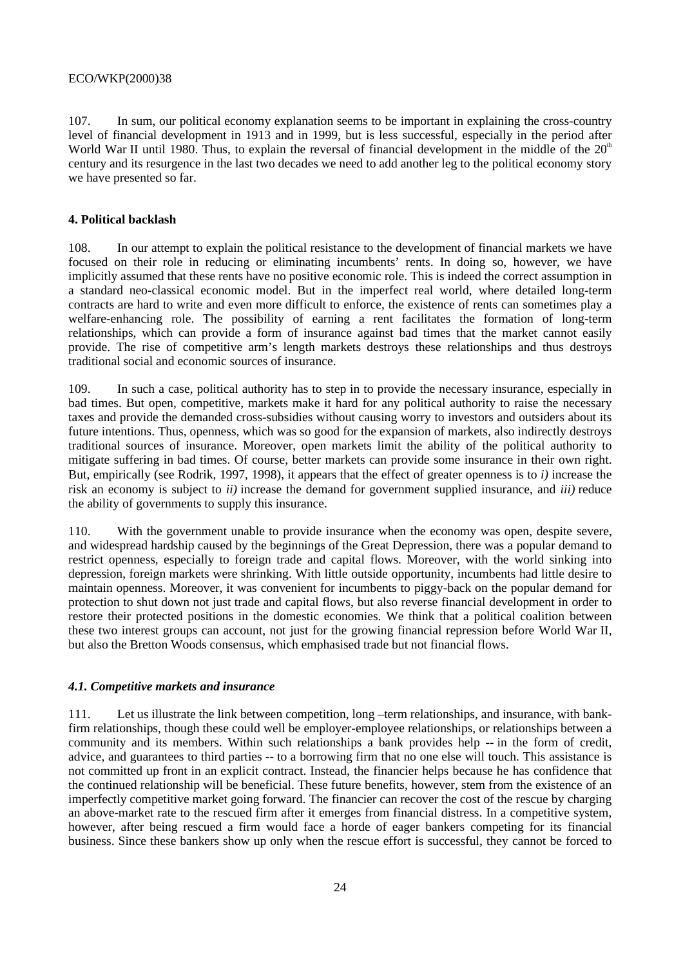107. In sum, our political economy explanation seems to be important in explaining the cross-country level of financial development in 1913 and in 1999, but is less successful, especially in the period after World War II until 1980. Thus, to explain the reversal of financial development in the middle of the  $20<sup>th</sup>$ century and its resurgence in the last two decades we need to add another leg to the political economy story we have presented so far.

### **4. Political backlash**

108. In our attempt to explain the political resistance to the development of financial markets we have focused on their role in reducing or eliminating incumbents' rents. In doing so, however, we have implicitly assumed that these rents have no positive economic role. This is indeed the correct assumption in a standard neo-classical economic model. But in the imperfect real world, where detailed long-term contracts are hard to write and even more difficult to enforce, the existence of rents can sometimes play a welfare-enhancing role. The possibility of earning a rent facilitates the formation of long-term relationships, which can provide a form of insurance against bad times that the market cannot easily provide. The rise of competitive arm's length markets destroys these relationships and thus destroys traditional social and economic sources of insurance.

109. In such a case, political authority has to step in to provide the necessary insurance, especially in bad times. But open, competitive, markets make it hard for any political authority to raise the necessary taxes and provide the demanded cross-subsidies without causing worry to investors and outsiders about its future intentions. Thus, openness, which was so good for the expansion of markets, also indirectly destroys traditional sources of insurance. Moreover, open markets limit the ability of the political authority to mitigate suffering in bad times. Of course, better markets can provide some insurance in their own right. But, empirically (see Rodrik, 1997, 1998), it appears that the effect of greater openness is to *i)* increase the risk an economy is subject to *ii)* increase the demand for government supplied insurance, and *iii)* reduce the ability of governments to supply this insurance.

110. With the government unable to provide insurance when the economy was open, despite severe, and widespread hardship caused by the beginnings of the Great Depression, there was a popular demand to restrict openness, especially to foreign trade and capital flows. Moreover, with the world sinking into depression, foreign markets were shrinking. With little outside opportunity, incumbents had little desire to maintain openness. Moreover, it was convenient for incumbents to piggy-back on the popular demand for protection to shut down not just trade and capital flows, but also reverse financial development in order to restore their protected positions in the domestic economies. We think that a political coalition between these two interest groups can account, not just for the growing financial repression before World War II, but also the Bretton Woods consensus, which emphasised trade but not financial flows.

### *4.1. Competitive markets and insurance*

111. Let us illustrate the link between competition, long –term relationships, and insurance, with bankfirm relationships, though these could well be employer-employee relationships, or relationships between a community and its members. Within such relationships a bank provides help -- in the form of credit, advice, and guarantees to third parties -- to a borrowing firm that no one else will touch. This assistance is not committed up front in an explicit contract. Instead, the financier helps because he has confidence that the continued relationship will be beneficial. These future benefits, however, stem from the existence of an imperfectly competitive market going forward. The financier can recover the cost of the rescue by charging an above-market rate to the rescued firm after it emerges from financial distress. In a competitive system, however, after being rescued a firm would face a horde of eager bankers competing for its financial business. Since these bankers show up only when the rescue effort is successful, they cannot be forced to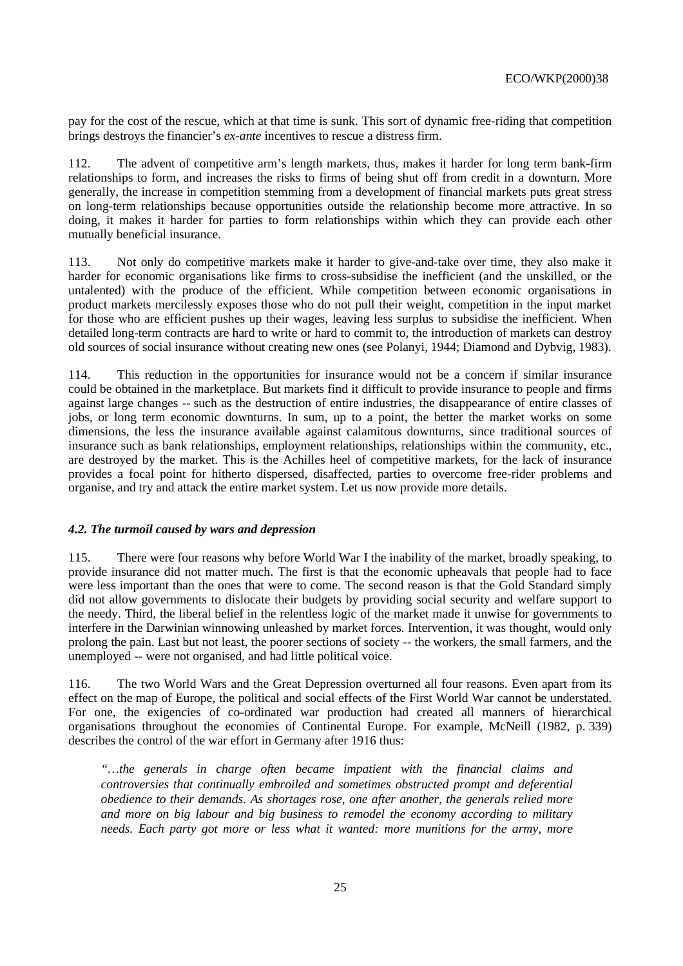pay for the cost of the rescue, which at that time is sunk. This sort of dynamic free-riding that competition brings destroys the financier's *ex-ante* incentives to rescue a distress firm.

112. The advent of competitive arm's length markets, thus, makes it harder for long term bank-firm relationships to form, and increases the risks to firms of being shut off from credit in a downturn. More generally, the increase in competition stemming from a development of financial markets puts great stress on long-term relationships because opportunities outside the relationship become more attractive. In so doing, it makes it harder for parties to form relationships within which they can provide each other mutually beneficial insurance.

113. Not only do competitive markets make it harder to give-and-take over time, they also make it harder for economic organisations like firms to cross-subsidise the inefficient (and the unskilled, or the untalented) with the produce of the efficient. While competition between economic organisations in product markets mercilessly exposes those who do not pull their weight, competition in the input market for those who are efficient pushes up their wages, leaving less surplus to subsidise the inefficient. When detailed long-term contracts are hard to write or hard to commit to, the introduction of markets can destroy old sources of social insurance without creating new ones (see Polanyi, 1944; Diamond and Dybvig, 1983).

114. This reduction in the opportunities for insurance would not be a concern if similar insurance could be obtained in the marketplace. But markets find it difficult to provide insurance to people and firms against large changes -- such as the destruction of entire industries, the disappearance of entire classes of jobs, or long term economic downturns. In sum, up to a point, the better the market works on some dimensions, the less the insurance available against calamitous downturns, since traditional sources of insurance such as bank relationships, employment relationships, relationships within the community, etc., are destroyed by the market. This is the Achilles heel of competitive markets, for the lack of insurance provides a focal point for hitherto dispersed, disaffected, parties to overcome free-rider problems and organise, and try and attack the entire market system. Let us now provide more details.

#### *4.2. The turmoil caused by wars and depression*

115. There were four reasons why before World War I the inability of the market, broadly speaking, to provide insurance did not matter much. The first is that the economic upheavals that people had to face were less important than the ones that were to come. The second reason is that the Gold Standard simply did not allow governments to dislocate their budgets by providing social security and welfare support to the needy. Third, the liberal belief in the relentless logic of the market made it unwise for governments to interfere in the Darwinian winnowing unleashed by market forces. Intervention, it was thought, would only prolong the pain. Last but not least, the poorer sections of society -- the workers, the small farmers, and the unemployed -- were not organised, and had little political voice.

116. The two World Wars and the Great Depression overturned all four reasons. Even apart from its effect on the map of Europe, the political and social effects of the First World War cannot be understated. For one, the exigencies of co-ordinated war production had created all manners of hierarchical organisations throughout the economies of Continental Europe. For example, McNeill (1982, p. 339) describes the control of the war effort in Germany after 1916 thus:

*"…the generals in charge often became impatient with the financial claims and controversies that continually embroiled and sometimes obstructed prompt and deferential obedience to their demands. As shortages rose, one after another, the generals relied more and more on big labour and big business to remodel the economy according to military needs. Each party got more or less what it wanted: more munitions for the army, more*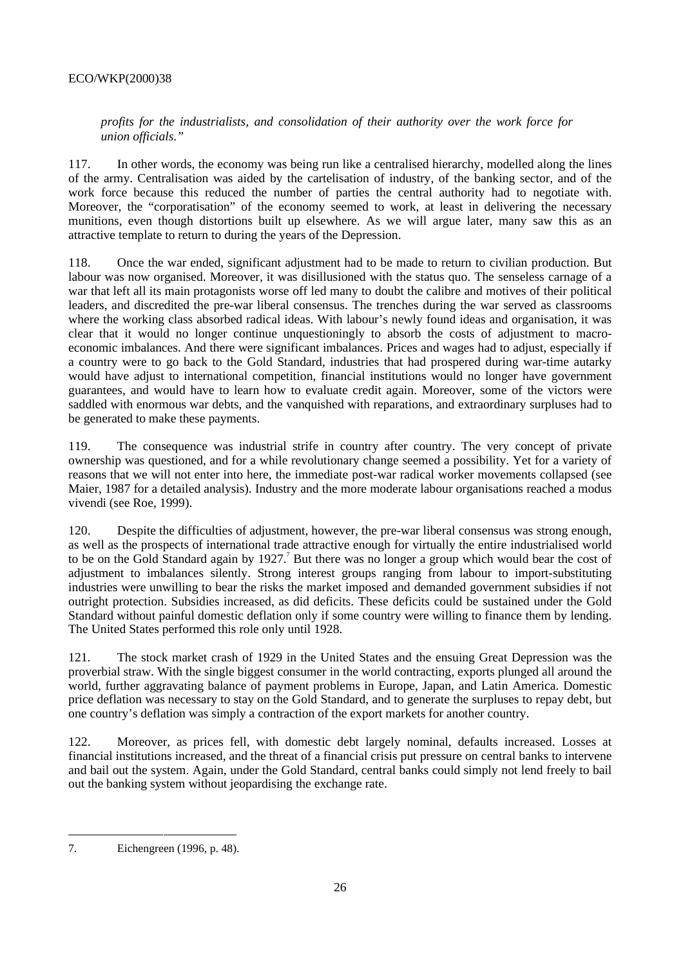*profits for the industrialists, and consolidation of their authority over the work force for union officials."*

117. In other words, the economy was being run like a centralised hierarchy, modelled along the lines of the army. Centralisation was aided by the cartelisation of industry, of the banking sector, and of the work force because this reduced the number of parties the central authority had to negotiate with. Moreover, the "corporatisation" of the economy seemed to work, at least in delivering the necessary munitions, even though distortions built up elsewhere. As we will argue later, many saw this as an attractive template to return to during the years of the Depression.

118. Once the war ended, significant adjustment had to be made to return to civilian production. But labour was now organised. Moreover, it was disillusioned with the status quo. The senseless carnage of a war that left all its main protagonists worse off led many to doubt the calibre and motives of their political leaders, and discredited the pre-war liberal consensus. The trenches during the war served as classrooms where the working class absorbed radical ideas. With labour's newly found ideas and organisation, it was clear that it would no longer continue unquestioningly to absorb the costs of adjustment to macroeconomic imbalances. And there were significant imbalances. Prices and wages had to adjust, especially if a country were to go back to the Gold Standard, industries that had prospered during war-time autarky would have adjust to international competition, financial institutions would no longer have government guarantees, and would have to learn how to evaluate credit again. Moreover, some of the victors were saddled with enormous war debts, and the vanquished with reparations, and extraordinary surpluses had to be generated to make these payments.

119. The consequence was industrial strife in country after country. The very concept of private ownership was questioned, and for a while revolutionary change seemed a possibility. Yet for a variety of reasons that we will not enter into here, the immediate post-war radical worker movements collapsed (see Maier, 1987 for a detailed analysis). Industry and the more moderate labour organisations reached a modus vivendi (see Roe, 1999).

120. Despite the difficulties of adjustment, however, the pre-war liberal consensus was strong enough, as well as the prospects of international trade attractive enough for virtually the entire industrialised world to be on the Gold Standard again by 1927.<sup>7</sup> But there was no longer a group which would bear the cost of adjustment to imbalances silently. Strong interest groups ranging from labour to import-substituting industries were unwilling to bear the risks the market imposed and demanded government subsidies if not outright protection. Subsidies increased, as did deficits. These deficits could be sustained under the Gold Standard without painful domestic deflation only if some country were willing to finance them by lending. The United States performed this role only until 1928.

121. The stock market crash of 1929 in the United States and the ensuing Great Depression was the proverbial straw. With the single biggest consumer in the world contracting, exports plunged all around the world, further aggravating balance of payment problems in Europe, Japan, and Latin America. Domestic price deflation was necessary to stay on the Gold Standard, and to generate the surpluses to repay debt, but one country's deflation was simply a contraction of the export markets for another country.

122. Moreover, as prices fell, with domestic debt largely nominal, defaults increased. Losses at financial institutions increased, and the threat of a financial crisis put pressure on central banks to intervene and bail out the system. Again, under the Gold Standard, central banks could simply not lend freely to bail out the banking system without jeopardising the exchange rate.

1

<sup>7.</sup> Eichengreen (1996, p. 48).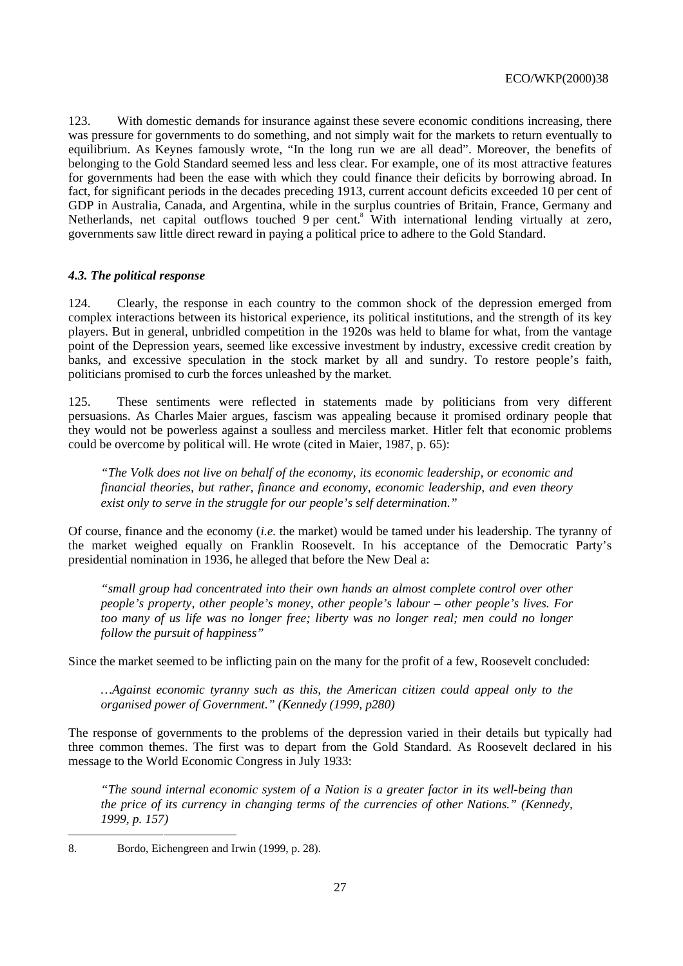123. With domestic demands for insurance against these severe economic conditions increasing, there was pressure for governments to do something, and not simply wait for the markets to return eventually to equilibrium. As Keynes famously wrote, "In the long run we are all dead". Moreover, the benefits of belonging to the Gold Standard seemed less and less clear. For example, one of its most attractive features for governments had been the ease with which they could finance their deficits by borrowing abroad. In fact, for significant periods in the decades preceding 1913, current account deficits exceeded 10 per cent of GDP in Australia, Canada, and Argentina, while in the surplus countries of Britain, France, Germany and Netherlands, net capital outflows touched 9 per cent.<sup>8</sup> With international lending virtually at zero, governments saw little direct reward in paying a political price to adhere to the Gold Standard.

#### *4.3. The political response*

124. Clearly, the response in each country to the common shock of the depression emerged from complex interactions between its historical experience, its political institutions, and the strength of its key players. But in general, unbridled competition in the 1920s was held to blame for what, from the vantage point of the Depression years, seemed like excessive investment by industry, excessive credit creation by banks, and excessive speculation in the stock market by all and sundry. To restore people's faith, politicians promised to curb the forces unleashed by the market.

125. These sentiments were reflected in statements made by politicians from very different persuasions. As Charles Maier argues, fascism was appealing because it promised ordinary people that they would not be powerless against a soulless and merciless market. Hitler felt that economic problems could be overcome by political will. He wrote (cited in Maier, 1987, p. 65):

*"The Volk does not live on behalf of the economy, its economic leadership, or economic and financial theories, but rather, finance and economy, economic leadership, and even theory exist only to serve in the struggle for our people's self determination."*

Of course, finance and the economy (*i.e.* the market) would be tamed under his leadership. The tyranny of the market weighed equally on Franklin Roosevelt. In his acceptance of the Democratic Party's presidential nomination in 1936, he alleged that before the New Deal a:

*"small group had concentrated into their own hands an almost complete control over other people's property, other people's money, other people's labour – other people's lives. For too many of us life was no longer free; liberty was no longer real; men could no longer follow the pursuit of happiness"*

Since the market seemed to be inflicting pain on the many for the profit of a few, Roosevelt concluded:

*…Against economic tyranny such as this, the American citizen could appeal only to the organised power of Government." (Kennedy (1999, p280)*

The response of governments to the problems of the depression varied in their details but typically had three common themes. The first was to depart from the Gold Standard. As Roosevelt declared in his message to the World Economic Congress in July 1933:

*"The sound internal economic system of a Nation is a greater factor in its well-being than the price of its currency in changing terms of the currencies of other Nations." (Kennedy, 1999, p. 157)*

1

<sup>8.</sup> Bordo, Eichengreen and Irwin (1999, p. 28).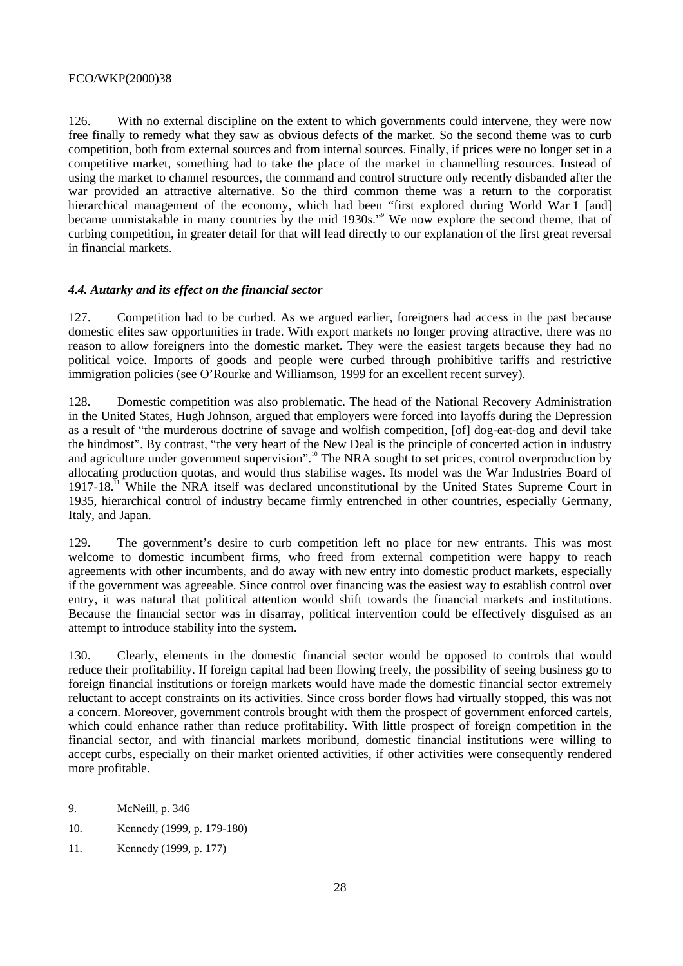126. With no external discipline on the extent to which governments could intervene, they were now free finally to remedy what they saw as obvious defects of the market. So the second theme was to curb competition, both from external sources and from internal sources. Finally, if prices were no longer set in a competitive market, something had to take the place of the market in channelling resources. Instead of using the market to channel resources, the command and control structure only recently disbanded after the war provided an attractive alternative. So the third common theme was a return to the corporatist hierarchical management of the economy, which had been "first explored during World War 1 [and] became unmistakable in many countries by the mid 1930s." We now explore the second theme, that of curbing competition, in greater detail for that will lead directly to our explanation of the first great reversal in financial markets.

### *4.4. Autarky and its effect on the financial sector*

127. Competition had to be curbed. As we argued earlier, foreigners had access in the past because domestic elites saw opportunities in trade. With export markets no longer proving attractive, there was no reason to allow foreigners into the domestic market. They were the easiest targets because they had no political voice. Imports of goods and people were curbed through prohibitive tariffs and restrictive immigration policies (see O'Rourke and Williamson, 1999 for an excellent recent survey).

128. Domestic competition was also problematic. The head of the National Recovery Administration in the United States, Hugh Johnson, argued that employers were forced into layoffs during the Depression as a result of "the murderous doctrine of savage and wolfish competition, [of] dog-eat-dog and devil take the hindmost". By contrast, "the very heart of the New Deal is the principle of concerted action in industry and agriculture under government supervision".<sup>10</sup> The NRA sought to set prices, control overproduction by allocating production quotas, and would thus stabilise wages. Its model was the War Industries Board of 1917-18.<sup>11</sup> While the NRA itself was declared unconstitutional by the United States Supreme Court in 1935, hierarchical control of industry became firmly entrenched in other countries, especially Germany, Italy, and Japan.

129. The government's desire to curb competition left no place for new entrants. This was most welcome to domestic incumbent firms, who freed from external competition were happy to reach agreements with other incumbents, and do away with new entry into domestic product markets, especially if the government was agreeable. Since control over financing was the easiest way to establish control over entry, it was natural that political attention would shift towards the financial markets and institutions. Because the financial sector was in disarray, political intervention could be effectively disguised as an attempt to introduce stability into the system.

130. Clearly, elements in the domestic financial sector would be opposed to controls that would reduce their profitability. If foreign capital had been flowing freely, the possibility of seeing business go to foreign financial institutions or foreign markets would have made the domestic financial sector extremely reluctant to accept constraints on its activities. Since cross border flows had virtually stopped, this was not a concern. Moreover, government controls brought with them the prospect of government enforced cartels, which could enhance rather than reduce profitability. With little prospect of foreign competition in the financial sector, and with financial markets moribund, domestic financial institutions were willing to accept curbs, especially on their market oriented activities, if other activities were consequently rendered more profitable.

-

<sup>9.</sup> McNeill, p. 346

<sup>10.</sup> Kennedy (1999, p. 179-180)

<sup>11.</sup> Kennedy (1999, p. 177)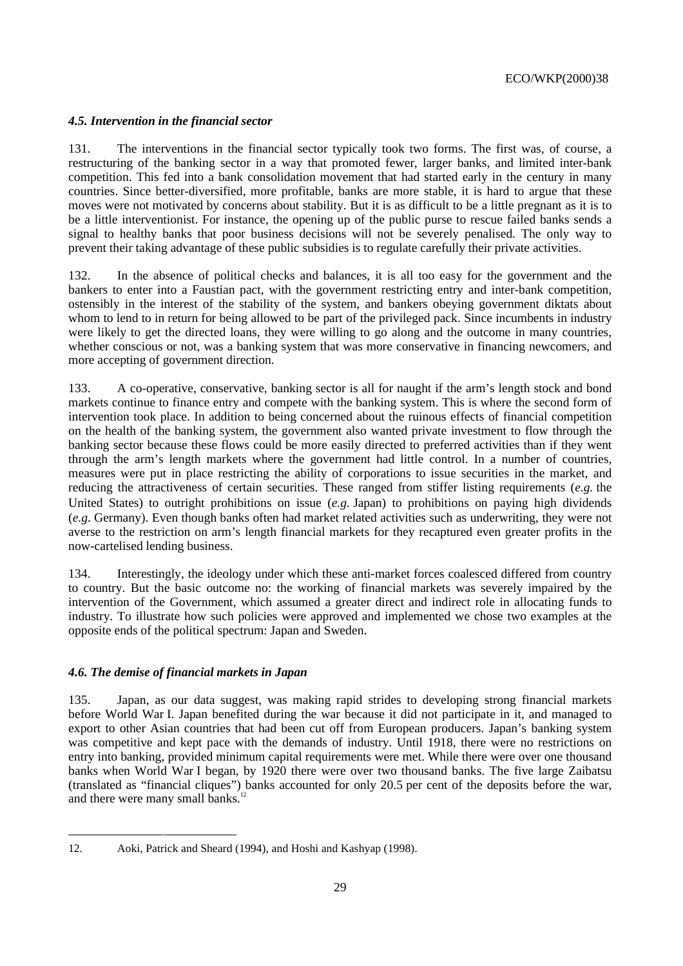### *4.5. Intervention in the financial sector*

131. The interventions in the financial sector typically took two forms. The first was, of course, a restructuring of the banking sector in a way that promoted fewer, larger banks, and limited inter-bank competition. This fed into a bank consolidation movement that had started early in the century in many countries. Since better-diversified, more profitable, banks are more stable, it is hard to argue that these moves were not motivated by concerns about stability. But it is as difficult to be a little pregnant as it is to be a little interventionist. For instance, the opening up of the public purse to rescue failed banks sends a signal to healthy banks that poor business decisions will not be severely penalised. The only way to prevent their taking advantage of these public subsidies is to regulate carefully their private activities.

132. In the absence of political checks and balances, it is all too easy for the government and the bankers to enter into a Faustian pact, with the government restricting entry and inter-bank competition, ostensibly in the interest of the stability of the system, and bankers obeying government diktats about whom to lend to in return for being allowed to be part of the privileged pack. Since incumbents in industry were likely to get the directed loans, they were willing to go along and the outcome in many countries, whether conscious or not, was a banking system that was more conservative in financing newcomers, and more accepting of government direction.

133. A co-operative, conservative, banking sector is all for naught if the arm's length stock and bond markets continue to finance entry and compete with the banking system. This is where the second form of intervention took place. In addition to being concerned about the ruinous effects of financial competition on the health of the banking system, the government also wanted private investment to flow through the banking sector because these flows could be more easily directed to preferred activities than if they went through the arm's length markets where the government had little control. In a number of countries, measures were put in place restricting the ability of corporations to issue securities in the market, and reducing the attractiveness of certain securities. These ranged from stiffer listing requirements (*e.g.* the United States) to outright prohibitions on issue (*e.g.* Japan) to prohibitions on paying high dividends (*e.g.* Germany). Even though banks often had market related activities such as underwriting, they were not averse to the restriction on arm's length financial markets for they recaptured even greater profits in the now-cartelised lending business.

134. Interestingly, the ideology under which these anti-market forces coalesced differed from country to country. But the basic outcome no: the working of financial markets was severely impaired by the intervention of the Government, which assumed a greater direct and indirect role in allocating funds to industry. To illustrate how such policies were approved and implemented we chose two examples at the opposite ends of the political spectrum: Japan and Sweden.

### *4.6. The demise of financial markets in Japan*

1

135. Japan, as our data suggest, was making rapid strides to developing strong financial markets before World War I. Japan benefited during the war because it did not participate in it, and managed to export to other Asian countries that had been cut off from European producers. Japan's banking system was competitive and kept pace with the demands of industry. Until 1918, there were no restrictions on entry into banking, provided minimum capital requirements were met. While there were over one thousand banks when World War I began, by 1920 there were over two thousand banks. The five large Zaibatsu (translated as "financial cliques") banks accounted for only 20.5 per cent of the deposits before the war, and there were many small banks.<sup>12</sup>

<sup>12.</sup> Aoki, Patrick and Sheard (1994), and Hoshi and Kashyap (1998).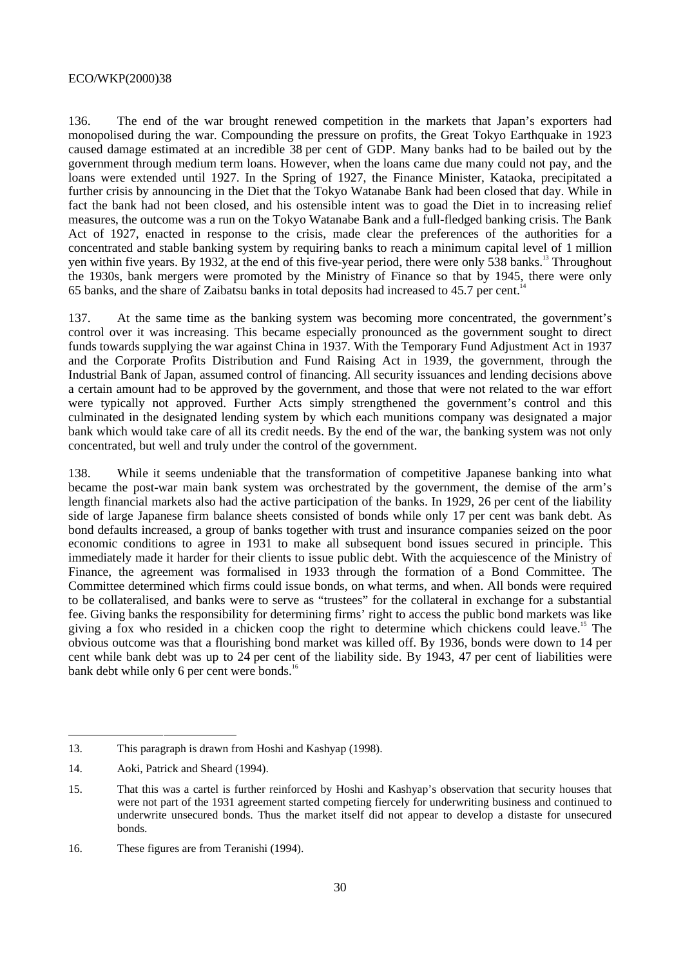136. The end of the war brought renewed competition in the markets that Japan's exporters had monopolised during the war. Compounding the pressure on profits, the Great Tokyo Earthquake in 1923 caused damage estimated at an incredible 38 per cent of GDP. Many banks had to be bailed out by the government through medium term loans. However, when the loans came due many could not pay, and the loans were extended until 1927. In the Spring of 1927, the Finance Minister, Kataoka, precipitated a further crisis by announcing in the Diet that the Tokyo Watanabe Bank had been closed that day. While in fact the bank had not been closed, and his ostensible intent was to goad the Diet in to increasing relief measures, the outcome was a run on the Tokyo Watanabe Bank and a full-fledged banking crisis. The Bank Act of 1927, enacted in response to the crisis, made clear the preferences of the authorities for a concentrated and stable banking system by requiring banks to reach a minimum capital level of 1 million yen within five years. By 1932, at the end of this five-year period, there were only 538 banks.<sup>13</sup> Throughout the 1930s, bank mergers were promoted by the Ministry of Finance so that by 1945, there were only 65 banks, and the share of Zaibatsu banks in total deposits had increased to 45.7 per cent.<sup>1</sup>

137. At the same time as the banking system was becoming more concentrated, the government's control over it was increasing. This became especially pronounced as the government sought to direct funds towards supplying the war against China in 1937. With the Temporary Fund Adjustment Act in 1937 and the Corporate Profits Distribution and Fund Raising Act in 1939, the government, through the Industrial Bank of Japan, assumed control of financing. All security issuances and lending decisions above a certain amount had to be approved by the government, and those that were not related to the war effort were typically not approved. Further Acts simply strengthened the government's control and this culminated in the designated lending system by which each munitions company was designated a major bank which would take care of all its credit needs. By the end of the war, the banking system was not only concentrated, but well and truly under the control of the government.

138. While it seems undeniable that the transformation of competitive Japanese banking into what became the post-war main bank system was orchestrated by the government, the demise of the arm's length financial markets also had the active participation of the banks. In 1929, 26 per cent of the liability side of large Japanese firm balance sheets consisted of bonds while only 17 per cent was bank debt. As bond defaults increased, a group of banks together with trust and insurance companies seized on the poor economic conditions to agree in 1931 to make all subsequent bond issues secured in principle. This immediately made it harder for their clients to issue public debt. With the acquiescence of the Ministry of Finance, the agreement was formalised in 1933 through the formation of a Bond Committee. The Committee determined which firms could issue bonds, on what terms, and when. All bonds were required to be collateralised, and banks were to serve as "trustees" for the collateral in exchange for a substantial fee. Giving banks the responsibility for determining firms' right to access the public bond markets was like giving a fox who resided in a chicken coop the right to determine which chickens could leave.<sup>15</sup> The obvious outcome was that a flourishing bond market was killed off. By 1936, bonds were down to 14 per cent while bank debt was up to 24 per cent of the liability side. By 1943, 47 per cent of liabilities were bank debt while only 6 per cent were bonds.<sup>16</sup>

<sup>-</sup>13. This paragraph is drawn from Hoshi and Kashyap (1998).

<sup>14.</sup> Aoki, Patrick and Sheard (1994).

<sup>15.</sup> That this was a cartel is further reinforced by Hoshi and Kashyap's observation that security houses that were not part of the 1931 agreement started competing fiercely for underwriting business and continued to underwrite unsecured bonds. Thus the market itself did not appear to develop a distaste for unsecured bonds.

<sup>16.</sup> These figures are from Teranishi (1994).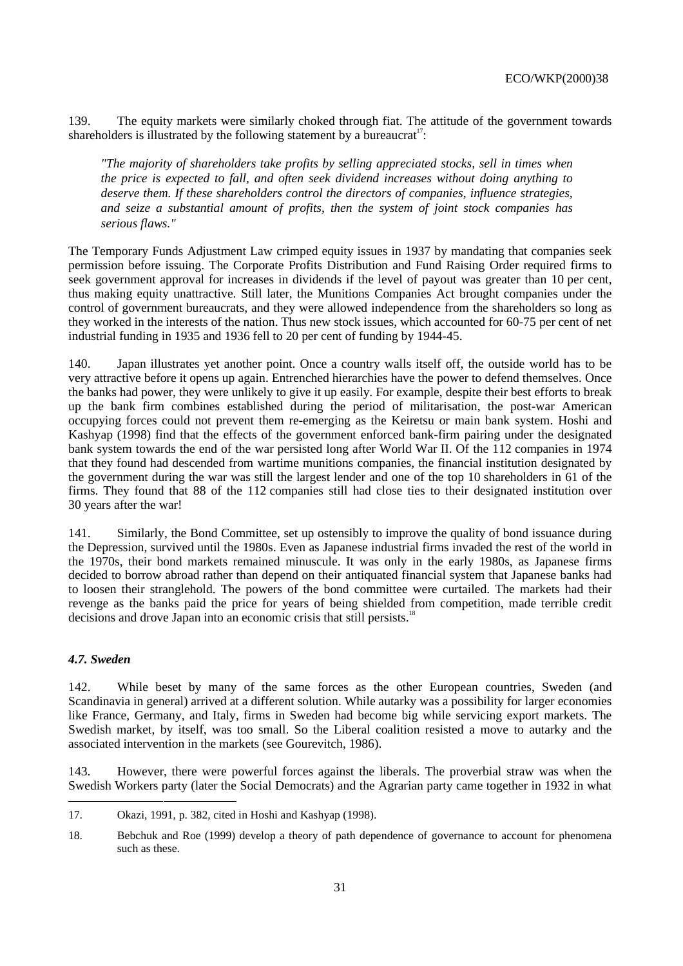139. The equity markets were similarly choked through fiat. The attitude of the government towards shareholders is illustrated by the following statement by a bureaucrat<sup>17</sup>:

*"The majority of shareholders take profits by selling appreciated stocks, sell in times when the price is expected to fall, and often seek dividend increases without doing anything to deserve them. If these shareholders control the directors of companies, influence strategies, and seize a substantial amount of profits, then the system of joint stock companies has serious flaws."*

The Temporary Funds Adjustment Law crimped equity issues in 1937 by mandating that companies seek permission before issuing. The Corporate Profits Distribution and Fund Raising Order required firms to seek government approval for increases in dividends if the level of payout was greater than 10 per cent, thus making equity unattractive. Still later, the Munitions Companies Act brought companies under the control of government bureaucrats, and they were allowed independence from the shareholders so long as they worked in the interests of the nation. Thus new stock issues, which accounted for 60-75 per cent of net industrial funding in 1935 and 1936 fell to 20 per cent of funding by 1944-45.

140. Japan illustrates yet another point. Once a country walls itself off, the outside world has to be very attractive before it opens up again. Entrenched hierarchies have the power to defend themselves. Once the banks had power, they were unlikely to give it up easily. For example, despite their best efforts to break up the bank firm combines established during the period of militarisation, the post-war American occupying forces could not prevent them re-emerging as the Keiretsu or main bank system. Hoshi and Kashyap (1998) find that the effects of the government enforced bank-firm pairing under the designated bank system towards the end of the war persisted long after World War II. Of the 112 companies in 1974 that they found had descended from wartime munitions companies, the financial institution designated by the government during the war was still the largest lender and one of the top 10 shareholders in 61 of the firms. They found that 88 of the 112 companies still had close ties to their designated institution over 30 years after the war!

141. Similarly, the Bond Committee, set up ostensibly to improve the quality of bond issuance during the Depression, survived until the 1980s. Even as Japanese industrial firms invaded the rest of the world in the 1970s, their bond markets remained minuscule. It was only in the early 1980s, as Japanese firms decided to borrow abroad rather than depend on their antiquated financial system that Japanese banks had to loosen their stranglehold. The powers of the bond committee were curtailed. The markets had their revenge as the banks paid the price for years of being shielded from competition, made terrible credit decisions and drove Japan into an economic crisis that still persists.<sup>18</sup>

#### *4.7. Sweden*

-

142. While beset by many of the same forces as the other European countries, Sweden (and Scandinavia in general) arrived at a different solution. While autarky was a possibility for larger economies like France, Germany, and Italy, firms in Sweden had become big while servicing export markets. The Swedish market, by itself, was too small. So the Liberal coalition resisted a move to autarky and the associated intervention in the markets (see Gourevitch, 1986).

143. However, there were powerful forces against the liberals. The proverbial straw was when the Swedish Workers party (later the Social Democrats) and the Agrarian party came together in 1932 in what

<sup>17.</sup> Okazi, 1991, p. 382, cited in Hoshi and Kashyap (1998).

<sup>18.</sup> Bebchuk and Roe (1999) develop a theory of path dependence of governance to account for phenomena such as these.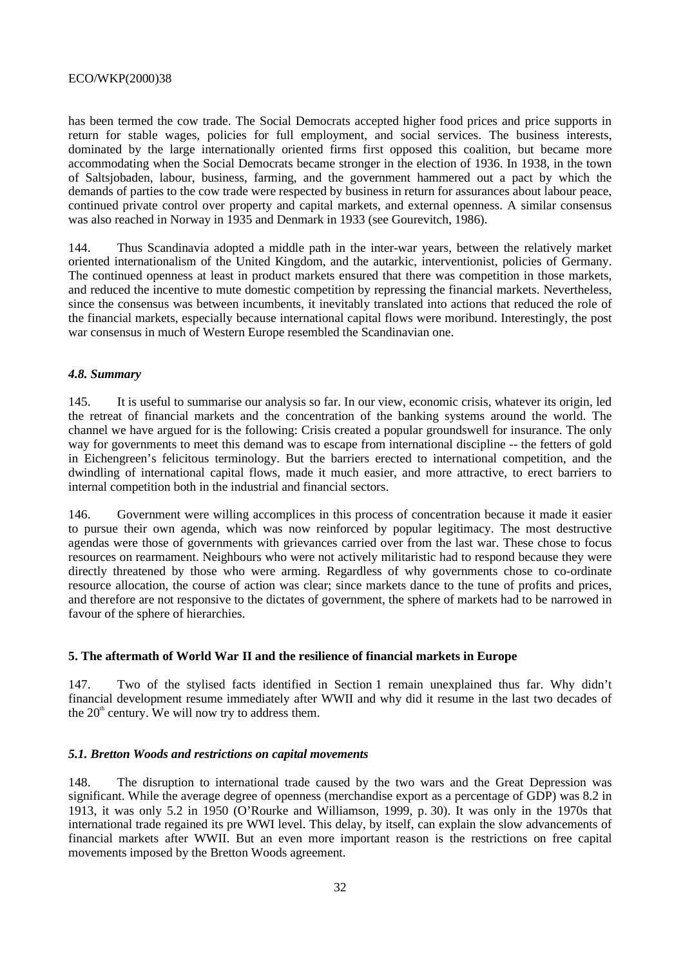has been termed the cow trade. The Social Democrats accepted higher food prices and price supports in return for stable wages, policies for full employment, and social services. The business interests, dominated by the large internationally oriented firms first opposed this coalition, but became more accommodating when the Social Democrats became stronger in the election of 1936. In 1938, in the town of Saltsjobaden, labour, business, farming, and the government hammered out a pact by which the demands of parties to the cow trade were respected by business in return for assurances about labour peace, continued private control over property and capital markets, and external openness. A similar consensus was also reached in Norway in 1935 and Denmark in 1933 (see Gourevitch, 1986).

144. Thus Scandinavia adopted a middle path in the inter-war years, between the relatively market oriented internationalism of the United Kingdom, and the autarkic, interventionist, policies of Germany. The continued openness at least in product markets ensured that there was competition in those markets, and reduced the incentive to mute domestic competition by repressing the financial markets. Nevertheless, since the consensus was between incumbents, it inevitably translated into actions that reduced the role of the financial markets, especially because international capital flows were moribund. Interestingly, the post war consensus in much of Western Europe resembled the Scandinavian one.

### *4.8. Summary*

145. It is useful to summarise our analysis so far. In our view, economic crisis, whatever its origin, led the retreat of financial markets and the concentration of the banking systems around the world. The channel we have argued for is the following: Crisis created a popular groundswell for insurance. The only way for governments to meet this demand was to escape from international discipline -- the fetters of gold in Eichengreen's felicitous terminology. But the barriers erected to international competition, and the dwindling of international capital flows, made it much easier, and more attractive, to erect barriers to internal competition both in the industrial and financial sectors.

146. Government were willing accomplices in this process of concentration because it made it easier to pursue their own agenda, which was now reinforced by popular legitimacy. The most destructive agendas were those of governments with grievances carried over from the last war. These chose to focus resources on rearmament. Neighbours who were not actively militaristic had to respond because they were directly threatened by those who were arming. Regardless of why governments chose to co-ordinate resource allocation, the course of action was clear; since markets dance to the tune of profits and prices, and therefore are not responsive to the dictates of government, the sphere of markets had to be narrowed in favour of the sphere of hierarchies.

#### **5. The aftermath of World War II and the resilience of financial markets in Europe**

147. Two of the stylised facts identified in Section 1 remain unexplained thus far. Why didn't financial development resume immediately after WWII and why did it resume in the last two decades of the  $20<sup>th</sup>$  century. We will now try to address them.

#### *5.1. Bretton Woods and restrictions on capital movements*

148. The disruption to international trade caused by the two wars and the Great Depression was significant. While the average degree of openness (merchandise export as a percentage of GDP) was 8.2 in 1913, it was only 5.2 in 1950 (O'Rourke and Williamson, 1999, p. 30). It was only in the 1970s that international trade regained its pre WWI level. This delay, by itself, can explain the slow advancements of financial markets after WWII. But an even more important reason is the restrictions on free capital movements imposed by the Bretton Woods agreement.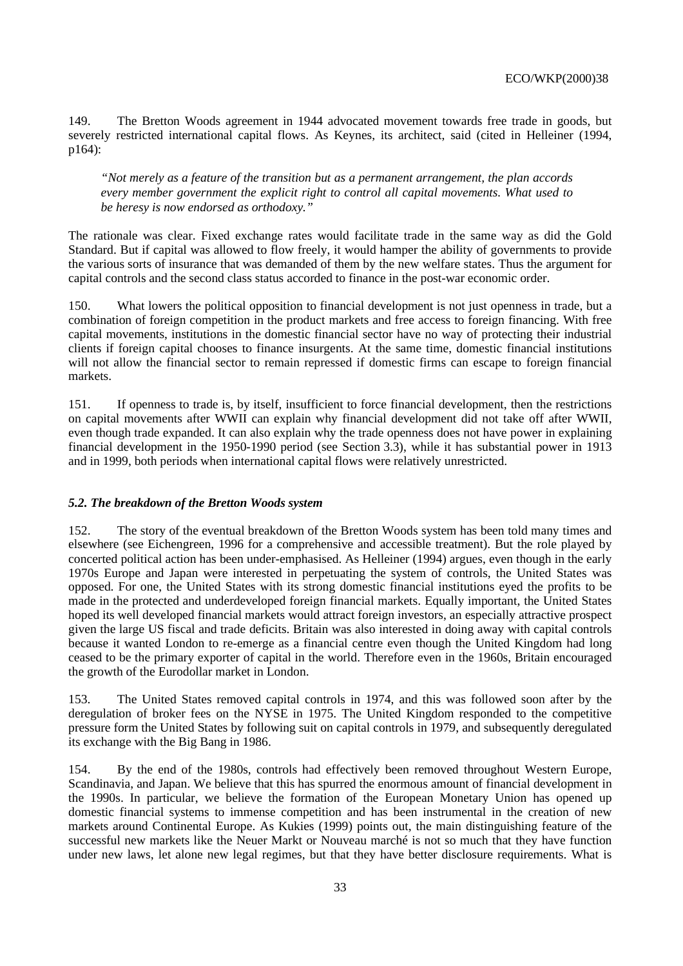149. The Bretton Woods agreement in 1944 advocated movement towards free trade in goods, but severely restricted international capital flows. As Keynes, its architect, said (cited in Helleiner (1994, p164):

*"Not merely as a feature of the transition but as a permanent arrangement, the plan accords every member government the explicit right to control all capital movements. What used to be heresy is now endorsed as orthodoxy."*

The rationale was clear. Fixed exchange rates would facilitate trade in the same way as did the Gold Standard. But if capital was allowed to flow freely, it would hamper the ability of governments to provide the various sorts of insurance that was demanded of them by the new welfare states. Thus the argument for capital controls and the second class status accorded to finance in the post-war economic order.

150. What lowers the political opposition to financial development is not just openness in trade, but a combination of foreign competition in the product markets and free access to foreign financing. With free capital movements, institutions in the domestic financial sector have no way of protecting their industrial clients if foreign capital chooses to finance insurgents. At the same time, domestic financial institutions will not allow the financial sector to remain repressed if domestic firms can escape to foreign financial markets.

151. If openness to trade is, by itself, insufficient to force financial development, then the restrictions on capital movements after WWII can explain why financial development did not take off after WWII, even though trade expanded. It can also explain why the trade openness does not have power in explaining financial development in the 1950-1990 period (see Section 3.3), while it has substantial power in 1913 and in 1999, both periods when international capital flows were relatively unrestricted.

#### *5.2. The breakdown of the Bretton Woods system*

152. The story of the eventual breakdown of the Bretton Woods system has been told many times and elsewhere (see Eichengreen, 1996 for a comprehensive and accessible treatment). But the role played by concerted political action has been under-emphasised. As Helleiner (1994) argues, even though in the early 1970s Europe and Japan were interested in perpetuating the system of controls, the United States was opposed. For one, the United States with its strong domestic financial institutions eyed the profits to be made in the protected and underdeveloped foreign financial markets. Equally important, the United States hoped its well developed financial markets would attract foreign investors, an especially attractive prospect given the large US fiscal and trade deficits. Britain was also interested in doing away with capital controls because it wanted London to re-emerge as a financial centre even though the United Kingdom had long ceased to be the primary exporter of capital in the world. Therefore even in the 1960s, Britain encouraged the growth of the Eurodollar market in London.

153. The United States removed capital controls in 1974, and this was followed soon after by the deregulation of broker fees on the NYSE in 1975. The United Kingdom responded to the competitive pressure form the United States by following suit on capital controls in 1979, and subsequently deregulated its exchange with the Big Bang in 1986.

154. By the end of the 1980s, controls had effectively been removed throughout Western Europe, Scandinavia, and Japan. We believe that this has spurred the enormous amount of financial development in the 1990s. In particular, we believe the formation of the European Monetary Union has opened up domestic financial systems to immense competition and has been instrumental in the creation of new markets around Continental Europe. As Kukies (1999) points out, the main distinguishing feature of the successful new markets like the Neuer Markt or Nouveau marché is not so much that they have function under new laws, let alone new legal regimes, but that they have better disclosure requirements. What is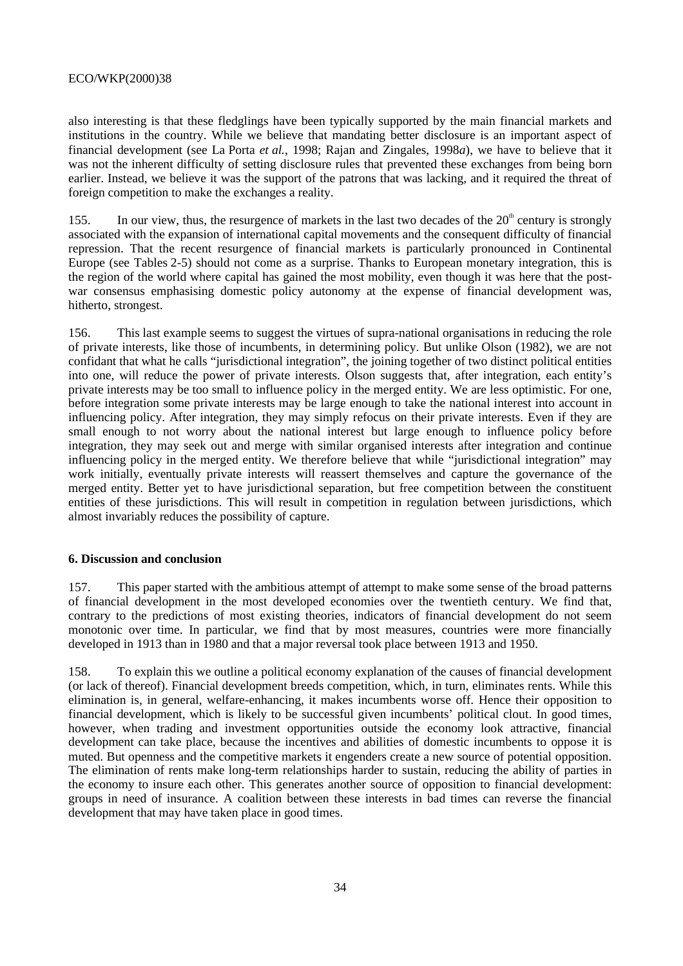also interesting is that these fledglings have been typically supported by the main financial markets and institutions in the country. While we believe that mandating better disclosure is an important aspect of financial development (see La Porta *et al.*, 1998; Rajan and Zingales, 1998*a*), we have to believe that it was not the inherent difficulty of setting disclosure rules that prevented these exchanges from being born earlier. Instead, we believe it was the support of the patrons that was lacking, and it required the threat of foreign competition to make the exchanges a reality.

155. In our view, thus, the resurgence of markets in the last two decades of the  $20<sup>th</sup>$  century is strongly associated with the expansion of international capital movements and the consequent difficulty of financial repression. That the recent resurgence of financial markets is particularly pronounced in Continental Europe (see Tables 2-5) should not come as a surprise. Thanks to European monetary integration, this is the region of the world where capital has gained the most mobility, even though it was here that the postwar consensus emphasising domestic policy autonomy at the expense of financial development was, hitherto, strongest.

156. This last example seems to suggest the virtues of supra-national organisations in reducing the role of private interests, like those of incumbents, in determining policy. But unlike Olson (1982), we are not confidant that what he calls "jurisdictional integration", the joining together of two distinct political entities into one, will reduce the power of private interests. Olson suggests that, after integration, each entity's private interests may be too small to influence policy in the merged entity. We are less optimistic. For one, before integration some private interests may be large enough to take the national interest into account in influencing policy. After integration, they may simply refocus on their private interests. Even if they are small enough to not worry about the national interest but large enough to influence policy before integration, they may seek out and merge with similar organised interests after integration and continue influencing policy in the merged entity. We therefore believe that while "jurisdictional integration" may work initially, eventually private interests will reassert themselves and capture the governance of the merged entity. Better yet to have jurisdictional separation, but free competition between the constituent entities of these jurisdictions. This will result in competition in regulation between jurisdictions, which almost invariably reduces the possibility of capture.

### **6. Discussion and conclusion**

157. This paper started with the ambitious attempt of attempt to make some sense of the broad patterns of financial development in the most developed economies over the twentieth century. We find that, contrary to the predictions of most existing theories, indicators of financial development do not seem monotonic over time. In particular, we find that by most measures, countries were more financially developed in 1913 than in 1980 and that a major reversal took place between 1913 and 1950.

158. To explain this we outline a political economy explanation of the causes of financial development (or lack of thereof). Financial development breeds competition, which, in turn, eliminates rents. While this elimination is, in general, welfare-enhancing, it makes incumbents worse off. Hence their opposition to financial development, which is likely to be successful given incumbents' political clout. In good times, however, when trading and investment opportunities outside the economy look attractive, financial development can take place, because the incentives and abilities of domestic incumbents to oppose it is muted. But openness and the competitive markets it engenders create a new source of potential opposition. The elimination of rents make long-term relationships harder to sustain, reducing the ability of parties in the economy to insure each other. This generates another source of opposition to financial development: groups in need of insurance. A coalition between these interests in bad times can reverse the financial development that may have taken place in good times.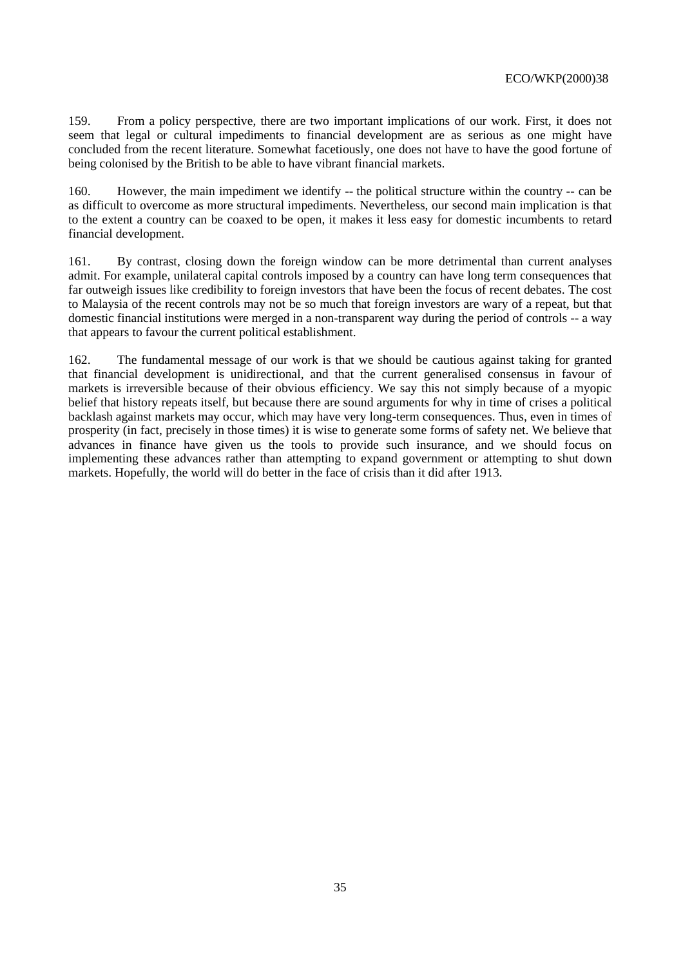159. From a policy perspective, there are two important implications of our work. First, it does not seem that legal or cultural impediments to financial development are as serious as one might have concluded from the recent literature. Somewhat facetiously, one does not have to have the good fortune of being colonised by the British to be able to have vibrant financial markets.

160. However, the main impediment we identify -- the political structure within the country -- can be as difficult to overcome as more structural impediments. Nevertheless, our second main implication is that to the extent a country can be coaxed to be open, it makes it less easy for domestic incumbents to retard financial development.

161. By contrast, closing down the foreign window can be more detrimental than current analyses admit. For example, unilateral capital controls imposed by a country can have long term consequences that far outweigh issues like credibility to foreign investors that have been the focus of recent debates. The cost to Malaysia of the recent controls may not be so much that foreign investors are wary of a repeat, but that domestic financial institutions were merged in a non-transparent way during the period of controls -- a way that appears to favour the current political establishment.

162. The fundamental message of our work is that we should be cautious against taking for granted that financial development is unidirectional, and that the current generalised consensus in favour of markets is irreversible because of their obvious efficiency. We say this not simply because of a myopic belief that history repeats itself, but because there are sound arguments for why in time of crises a political backlash against markets may occur, which may have very long-term consequences. Thus, even in times of prosperity (in fact, precisely in those times) it is wise to generate some forms of safety net. We believe that advances in finance have given us the tools to provide such insurance, and we should focus on implementing these advances rather than attempting to expand government or attempting to shut down markets. Hopefully, the world will do better in the face of crisis than it did after 1913.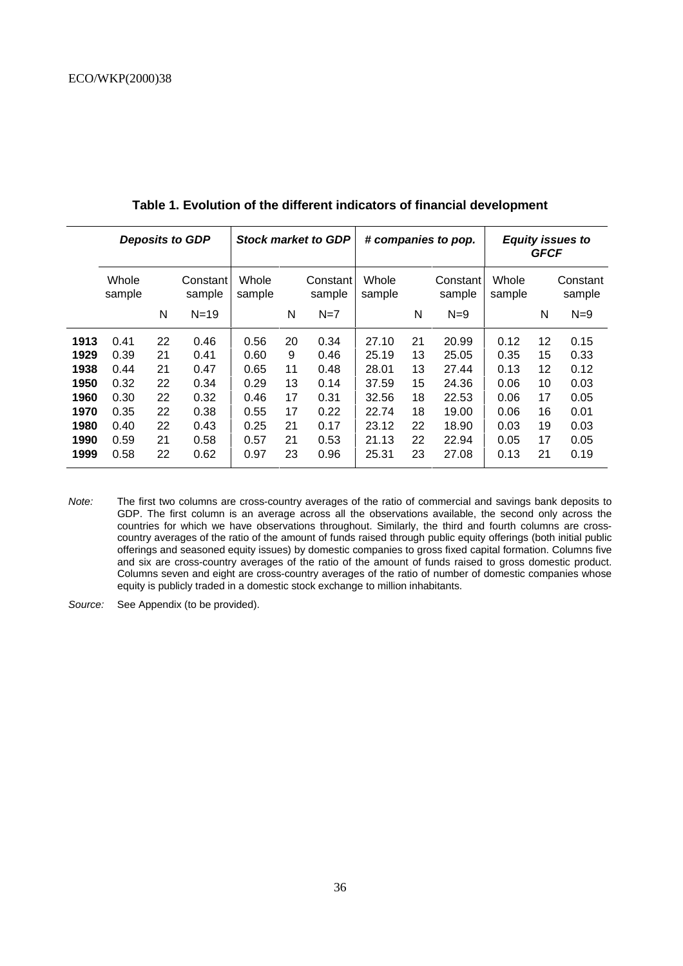|      | <b>Deposits to GDP</b> |    |                    |                 | <b>Stock market to GDP</b> | # companies to pop. |                 |    | <b>Equity issues to</b><br><b>GFCF</b> |                 |    |                    |
|------|------------------------|----|--------------------|-----------------|----------------------------|---------------------|-----------------|----|----------------------------------------|-----------------|----|--------------------|
|      | Whole<br>sample        |    | Constant<br>sample | Whole<br>sample |                            | Constant<br>sample  | Whole<br>sample |    | Constant<br>sample                     | Whole<br>sample |    | Constant<br>sample |
|      |                        | N  | $N=19$             |                 | N                          | $N=7$               |                 | N  | $N=9$                                  |                 | N  | $N=9$              |
| 1913 | 0.41                   | 22 | 0.46               | 0.56            | 20                         | 0.34                | 27.10           | 21 | 20.99                                  | 0.12            | 12 | 0.15               |
| 1929 | 0.39                   | 21 | 0.41               | 0.60            | 9                          | 0.46                | 25.19           | 13 | 25.05                                  | 0.35            | 15 | 0.33               |
| 1938 | 0.44                   | 21 | 0.47               | 0.65            | 11                         | 0.48                | 28.01           | 13 | 27.44                                  | 0.13            | 12 | 0.12               |
| 1950 | 0.32                   | 22 | 0.34               | 0.29            | 13                         | 0.14                | 37.59           | 15 | 24.36                                  | 0.06            | 10 | 0.03               |
| 1960 | 0.30                   | 22 | 0.32               | 0.46            | 17                         | 0.31                | 32.56           | 18 | 22.53                                  | 0.06            | 17 | 0.05               |
| 1970 | 0.35                   | 22 | 0.38               | 0.55            | 17                         | 0.22                | 22.74           | 18 | 19.00                                  | 0.06            | 16 | 0.01               |
| 1980 | 0.40                   | 22 | 0.43               | 0.25            | 21                         | 0.17                | 23.12           | 22 | 18.90                                  | 0.03            | 19 | 0.03               |
| 1990 | 0.59                   | 21 | 0.58               | 0.57            | 21                         | 0.53                | 21.13           | 22 | 22.94                                  | 0.05            | 17 | 0.05               |
| 1999 | 0.58                   | 22 | 0.62               | 0.97            | 23                         | 0.96                | 25.31           | 23 | 27.08                                  | 0.13            | 21 | 0.19               |

**Table 1. Evolution of the different indicators of financial development**

Note: The first two columns are cross-country averages of the ratio of commercial and savings bank deposits to GDP. The first column is an average across all the observations available, the second only across the countries for which we have observations throughout. Similarly, the third and fourth columns are crosscountry averages of the ratio of the amount of funds raised through public equity offerings (both initial public offerings and seasoned equity issues) by domestic companies to gross fixed capital formation. Columns five and six are cross-country averages of the ratio of the amount of funds raised to gross domestic product. Columns seven and eight are cross-country averages of the ratio of number of domestic companies whose equity is publicly traded in a domestic stock exchange to million inhabitants.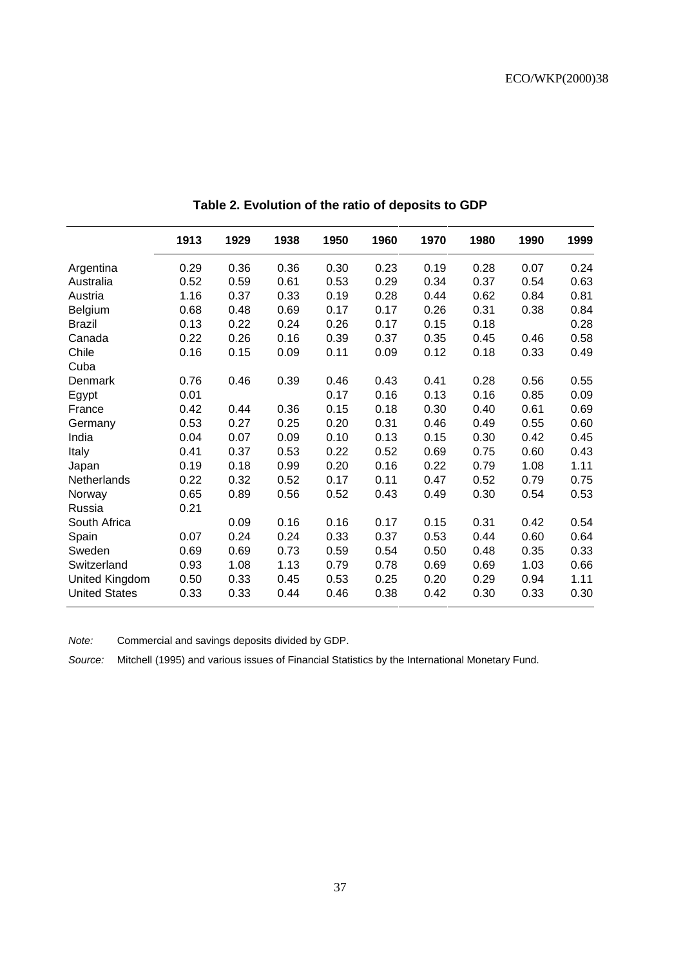| 1913 | 1929 | 1938 | 1950 | 1960 | 1970 | 1980 | 1990 | 1999 |
|------|------|------|------|------|------|------|------|------|
| 0.29 | 0.36 | 0.36 | 0.30 | 0.23 | 0.19 | 0.28 | 0.07 | 0.24 |
| 0.52 | 0.59 | 0.61 | 0.53 | 0.29 | 0.34 | 0.37 | 0.54 | 0.63 |
| 1.16 | 0.37 | 0.33 | 0.19 | 0.28 | 0.44 | 0.62 | 0.84 | 0.81 |
| 0.68 | 0.48 | 0.69 | 0.17 | 0.17 | 0.26 | 0.31 | 0.38 | 0.84 |
| 0.13 | 0.22 | 0.24 | 0.26 | 0.17 | 0.15 | 0.18 |      | 0.28 |
| 0.22 | 0.26 | 0.16 | 0.39 | 0.37 | 0.35 | 0.45 | 0.46 | 0.58 |
| 0.16 | 0.15 | 0.09 | 0.11 | 0.09 | 0.12 | 0.18 | 0.33 | 0.49 |
|      |      |      |      |      |      |      |      |      |
| 0.76 | 0.46 | 0.39 | 0.46 | 0.43 | 0.41 | 0.28 | 0.56 | 0.55 |
| 0.01 |      |      | 0.17 | 0.16 | 0.13 | 0.16 | 0.85 | 0.09 |
| 0.42 | 0.44 | 0.36 | 0.15 | 0.18 | 0.30 | 0.40 | 0.61 | 0.69 |
| 0.53 | 0.27 | 0.25 | 0.20 | 0.31 | 0.46 | 0.49 | 0.55 | 0.60 |
| 0.04 | 0.07 | 0.09 | 0.10 | 0.13 | 0.15 | 0.30 | 0.42 | 0.45 |
| 0.41 | 0.37 | 0.53 | 0.22 | 0.52 | 0.69 | 0.75 | 0.60 | 0.43 |
| 0.19 | 0.18 | 0.99 | 0.20 | 0.16 | 0.22 | 0.79 | 1.08 | 1.11 |
| 0.22 | 0.32 | 0.52 | 0.17 | 0.11 | 0.47 | 0.52 | 0.79 | 0.75 |
| 0.65 | 0.89 | 0.56 | 0.52 | 0.43 | 0.49 | 0.30 | 0.54 | 0.53 |
| 0.21 |      |      |      |      |      |      |      |      |
|      | 0.09 | 0.16 | 0.16 | 0.17 | 0.15 | 0.31 | 0.42 | 0.54 |
| 0.07 | 0.24 | 0.24 | 0.33 | 0.37 | 0.53 | 0.44 | 0.60 | 0.64 |
| 0.69 | 0.69 | 0.73 | 0.59 | 0.54 | 0.50 | 0.48 | 0.35 | 0.33 |
| 0.93 | 1.08 | 1.13 | 0.79 | 0.78 | 0.69 | 0.69 | 1.03 | 0.66 |
| 0.50 | 0.33 | 0.45 | 0.53 | 0.25 | 0.20 | 0.29 | 0.94 | 1.11 |
| 0.33 | 0.33 | 0.44 | 0.46 | 0.38 | 0.42 | 0.30 | 0.33 | 0.30 |
|      |      |      |      |      |      |      |      |      |

**Table 2. Evolution of the ratio of deposits to GDP**

Note: Commercial and savings deposits divided by GDP.

Source: Mitchell (1995) and various issues of Financial Statistics by the International Monetary Fund.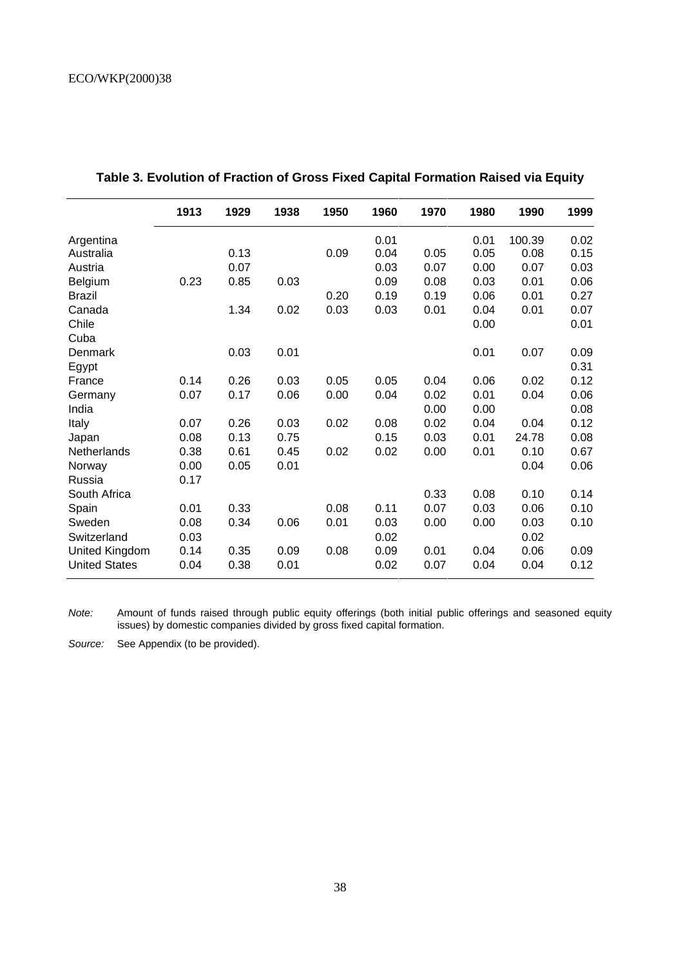|                      | 1913 | 1929 | 1938 | 1950 | 1960 | 1970 | 1980 | 1990   | 1999 |
|----------------------|------|------|------|------|------|------|------|--------|------|
| Argentina            |      |      |      |      | 0.01 |      | 0.01 | 100.39 | 0.02 |
| Australia            |      | 0.13 |      | 0.09 | 0.04 | 0.05 | 0.05 | 0.08   | 0.15 |
| Austria              |      | 0.07 |      |      | 0.03 | 0.07 | 0.00 | 0.07   | 0.03 |
| Belgium              | 0.23 | 0.85 | 0.03 |      | 0.09 | 0.08 | 0.03 | 0.01   | 0.06 |
| <b>Brazil</b>        |      |      |      | 0.20 | 0.19 | 0.19 | 0.06 | 0.01   | 0.27 |
| Canada               |      | 1.34 | 0.02 | 0.03 | 0.03 | 0.01 | 0.04 | 0.01   | 0.07 |
| Chile                |      |      |      |      |      |      | 0.00 |        | 0.01 |
| Cuba                 |      |      |      |      |      |      |      |        |      |
| Denmark              |      | 0.03 | 0.01 |      |      |      | 0.01 | 0.07   | 0.09 |
| Egypt                |      |      |      |      |      |      |      |        | 0.31 |
| France               | 0.14 | 0.26 | 0.03 | 0.05 | 0.05 | 0.04 | 0.06 | 0.02   | 0.12 |
| Germany              | 0.07 | 0.17 | 0.06 | 0.00 | 0.04 | 0.02 | 0.01 | 0.04   | 0.06 |
| India                |      |      |      |      |      | 0.00 | 0.00 |        | 0.08 |
| Italy                | 0.07 | 0.26 | 0.03 | 0.02 | 0.08 | 0.02 | 0.04 | 0.04   | 0.12 |
| Japan                | 0.08 | 0.13 | 0.75 |      | 0.15 | 0.03 | 0.01 | 24.78  | 0.08 |
| Netherlands          | 0.38 | 0.61 | 0.45 | 0.02 | 0.02 | 0.00 | 0.01 | 0.10   | 0.67 |
| Norway               | 0.00 | 0.05 | 0.01 |      |      |      |      | 0.04   | 0.06 |
| Russia               | 0.17 |      |      |      |      |      |      |        |      |
| South Africa         |      |      |      |      |      | 0.33 | 0.08 | 0.10   | 0.14 |
| Spain                | 0.01 | 0.33 |      | 0.08 | 0.11 | 0.07 | 0.03 | 0.06   | 0.10 |
| Sweden               | 0.08 | 0.34 | 0.06 | 0.01 | 0.03 | 0.00 | 0.00 | 0.03   | 0.10 |
| Switzerland          | 0.03 |      |      |      | 0.02 |      |      | 0.02   |      |
| United Kingdom       | 0.14 | 0.35 | 0.09 | 0.08 | 0.09 | 0.01 | 0.04 | 0.06   | 0.09 |
| <b>United States</b> | 0.04 | 0.38 | 0.01 |      | 0.02 | 0.07 | 0.04 | 0.04   | 0.12 |

**Table 3. Evolution of Fraction of Gross Fixed Capital Formation Raised via Equity**

Note: Amount of funds raised through public equity offerings (both initial public offerings and seasoned equity issues) by domestic companies divided by gross fixed capital formation.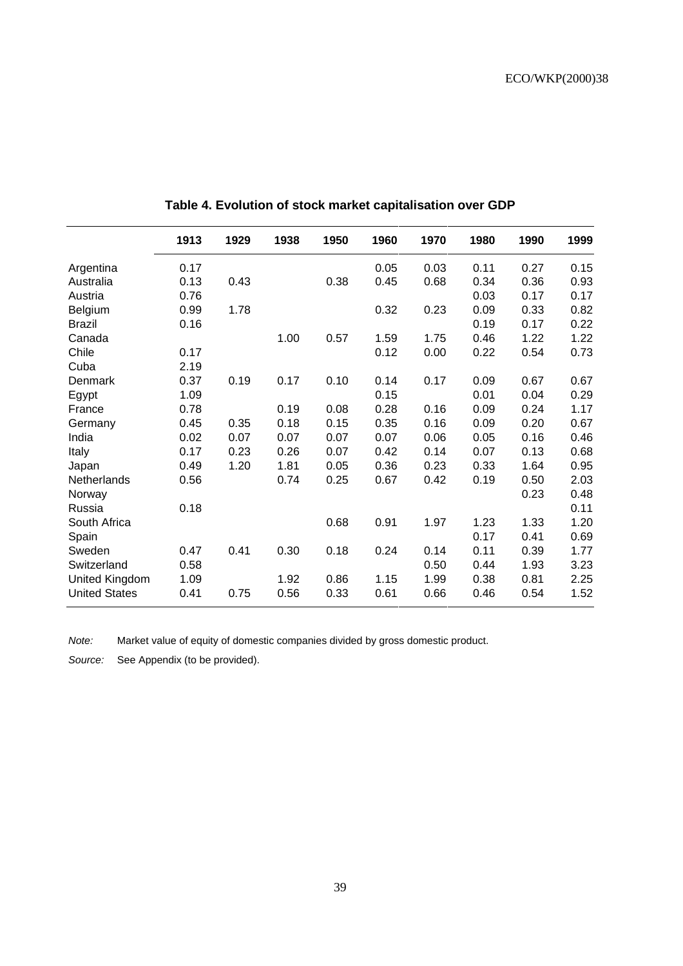|                      | 1913 | 1929 | 1938 | 1950 | 1960 | 1970 | 1980 | 1990 | 1999 |
|----------------------|------|------|------|------|------|------|------|------|------|
| Argentina            | 0.17 |      |      |      | 0.05 | 0.03 | 0.11 | 0.27 | 0.15 |
| Australia            | 0.13 | 0.43 |      | 0.38 | 0.45 | 0.68 | 0.34 | 0.36 | 0.93 |
| Austria              | 0.76 |      |      |      |      |      | 0.03 | 0.17 | 0.17 |
| <b>Belgium</b>       | 0.99 | 1.78 |      |      | 0.32 | 0.23 | 0.09 | 0.33 | 0.82 |
| <b>Brazil</b>        | 0.16 |      |      |      |      |      | 0.19 | 0.17 | 0.22 |
| Canada               |      |      | 1.00 | 0.57 | 1.59 | 1.75 | 0.46 | 1.22 | 1.22 |
| Chile                | 0.17 |      |      |      | 0.12 | 0.00 | 0.22 | 0.54 | 0.73 |
| Cuba                 | 2.19 |      |      |      |      |      |      |      |      |
| Denmark              | 0.37 | 0.19 | 0.17 | 0.10 | 0.14 | 0.17 | 0.09 | 0.67 | 0.67 |
| Egypt                | 1.09 |      |      |      | 0.15 |      | 0.01 | 0.04 | 0.29 |
| France               | 0.78 |      | 0.19 | 0.08 | 0.28 | 0.16 | 0.09 | 0.24 | 1.17 |
| Germany              | 0.45 | 0.35 | 0.18 | 0.15 | 0.35 | 0.16 | 0.09 | 0.20 | 0.67 |
| India                | 0.02 | 0.07 | 0.07 | 0.07 | 0.07 | 0.06 | 0.05 | 0.16 | 0.46 |
| Italy                | 0.17 | 0.23 | 0.26 | 0.07 | 0.42 | 0.14 | 0.07 | 0.13 | 0.68 |
| Japan                | 0.49 | 1.20 | 1.81 | 0.05 | 0.36 | 0.23 | 0.33 | 1.64 | 0.95 |
| <b>Netherlands</b>   | 0.56 |      | 0.74 | 0.25 | 0.67 | 0.42 | 0.19 | 0.50 | 2.03 |
| Norway               |      |      |      |      |      |      |      | 0.23 | 0.48 |
| Russia               | 0.18 |      |      |      |      |      |      |      | 0.11 |
| South Africa         |      |      |      | 0.68 | 0.91 | 1.97 | 1.23 | 1.33 | 1.20 |
| Spain                |      |      |      |      |      |      | 0.17 | 0.41 | 0.69 |
| Sweden               | 0.47 | 0.41 | 0.30 | 0.18 | 0.24 | 0.14 | 0.11 | 0.39 | 1.77 |
| Switzerland          | 0.58 |      |      |      |      | 0.50 | 0.44 | 1.93 | 3.23 |
| United Kingdom       | 1.09 |      | 1.92 | 0.86 | 1.15 | 1.99 | 0.38 | 0.81 | 2.25 |
| <b>United States</b> | 0.41 | 0.75 | 0.56 | 0.33 | 0.61 | 0.66 | 0.46 | 0.54 | 1.52 |

**Table 4. Evolution of stock market capitalisation over GDP**

Note: Market value of equity of domestic companies divided by gross domestic product.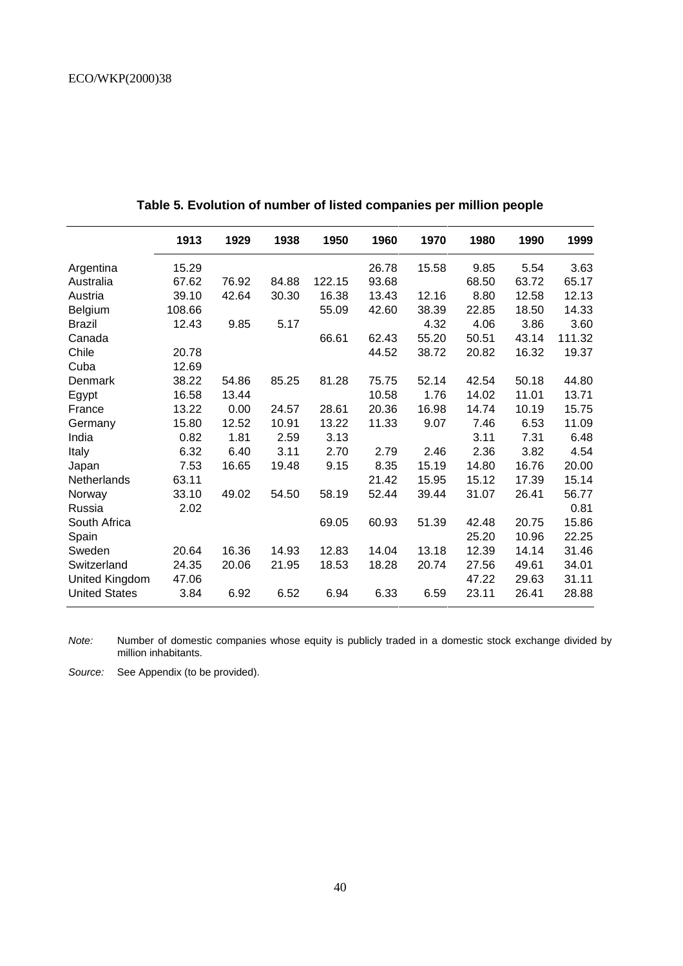|                      | 1913   | 1929  | 1938  | 1950   | 1960  | 1970  | 1980  | 1990  | 1999   |
|----------------------|--------|-------|-------|--------|-------|-------|-------|-------|--------|
| Argentina            | 15.29  |       |       |        | 26.78 | 15.58 | 9.85  | 5.54  | 3.63   |
| Australia            | 67.62  | 76.92 | 84.88 | 122.15 | 93.68 |       | 68.50 | 63.72 | 65.17  |
| Austria              | 39.10  | 42.64 | 30.30 | 16.38  | 13.43 | 12.16 | 8.80  | 12.58 | 12.13  |
| Belgium              | 108.66 |       |       | 55.09  | 42.60 | 38.39 | 22.85 | 18.50 | 14.33  |
| <b>Brazil</b>        | 12.43  | 9.85  | 5.17  |        |       | 4.32  | 4.06  | 3.86  | 3.60   |
| Canada               |        |       |       | 66.61  | 62.43 | 55.20 | 50.51 | 43.14 | 111.32 |
| Chile                | 20.78  |       |       |        | 44.52 | 38.72 | 20.82 | 16.32 | 19.37  |
| Cuba                 | 12.69  |       |       |        |       |       |       |       |        |
| Denmark              | 38.22  | 54.86 | 85.25 | 81.28  | 75.75 | 52.14 | 42.54 | 50.18 | 44.80  |
| Egypt                | 16.58  | 13.44 |       |        | 10.58 | 1.76  | 14.02 | 11.01 | 13.71  |
| France               | 13.22  | 0.00  | 24.57 | 28.61  | 20.36 | 16.98 | 14.74 | 10.19 | 15.75  |
| Germany              | 15.80  | 12.52 | 10.91 | 13.22  | 11.33 | 9.07  | 7.46  | 6.53  | 11.09  |
| India                | 0.82   | 1.81  | 2.59  | 3.13   |       |       | 3.11  | 7.31  | 6.48   |
| Italy                | 6.32   | 6.40  | 3.11  | 2.70   | 2.79  | 2.46  | 2.36  | 3.82  | 4.54   |
| Japan                | 7.53   | 16.65 | 19.48 | 9.15   | 8.35  | 15.19 | 14.80 | 16.76 | 20.00  |
| Netherlands          | 63.11  |       |       |        | 21.42 | 15.95 | 15.12 | 17.39 | 15.14  |
| Norway               | 33.10  | 49.02 | 54.50 | 58.19  | 52.44 | 39.44 | 31.07 | 26.41 | 56.77  |
| Russia               | 2.02   |       |       |        |       |       |       |       | 0.81   |
| South Africa         |        |       |       | 69.05  | 60.93 | 51.39 | 42.48 | 20.75 | 15.86  |
| Spain                |        |       |       |        |       |       | 25.20 | 10.96 | 22.25  |
| Sweden               | 20.64  | 16.36 | 14.93 | 12.83  | 14.04 | 13.18 | 12.39 | 14.14 | 31.46  |
| Switzerland          | 24.35  | 20.06 | 21.95 | 18.53  | 18.28 | 20.74 | 27.56 | 49.61 | 34.01  |
| United Kingdom       | 47.06  |       |       |        |       |       | 47.22 | 29.63 | 31.11  |
| <b>United States</b> | 3.84   | 6.92  | 6.52  | 6.94   | 6.33  | 6.59  | 23.11 | 26.41 | 28.88  |

**Table 5. Evolution of number of listed companies per million people**

Note: Number of domestic companies whose equity is publicly traded in a domestic stock exchange divided by million inhabitants.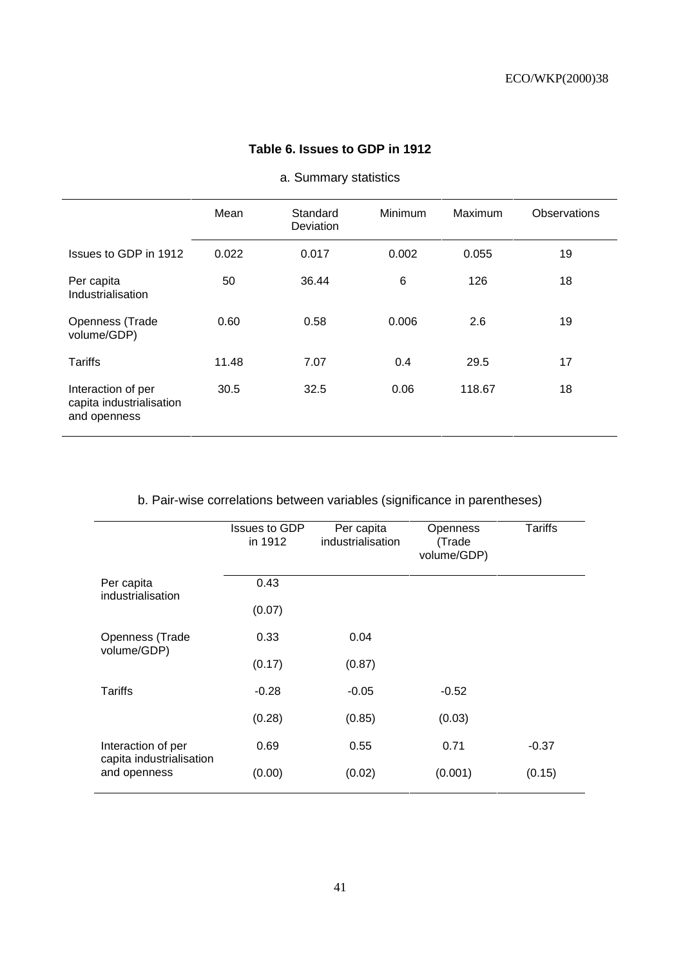|                                                                | Mean  | Standard<br>Deviation | <b>Minimum</b> | Maximum | Observations |
|----------------------------------------------------------------|-------|-----------------------|----------------|---------|--------------|
| Issues to GDP in 1912                                          | 0.022 | 0.017                 | 0.002          | 0.055   | 19           |
| Per capita<br>Industrialisation                                | 50    | 36.44                 | 6              | 126     | 18           |
| Openness (Trade<br>volume/GDP)                                 | 0.60  | 0.58                  | 0.006          | 2.6     | 19           |
| Tariffs                                                        | 11.48 | 7.07                  | 0.4            | 29.5    | 17           |
| Interaction of per<br>capita industrialisation<br>and openness | 30.5  | 32.5                  | 0.06           | 118.67  | 18           |

# **Table 6. Issues to GDP in 1912**

# b. Pair-wise correlations between variables (significance in parentheses)

|                                                | <b>Issues to GDP</b><br>in 1912 | Per capita<br>industrialisation | Openness<br>(Trade<br>volume/GDP) | Tariffs |
|------------------------------------------------|---------------------------------|---------------------------------|-----------------------------------|---------|
| Per capita<br>industrialisation                | 0.43                            |                                 |                                   |         |
|                                                | (0.07)                          |                                 |                                   |         |
| Openness (Trade<br>volume/GDP)                 | 0.33                            | 0.04                            |                                   |         |
|                                                | (0.17)                          | (0.87)                          |                                   |         |
| Tariffs                                        | $-0.28$                         | $-0.05$                         | $-0.52$                           |         |
|                                                | (0.28)                          | (0.85)                          | (0.03)                            |         |
| Interaction of per<br>capita industrialisation | 0.69                            | 0.55                            | 0.71                              | $-0.37$ |
| and openness                                   | (0.00)                          | (0.02)                          | (0.001)                           | (0.15)  |

# a. Summary statistics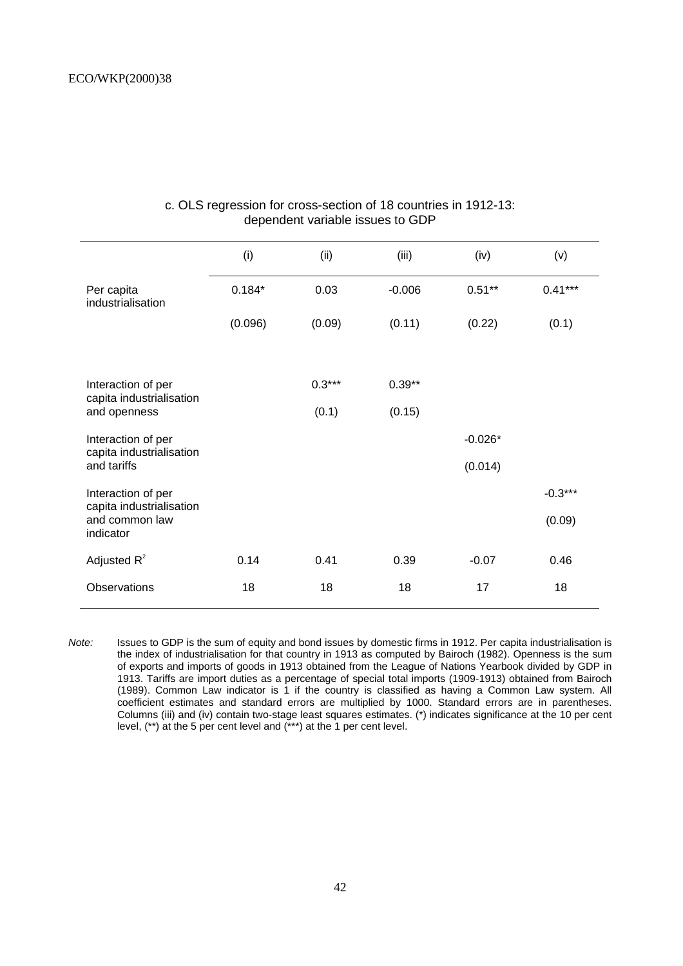|                                                | (i)      | (ii)     | (iii)    | (iv)      | (v)       |
|------------------------------------------------|----------|----------|----------|-----------|-----------|
| Per capita<br>industrialisation                | $0.184*$ | 0.03     | $-0.006$ | $0.51***$ | $0.41***$ |
|                                                | (0.096)  | (0.09)   | (0.11)   | (0.22)    | (0.1)     |
|                                                |          |          |          |           |           |
| Interaction of per<br>capita industrialisation |          | $0.3***$ | $0.39**$ |           |           |
| and openness                                   |          | (0.1)    | (0.15)   |           |           |
| Interaction of per<br>capita industrialisation |          |          |          | $-0.026*$ |           |
| and tariffs                                    |          |          |          | (0.014)   |           |
| Interaction of per<br>capita industrialisation |          |          |          |           | $-0.3***$ |
| and common law<br>indicator                    |          |          |          |           | (0.09)    |
| Adjusted $R^2$                                 | 0.14     | 0.41     | 0.39     | $-0.07$   | 0.46      |
| Observations                                   | 18       | 18       | 18       | 17        | 18        |

### c. OLS regression for cross-section of 18 countries in 1912-13: dependent variable issues to GDP

Note: Issues to GDP is the sum of equity and bond issues by domestic firms in 1912. Per capita industrialisation is the index of industrialisation for that country in 1913 as computed by Bairoch (1982). Openness is the sum of exports and imports of goods in 1913 obtained from the League of Nations Yearbook divided by GDP in 1913. Tariffs are import duties as a percentage of special total imports (1909-1913) obtained from Bairoch (1989). Common Law indicator is 1 if the country is classified as having a Common Law system. All coefficient estimates and standard errors are multiplied by 1000. Standard errors are in parentheses. Columns (iii) and (iv) contain two-stage least squares estimates. (\*) indicates significance at the 10 per cent level, (\*\*) at the 5 per cent level and (\*\*\*) at the 1 per cent level.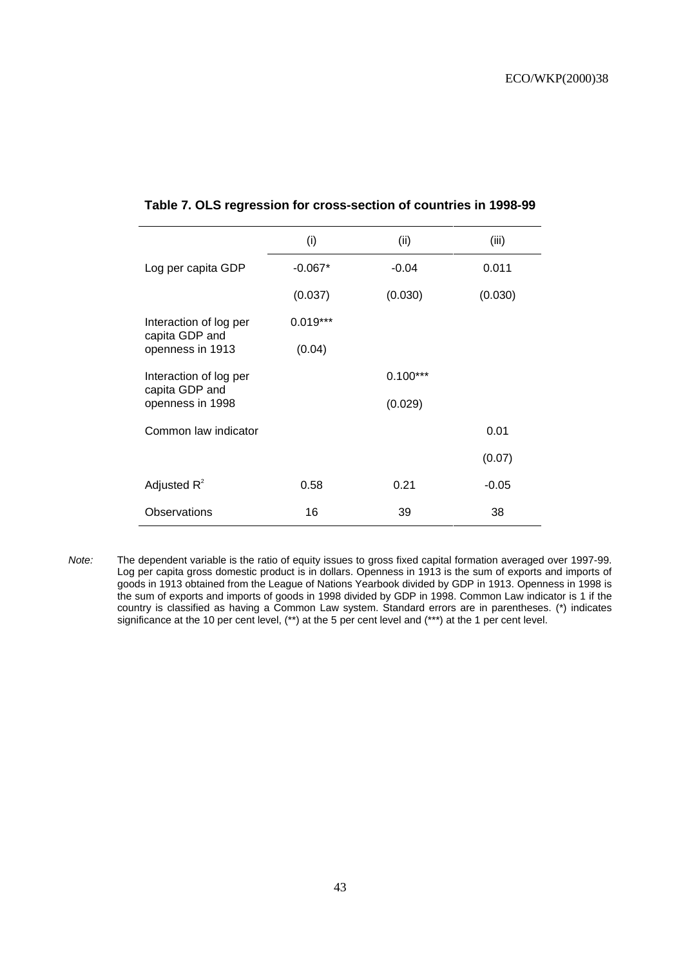|                                    | (i)        | (ii)       | (iii)   |
|------------------------------------|------------|------------|---------|
| Log per capita GDP                 | $-0.067*$  | $-0.04$    | 0.011   |
|                                    | (0.037)    | (0.030)    | (0.030) |
| Interaction of log per             | $0.019***$ |            |         |
| capita GDP and<br>openness in 1913 | (0.04)     |            |         |
| Interaction of log per             |            | $0.100***$ |         |
| capita GDP and<br>openness in 1998 |            | (0.029)    |         |
| Common law indicator               |            |            | 0.01    |
|                                    |            |            | (0.07)  |
| Adjusted $R^2$                     | 0.58       | 0.21       | $-0.05$ |
| Observations                       | 16         | 39         | 38      |

### **Table 7. OLS regression for cross-section of countries in 1998-99**

Note: The dependent variable is the ratio of equity issues to gross fixed capital formation averaged over 1997-99. Log per capita gross domestic product is in dollars. Openness in 1913 is the sum of exports and imports of goods in 1913 obtained from the League of Nations Yearbook divided by GDP in 1913. Openness in 1998 is the sum of exports and imports of goods in 1998 divided by GDP in 1998. Common Law indicator is 1 if the country is classified as having a Common Law system. Standard errors are in parentheses. (\*) indicates significance at the 10 per cent level, (\*\*) at the 5 per cent level and (\*\*\*) at the 1 per cent level.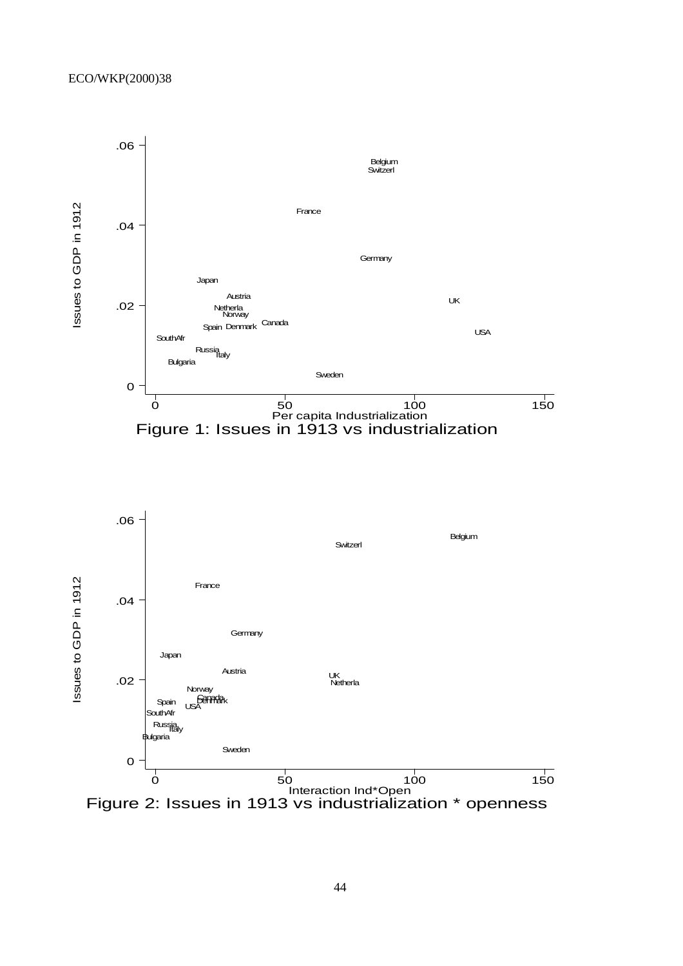



44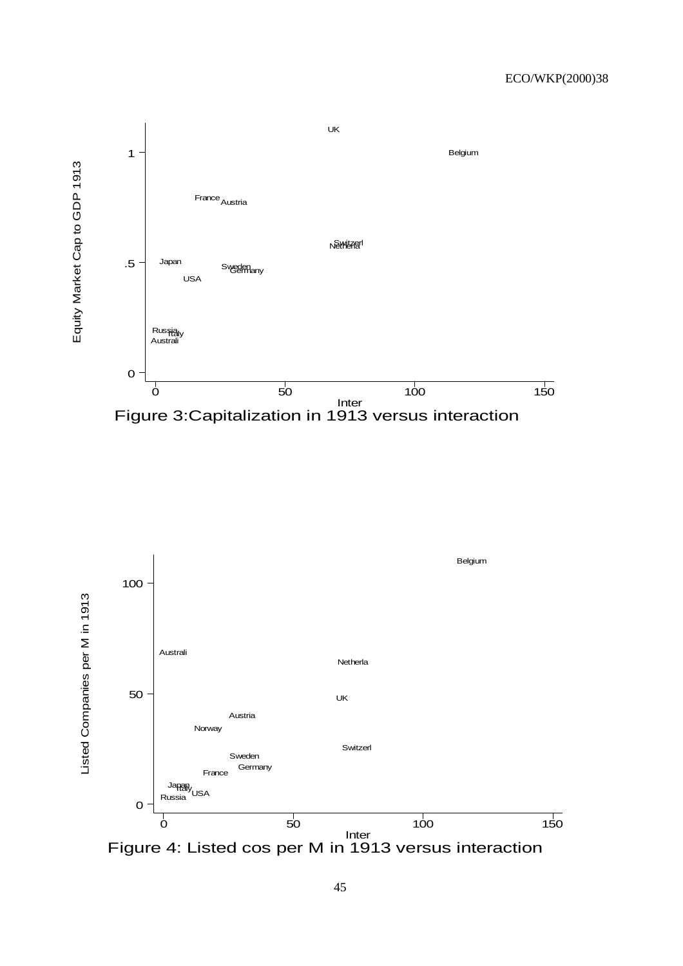

Equity Market Cap to GDP 1913

Figure 3:Capitalization in 1913 versus interaction



Figure 4: Listed cos per M in 1913 versus interaction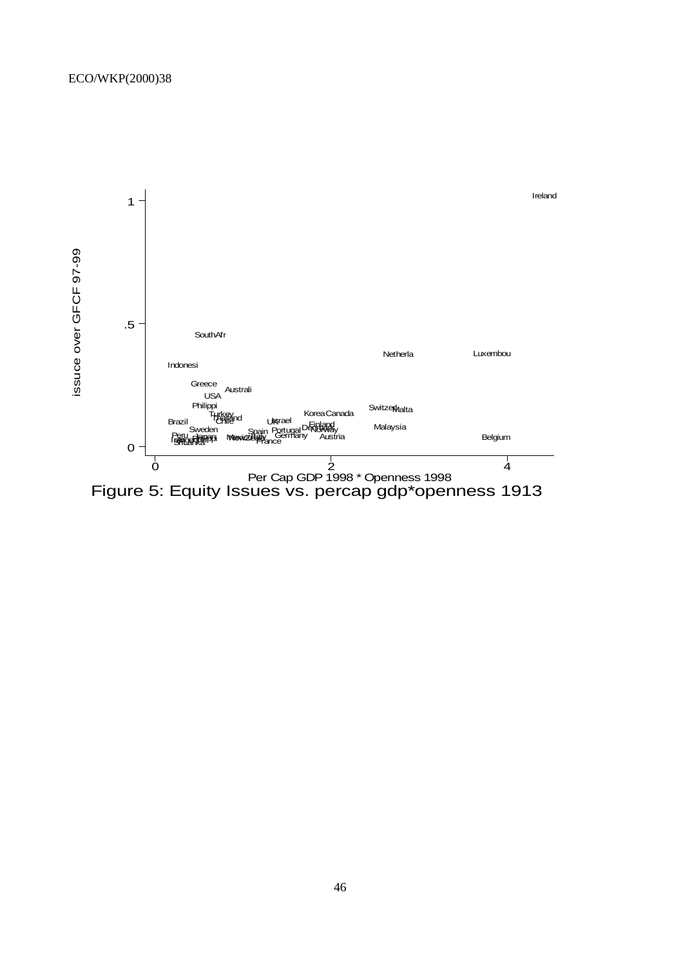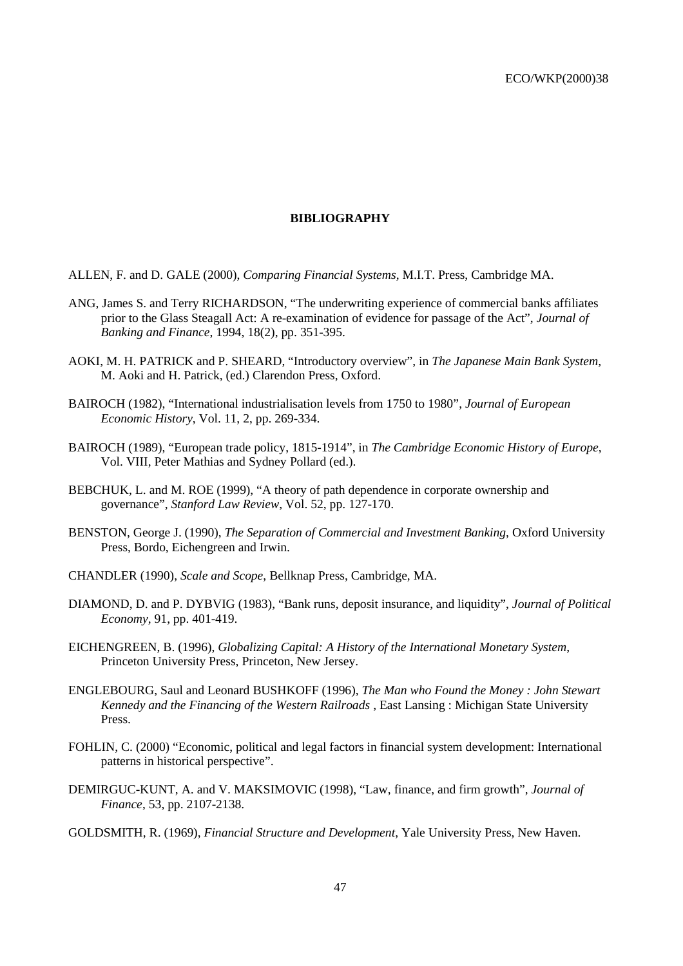#### **BIBLIOGRAPHY**

ALLEN, F. and D. GALE (2000), *Comparing Financial Systems,* M.I.T. Press, Cambridge MA.

- ANG, James S. and Terry RICHARDSON, "The underwriting experience of commercial banks affiliates prior to the Glass Steagall Act: A re-examination of evidence for passage of the Act", *Journal of Banking and Finance*, 1994, 18(2), pp. 351-395.
- AOKI, M. H. PATRICK and P. SHEARD, "Introductory overview", in *The Japanese Main Bank System,* M. Aoki and H. Patrick, (ed.) Clarendon Press, Oxford.
- BAIROCH (1982), "International industrialisation levels from 1750 to 1980", *Journal of European Economic History*, Vol. 11, 2, pp. 269-334.
- BAIROCH (1989), "European trade policy, 1815-1914", in *The Cambridge Economic History of Europe*, Vol. VIII, Peter Mathias and Sydney Pollard (ed.).
- BEBCHUK, L. and M. ROE (1999), "A theory of path dependence in corporate ownership and governance", *Stanford Law Review*, Vol. 52, pp. 127-170.
- BENSTON, George J. (1990), *The Separation of Commercial and Investment Banking*, Oxford University Press, Bordo, Eichengreen and Irwin.
- CHANDLER (1990), *Scale and Scope*, Bellknap Press, Cambridge, MA.
- DIAMOND, D. and P. DYBVIG (1983), "Bank runs, deposit insurance, and liquidity", *Journal of Political Economy*, 91, pp. 401-419.
- EICHENGREEN, B. (1996), *Globalizing Capital: A History of the International Monetary System*, Princeton University Press, Princeton, New Jersey.
- ENGLEBOURG, Saul and Leonard BUSHKOFF (1996), *The Man who Found the Money : John Stewart Kennedy and the Financing of the Western Railroads* , East Lansing : Michigan State University Press.
- FOHLIN, C. (2000) "Economic, political and legal factors in financial system development: International patterns in historical perspective".
- DEMIRGUC-KUNT, A. and V. MAKSIMOVIC (1998), "Law, finance, and firm growth", *Journal of Finance*, 53, pp. 2107-2138.
- GOLDSMITH, R. (1969), *Financial Structure and Development*, Yale University Press, New Haven.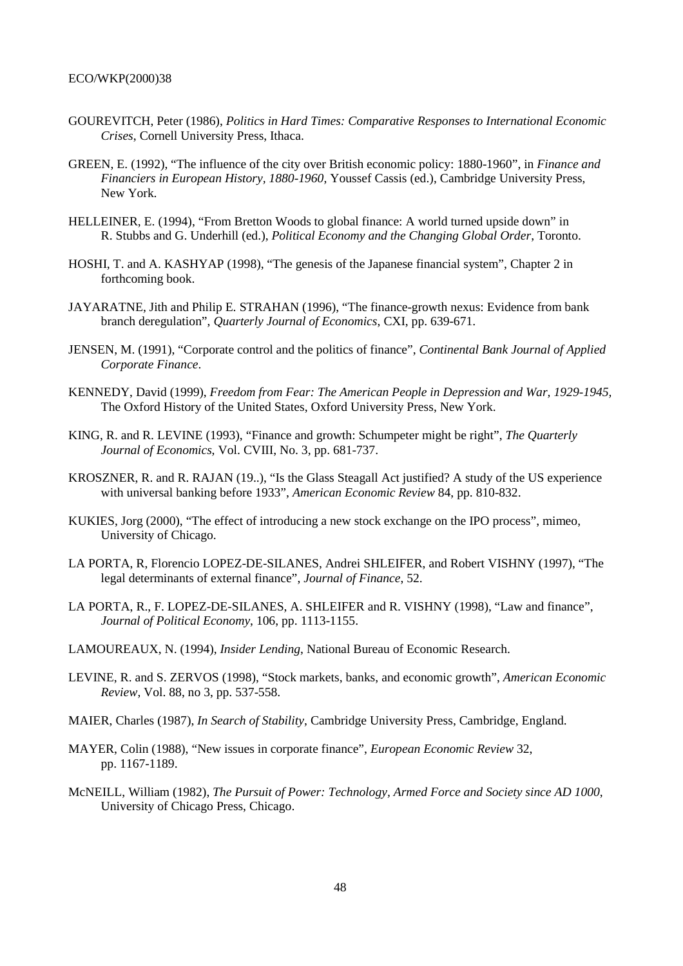- GOUREVITCH, Peter (1986), *Politics in Hard Times: Comparative Responses to International Economic Crises*, Cornell University Press, Ithaca.
- GREEN, E. (1992), "The influence of the city over British economic policy: 1880-1960", in *Finance and Financiers in European History, 1880-1960*, Youssef Cassis (ed.), Cambridge University Press, New York.
- HELLEINER, E. (1994), "From Bretton Woods to global finance: A world turned upside down" in R. Stubbs and G. Underhill (ed.), *Political Economy and the Changing Global Order*, Toronto.
- HOSHI, T. and A. KASHYAP (1998), "The genesis of the Japanese financial system", Chapter 2 in forthcoming book.
- JAYARATNE, Jith and Philip E. STRAHAN (1996), "The finance-growth nexus: Evidence from bank branch deregulation", *Quarterly Journal of Economics*, CXI, pp. 639-671.
- JENSEN, M. (1991), "Corporate control and the politics of finance", *Continental Bank Journal of Applied Corporate Finance*.
- KENNEDY, David (1999), *Freedom from Fear: The American People in Depression and War, 1929-1945,* The Oxford History of the United States, Oxford University Press, New York.
- KING, R. and R. LEVINE (1993), "Finance and growth: Schumpeter might be right", *The Quarterly Journal of Economics*, Vol. CVIII, No. 3, pp. 681-737.
- KROSZNER, R. and R. RAJAN (19..), "Is the Glass Steagall Act justified? A study of the US experience with universal banking before 1933", *American Economic Review* 84, pp. 810-832.
- KUKIES, Jorg (2000), "The effect of introducing a new stock exchange on the IPO process", mimeo, University of Chicago.
- LA PORTA, R, Florencio LOPEZ-DE-SILANES, Andrei SHLEIFER, and Robert VISHNY (1997), "The legal determinants of external finance", *Journal of Finance*, 52.
- LA PORTA, R., F. LOPEZ-DE-SILANES, A. SHLEIFER and R. VISHNY (1998), "Law and finance", *Journal of Political Economy*, 106, pp. 1113-1155.
- LAMOUREAUX, N. (1994), *Insider Lending*, National Bureau of Economic Research.
- LEVINE, R. and S. ZERVOS (1998), "Stock markets, banks, and economic growth", *American Economic Review*, Vol. 88, no 3, pp. 537-558.
- MAIER, Charles (1987), *In Search of Stability*, Cambridge University Press, Cambridge, England.
- MAYER, Colin (1988), "New issues in corporate finance", *European Economic Review* 32, pp. 1167-1189.
- McNEILL, William (1982), *The Pursuit of Power: Technology, Armed Force and Society since AD 1000*, University of Chicago Press, Chicago.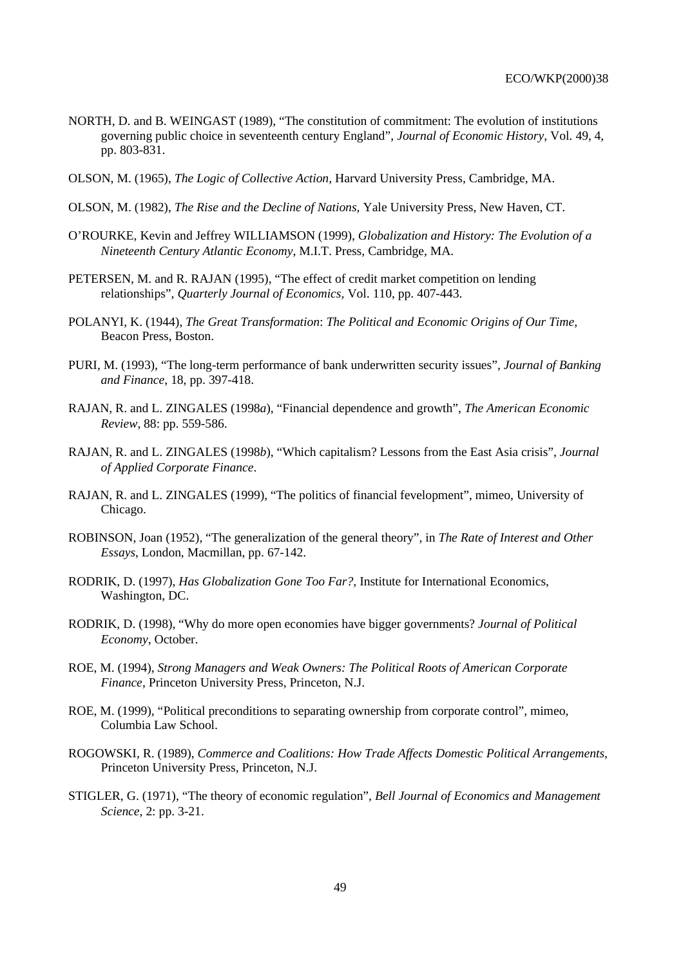- NORTH, D. and B. WEINGAST (1989), "The constitution of commitment: The evolution of institutions governing public choice in seventeenth century England", *Journal of Economic History*, Vol. 49, 4, pp. 803-831.
- OLSON, M. (1965), *The Logic of Collective Action,* Harvard University Press, Cambridge, MA.
- OLSON, M. (1982), *The Rise and the Decline of Nations,* Yale University Press, New Haven, CT.
- O'ROURKE, Kevin and Jeffrey WILLIAMSON (1999), *Globalization and History: The Evolution of a Nineteenth Century Atlantic Economy*, M.I.T. Press, Cambridge, MA.
- PETERSEN, M. and R. RAJAN (1995), "The effect of credit market competition on lending relationships", *Quarterly Journal of Economics*, Vol. 110, pp. 407-443.
- POLANYI, K. (1944), *The Great Transformation*: *The Political and Economic Origins of Our Time,* Beacon Press, Boston.
- PURI, M. (1993), "The long-term performance of bank underwritten security issues", *Journal of Banking and Finance*, 18, pp. 397-418.
- RAJAN, R. and L. ZINGALES (1998*a*), "Financial dependence and growth", *The American Economic Review*, 88: pp. 559-586.
- RAJAN, R. and L. ZINGALES (1998*b*), "Which capitalism? Lessons from the East Asia crisis", *Journal of Applied Corporate Finance*.
- RAJAN, R. and L. ZINGALES (1999), "The politics of financial fevelopment", mimeo, University of Chicago.
- ROBINSON, Joan (1952), "The generalization of the general theory", in *The Rate of Interest and Other Essays*, London, Macmillan, pp. 67-142.
- RODRIK, D. (1997), *Has Globalization Gone Too Far?,* Institute for International Economics, Washington, DC.
- RODRIK, D. (1998), "Why do more open economies have bigger governments? *Journal of Political Economy*, October.
- ROE, M. (1994), *Strong Managers and Weak Owners: The Political Roots of American Corporate Finance*, Princeton University Press, Princeton, N.J.
- ROE, M. (1999), "Political preconditions to separating ownership from corporate control", mimeo, Columbia Law School.
- ROGOWSKI, R. (1989), *Commerce and Coalitions: How Trade Affects Domestic Political Arrangements*, Princeton University Press, Princeton, N.J.
- STIGLER, G. (1971), "The theory of economic regulation", *Bell Journal of Economics and Management Science,* 2: pp. 3-21.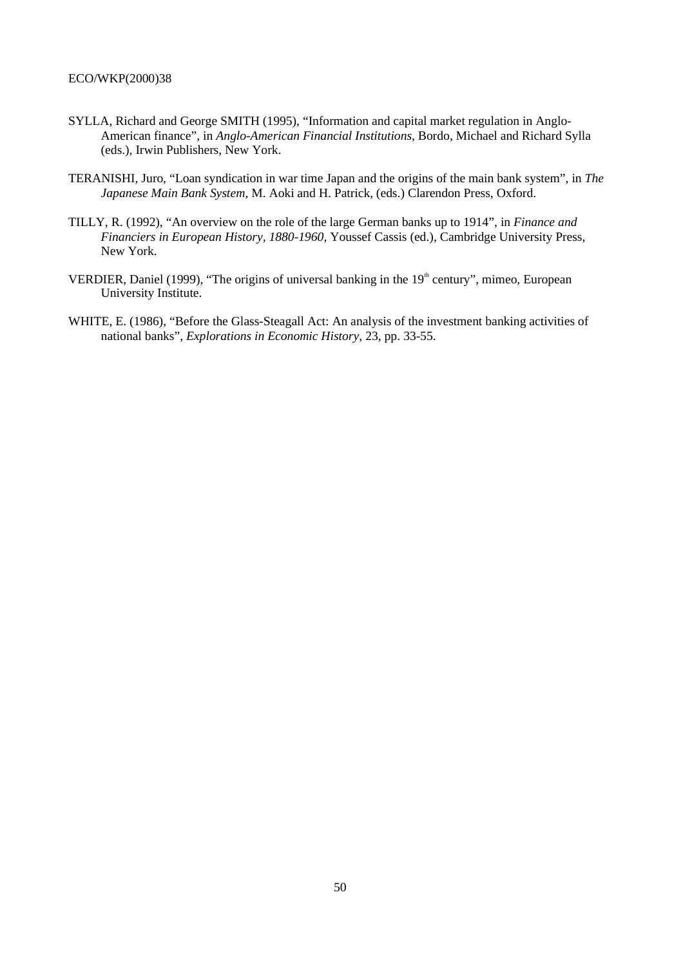- SYLLA, Richard and George SMITH (1995), "Information and capital market regulation in Anglo-American finance", in *Anglo-American Financial Institutions*, Bordo, Michael and Richard Sylla (eds.), Irwin Publishers, New York.
- TERANISHI, Juro, "Loan syndication in war time Japan and the origins of the main bank system", in *The Japanese Main Bank System,* M. Aoki and H. Patrick, (eds.) Clarendon Press, Oxford.
- TILLY, R. (1992), "An overview on the role of the large German banks up to 1914", in *Finance and Financiers in European History, 1880-1960*, Youssef Cassis (ed.), Cambridge University Press, New York.
- VERDIER, Daniel (1999), "The origins of universal banking in the  $19<sup>th</sup>$  century", mimeo, European University Institute.
- WHITE, E. (1986), "Before the Glass-Steagall Act: An analysis of the investment banking activities of national banks", *Explorations in Economic History*, 23, pp. 33-55.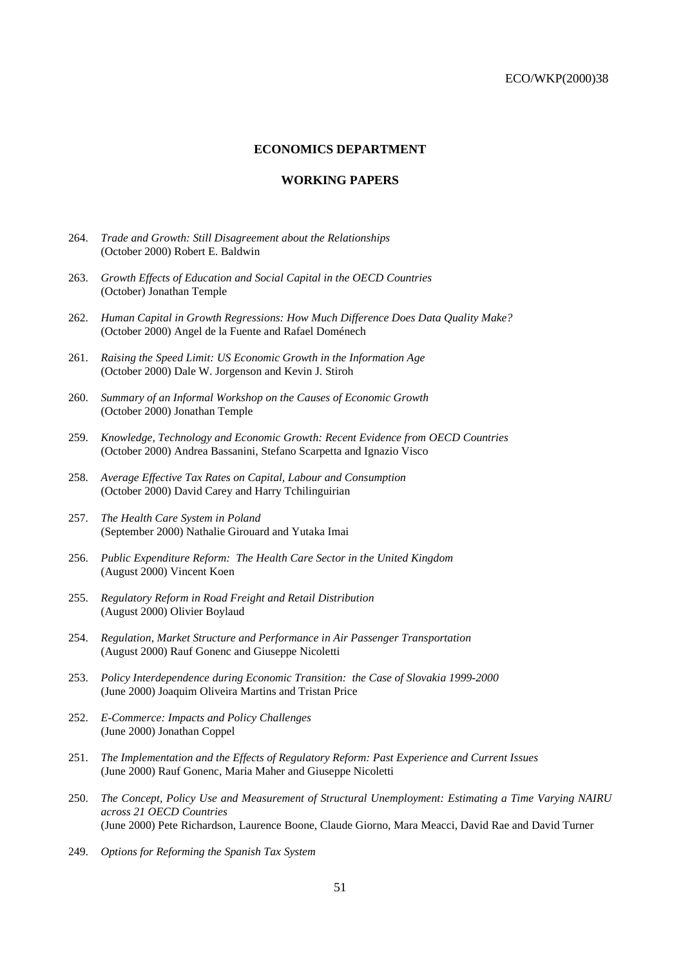#### **ECONOMICS DEPARTMENT**

#### **WORKING PAPERS**

- 264. *Trade and Growth: Still Disagreement about the Relationships* (October 2000) Robert E. Baldwin
- 263. *Growth Effects of Education and Social Capital in the OECD Countries* (October) Jonathan Temple
- 262. *Human Capital in Growth Regressions: How Much Difference Does Data Quality Make?* (October 2000) Angel de la Fuente and Rafael Doménech
- 261. *Raising the Speed Limit: US Economic Growth in the Information Age* (October 2000) Dale W. Jorgenson and Kevin J. Stiroh
- 260. *Summary of an Informal Workshop on the Causes of Economic Growth* (October 2000) Jonathan Temple
- 259. *Knowledge, Technology and Economic Growth: Recent Evidence from OECD Countries* (October 2000) Andrea Bassanini, Stefano Scarpetta and Ignazio Visco
- 258. *Average Effective Tax Rates on Capital, Labour and Consumption* (October 2000) David Carey and Harry Tchilinguirian
- 257. *The Health Care System in Poland* (September 2000) Nathalie Girouard and Yutaka Imai
- 256. *Public Expenditure Reform: The Health Care Sector in the United Kingdom* (August 2000) Vincent Koen
- 255. *Regulatory Reform in Road Freight and Retail Distribution* (August 2000) Olivier Boylaud
- 254. *Regulation, Market Structure and Performance in Air Passenger Transportation* (August 2000) Rauf Gonenc and Giuseppe Nicoletti
- 253. *Policy Interdependence during Economic Transition: the Case of Slovakia 1999-2000* (June 2000) Joaquim Oliveira Martins and Tristan Price
- 252. *E-Commerce: Impacts and Policy Challenges* (June 2000) Jonathan Coppel
- 251. *The Implementation and the Effects of Regulatory Reform: Past Experience and Current Issues* (June 2000) Rauf Gonenc, Maria Maher and Giuseppe Nicoletti
- 250. *The Concept, Policy Use and Measurement of Structural Unemployment: Estimating a Time Varying NAIRU across 21 OECD Countries* (June 2000) Pete Richardson, Laurence Boone, Claude Giorno, Mara Meacci, David Rae and David Turner
- 249. *Options for Reforming the Spanish Tax System*